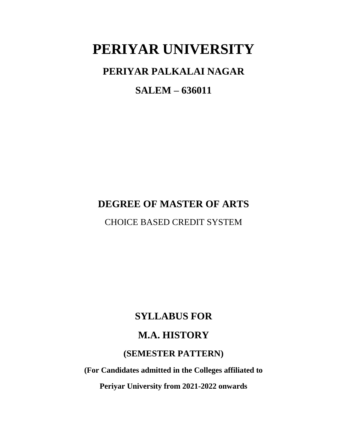# **PERIYAR UNIVERSITY**

# **PERIYAR PALKALAI NAGAR**

# **SALEM – 636011**

# **DEGREE OF MASTER OF ARTS**

CHOICE BASED CREDIT SYSTEM

# **SYLLABUS FOR**

# **M.A. HISTORY**

# **(SEMESTER PATTERN)**

**(For Candidates admitted in the Colleges affiliated to** 

**Periyar University from 2021-2022 onwards**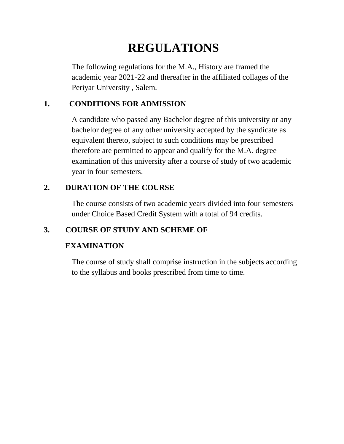# **REGULATIONS**

The following regulations for the M.A., History are framed the academic year 2021-22 and thereafter in the affiliated collages of the Periyar University , Salem.

# **1. CONDITIONS FOR ADMISSION**

A candidate who passed any Bachelor degree of this university or any bachelor degree of any other university accepted by the syndicate as equivalent thereto, subject to such conditions may be prescribed therefore are permitted to appear and qualify for the M.A. degree examination of this university after a course of study of two academic year in four semesters.

# **2. DURATION OF THE COURSE**

The course consists of two academic years divided into four semesters under Choice Based Credit System with a total of 94 credits.

# **3. COURSE OF STUDY AND SCHEME OF**

# **EXAMINATION**

The course of study shall comprise instruction in the subjects according to the syllabus and books prescribed from time to time.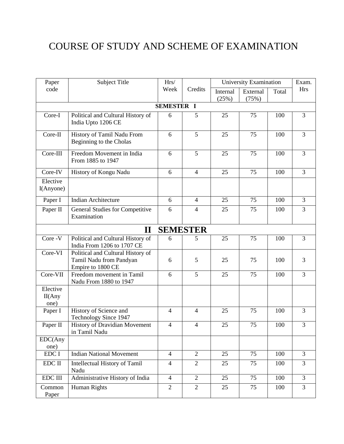# COURSE OF STUDY AND SCHEME OF EXAMINATION

| Paper                       | <b>Subject Title</b>                                                              | Hrs/              |                 | University Examination |                   |       | Exam.          |
|-----------------------------|-----------------------------------------------------------------------------------|-------------------|-----------------|------------------------|-------------------|-------|----------------|
| code                        |                                                                                   | Week              | Credits         | Internal<br>(25%)      | External<br>(75%) | Total | <b>Hrs</b>     |
|                             |                                                                                   | <b>SEMESTER I</b> |                 |                        |                   |       |                |
| Core-I                      | Political and Cultural History of<br>India Upto 1206 CE                           | 6                 | 5               | 25                     | 75                | 100   | $\overline{3}$ |
| Core-II                     | History of Tamil Nadu From<br>Beginning to the Cholas                             | 6                 | 5               | 25                     | 75                | 100   | 3              |
| Core-III                    | Freedom Movement in India<br>From 1885 to 1947                                    | 6                 | 5               | 25                     | 75                | 100   | $\overline{3}$ |
| Core-IV                     | History of Kongu Nadu                                                             | 6                 | $\overline{4}$  | 25                     | 75                | 100   | $\overline{3}$ |
| Elective<br>I(Anyone)       |                                                                                   |                   |                 |                        |                   |       |                |
| Paper I                     | <b>Indian Architecture</b>                                                        | 6                 | $\overline{4}$  | 25                     | 75                | 100   | $\overline{3}$ |
| Paper II                    | General Studies for Competitive<br>Examination                                    | 6                 | $\overline{4}$  | 25                     | 75                | 100   | 3              |
|                             | $\mathbf{I}$                                                                      |                   | <b>SEMESTER</b> |                        |                   |       |                |
| Core -V                     | Political and Cultural History of<br>India From 1206 to 1707 CE                   | 6                 | 5               | 25                     | 75                | 100   | $\overline{3}$ |
| Core-VI                     | Political and Cultural History of<br>Tamil Nadu from Pandyan<br>Empire to 1800 CE | 6                 | 5               | 25                     | 75                | 100   | 3              |
| Core-VII                    | Freedom movement in Tamil<br>Nadu From 1880 to 1947                               | 6                 | 5               | 25                     | 75                | 100   | $\overline{3}$ |
| Elective<br>II(Any)<br>one) |                                                                                   |                   |                 |                        |                   |       |                |
| Paper I                     | History of Science and<br>Technology Since 1947                                   | $\overline{4}$    | $\overline{4}$  | 25                     | 75                | 100   | 3              |
| Paper II                    | History of Dravidian Movement<br>in Tamil Nadu                                    | $\overline{4}$    | $\overline{4}$  | 25                     | 75                | 100   | $\mathfrak{Z}$ |
| EDC(Any                     |                                                                                   |                   |                 |                        |                   |       |                |
| one)                        |                                                                                   |                   |                 |                        |                   |       |                |
| EDC I                       | <b>Indian National Movement</b>                                                   | $\overline{4}$    | $\overline{2}$  | 25                     | 75                | 100   | 3              |
| EDC II                      | Intellectual History of Tamil<br>Nadu                                             | $\overline{4}$    | $\overline{2}$  | 25                     | 75                | 100   | $\overline{3}$ |
| <b>EDC III</b>              | Administrative History of India                                                   | $\overline{4}$    | $\overline{2}$  | 25                     | 75                | 100   | 3              |
| Common<br>Paper             | Human Rights                                                                      | $\overline{2}$    | $\overline{2}$  | 25                     | 75                | 100   | 3              |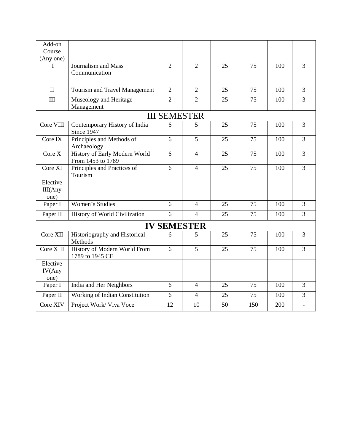| Add-on                     |                                                    |                     |                    |    |     |     |                |
|----------------------------|----------------------------------------------------|---------------------|--------------------|----|-----|-----|----------------|
| Course                     |                                                    |                     |                    |    |     |     |                |
| (Any one)                  |                                                    |                     |                    |    |     |     |                |
| I                          | Journalism and Mass<br>Communication               | $\overline{2}$      | $\overline{2}$     | 25 | 75  | 100 | 3              |
|                            |                                                    |                     |                    |    |     |     |                |
| $\mathbf{I}$               | Tourism and Travel Management                      | $\overline{2}$      | $\overline{2}$     | 25 | 75  | 100 | 3              |
| III                        | Museology and Heritage<br>Management               | $\overline{2}$      | $\overline{2}$     | 25 | 75  | 100 | $\overline{3}$ |
|                            |                                                    | <b>III SEMESTER</b> |                    |    |     |     |                |
| Core VIII                  | Contemporary History of India<br>Since 1947        | 6                   | 5                  | 25 | 75  | 100 | 3              |
| Core IX                    | Principles and Methods of<br>Archaeology           | 6                   | 5                  | 25 | 75  | 100 | 3              |
| Core X                     | History of Early Modern World<br>From 1453 to 1789 | 6                   | $\overline{4}$     | 25 | 75  | 100 | 3              |
| Core XI                    | Principles and Practices of<br>Tourism             | 6                   | $\overline{4}$     | 25 | 75  | 100 | $\overline{3}$ |
| Elective                   |                                                    |                     |                    |    |     |     |                |
| III(Any<br>one)            |                                                    |                     |                    |    |     |     |                |
| Paper I                    | Women's Studies                                    | 6                   | $\overline{4}$     | 25 | 75  | 100 | 3              |
| Paper II                   | History of World Civilization                      | 6                   | $\overline{4}$     | 25 | 75  | 100 | $\overline{3}$ |
|                            |                                                    |                     | <b>IV SEMESTER</b> |    |     |     |                |
| Core XII                   | Historiography and Historical<br>Methods           | 6                   | 5                  | 25 | 75  | 100 | $\overline{3}$ |
| Core XIII                  | History of Modern World From<br>1789 to 1945 CE    | 6                   | 5                  | 25 | 75  | 100 | $\overline{3}$ |
| Elective<br>IV(Any<br>one) |                                                    |                     |                    |    |     |     |                |
| Paper I                    | India and Her Neighbors                            | 6                   | $\overline{4}$     | 25 | 75  | 100 | 3              |
| Paper II                   | Working of Indian Constitution                     | 6                   | $\overline{4}$     | 25 | 75  | 100 | $\overline{3}$ |
| Core XIV                   | Project Work/ Viva Voce                            | 12                  | 10                 | 50 | 150 | 200 |                |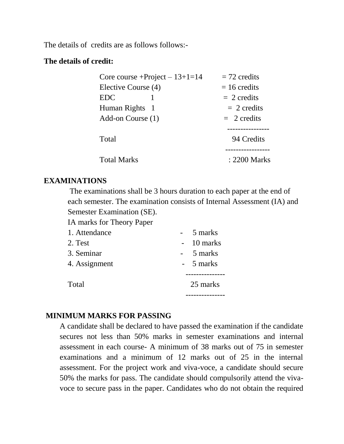The details of credits are as follows follows:-

## **The details of credit:**

| Core course $+$ Project $-13+1=14$ | $= 72$ credits |
|------------------------------------|----------------|
| Elective Course (4)                | $= 16$ credits |
| <b>EDC</b>                         | $= 2$ credits  |
| Human Rights 1                     | $= 2$ credits  |
| Add-on Course (1)                  | $= 2$ credits  |
|                                    |                |
| Total                              | 94 Credits     |
|                                    |                |
| <b>Total Marks</b>                 | : 2200 Marks   |

## **EXAMINATIONS**

The examinations shall be 3 hours duration to each paper at the end of each semester. The examination consists of Internal Assessment (IA) and Semester Examination (SE).

IA marks for Theory Paper

| 1. Attendance | 5 marks     |
|---------------|-------------|
| 2. Test       | $-10$ marks |
| 3. Seminar    | 5 marks     |
| 4. Assignment | - 5 marks   |
|               |             |
| Total         | 25 marks    |
|               |             |

## **MINIMUM MARKS FOR PASSING**

A candidate shall be declared to have passed the examination if the candidate secures not less than 50% marks in semester examinations and internal assessment in each course- A minimum of 38 marks out of 75 in semester examinations and a minimum of 12 marks out of 25 in the internal assessment. For the project work and viva-voce, a candidate should secure 50% the marks for pass. The candidate should compulsorily attend the vivavoce to secure pass in the paper. Candidates who do not obtain the required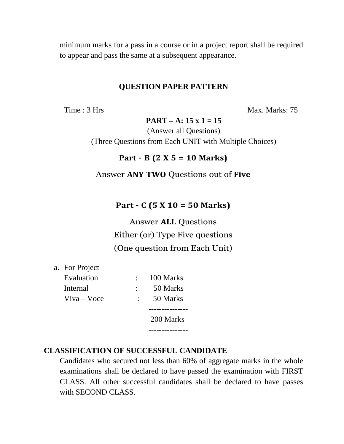minimum marks for a pass in a course or in a project report shall be required to appear and pass the same at a subsequent appearance.

## **QUESTION PAPER PATTERN**

Time : 3 Hrs Max. Marks: 75

**PART – A: 15 x 1 = 15**

(Answer all Questions) (Three Questions from Each UNIT with Multiple Choices)

## **Part – B (2 X 5 = 10 Marks)**

## Answer **ANY TWO** Questions out of **Five**

## **Part – C (5 X 10 = 50 Marks)**

Answer **ALL** Questions Either (or) Type Five questions (One question from Each Unit)

a. For Project

| Evaluation     |             | 100 Marks |
|----------------|-------------|-----------|
| Internal       |             | 50 Marks  |
| $V$ iva – Voce | $\bullet$ . | 50 Marks  |
|                |             | 200 Marks |
|                |             |           |

## **CLASSIFICATION OF SUCCESSFUL CANDIDATE**

Candidates who secured not less than 60% of aggregate marks in the whole examinations shall be declared to have passed the examination with FIRST CLASS. All other successful candidates shall be declared to have passes with SECOND CLASS.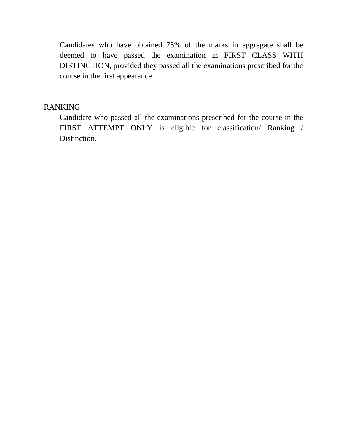Candidates who have obtained 75% of the marks in aggregate shall be deemed to have passed the examination in FIRST CLASS WITH DISTINCTION, provided they passed all the examinations prescribed for the course in the first appearance.

## RANKING

Candidate who passed all the examinations prescribed for the course in the FIRST ATTEMPT ONLY is eligible for classification/ Ranking / Distinction.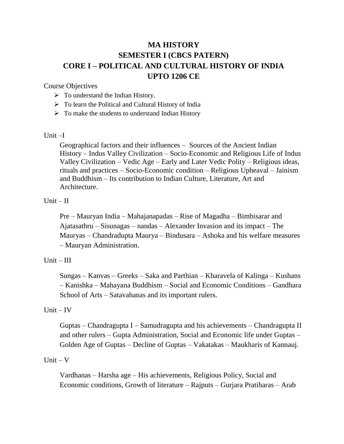# **MA HISTORY SEMESTER I (CBCS PATERN) CORE I – POLITICAL AND CULTURAL HISTORY OF INDIA UPTO 1206 CE**

Course Objectives

- $\triangleright$  To understand the Indian History.
- $\triangleright$  To learn the Political and Cultural History of India
- $\triangleright$  To make the students to understand Indian History

Unit –I

Geographical factors and their influences – Sources of the Ancient Indian History – Indus Valley Civilization – Socio-Economic and Religious Life of Indus Valley Civilization – Vedic Age – Early and Later Vedic Polity – Religious ideas, rituals and practices – Socio-Economic condition – Religious Upheaval – Jainism and Buddhism – Its contribution to Indian Culture, Literature, Art and Architecture.

## $Unit - II$

Pre – Mauryan India – Mahajanapadas – Rise of Magadha – Bimbisarar and Ajatasathru – Sisunagas – nandas – Alexander Invasion and its impact – The Mauryas – Chandradupta Maurya – Bindusara – Ashoka and his welfare measures – Mauryan Administration.

## $Unit - III$

Sungas – Kanvas – Greeks – Saka and Parthian – Kharavela of Kalinga – Kushans – Kanishka – Mahayana Buddhism – Social and Economic Conditions – Gandhara School of Arts – Satavahanas and its important rulers.

#### $Unit - IV$

Guptas – Chandragupta I – Samudragupta and his achievements – Chandragupta II and other rulers – Gupta Administration, Social and Economic life under Guptas – Golden Age of Guptas – Decline of Guptas – Vakatakas – Maukharis of Kannauj.

#### $Unit - V$

Vardhanas – Harsha age – His achievements, Religious Policy, Social and Economic conditions, Growth of literature – Rajputs – Gurjara Pratiharas – Arab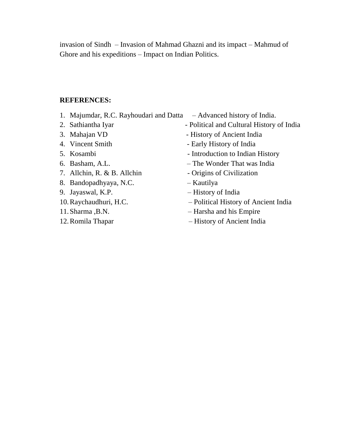invasion of Sindh – Invasion of Mahmad Ghazni and its impact – Mahmud of Ghore and his expeditions – Impact on Indian Politics.

## **REFERENCES:**

- 1. Majumdar, R.C. Rayhoudari and Datta Advanced history of India.
- 
- 
- 
- 
- 
- 7. Allchin, R. & B. Allchin Origins of Civilization
- 8. Bandopadhyaya, N.C. Kautilya
- 
- 
- 
- 
- 
- 2. Sathiantha Iyar Political and Cultural History of India
- 3. Mahajan VD History of Ancient India
- 4. Vincent Smith Early History of India
- 5. Kosambi Introduction to Indian History
- 6. Basham, A.L. The Wonder That was India
	-
	-
- 9. Jayaswal, K.P. History of India
- 10.Raychaudhuri, H.C. Political History of Ancient India
- 11.Sharma ,B.N. Harsha and his Empire
- 12.Romila Thapar History of Ancient India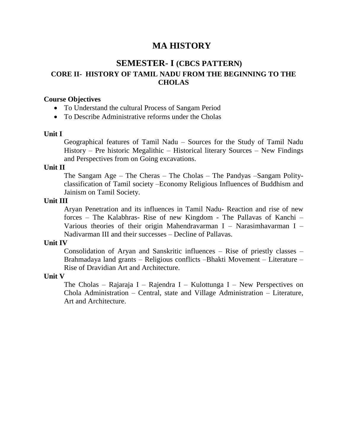# **MA HISTORY**

# **SEMESTER- I (CBCS PATTERN) CORE II- HISTORY OF TAMIL NADU FROM THE BEGINNING TO THE CHOLAS**

## **Course Objectives**

- To Understand the cultural Process of Sangam Period
- To Describe Administrative reforms under the Cholas

#### **Unit I**

Geographical features of Tamil Nadu – Sources for the Study of Tamil Nadu History – Pre historic Megalithic – Historical literary Sources – New Findings and Perspectives from on Going excavations.

#### **Unit II**

The Sangam Age – The Cheras – The Cholas – The Pandyas –Sangam Polityclassification of Tamil society –Economy Religious Influences of Buddhism and Jainism on Tamil Society.

#### **Unit III**

Aryan Penetration and its influences in Tamil Nadu- Reaction and rise of new forces – The Kalabhras- Rise of new Kingdom - The Pallavas of Kanchi – Various theories of their origin Mahendravarman I – Narasimhavarman I – Nadivarman III and their successes – Decline of Pallavas.

#### **Unit IV**

Consolidation of Aryan and Sanskritic influences – Rise of priestly classes – Brahmadaya land grants – Religious conflicts –Bhakti Movement – Literature – Rise of Dravidian Art and Architecture.

#### **Unit V**

The Cholas – Rajaraja I – Rajendra I – Kulottunga I – New Perspectives on Chola Administration – Central, state and Village Administration – Literature, Art and Architecture.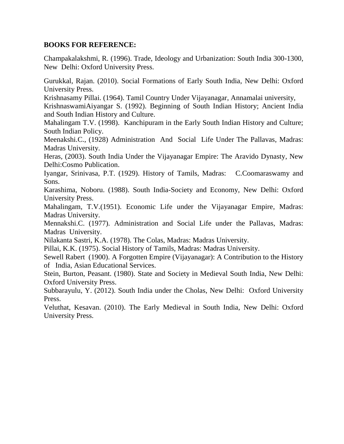## **BOOKS FOR REFERENCE:**

Champakalakshmi, R. (1996). Trade, Ideology and Urbanization: South India 300-1300, NewDelhi: Oxford University Press.

Gurukkal, Rajan. (2010). Social Formations of Early South India, New Delhi: Oxford University Press.

Krishnasamy Pillai. (1964). Tamil Country Under Vijayanagar, Annamalai university,

KrishnaswamiAiyangar S. (1992). Beginning of South Indian History; Ancient India and South Indian History and Culture.

Mahalingam T.V. (1998). Kanchipuram in the Early South Indian History and Culture; South Indian Policy.

Meenakshi.C., (1928) Administration And Social Life Under The Pallavas, Madras: Madras University.

Heras, (2003). South India Under the Vijayanagar Empire: The Aravido Dynasty, New Delhi:Cosmo Publication.

Iyangar, Srinivasa, P.T. (1929). History of Tamils, Madras: C.Coomaraswamy and Sons.

Karashima, Noboru. (1988). South India-Society and Economy, New Delhi: Oxford University Press.

Mahalingam, T.V.(1951). Economic Life under the Vijayanagar Empire, Madras: Madras University.

Mennakshi.C. (1977). Administration and Social Life under the Pallavas, Madras: Madras University.

Nilakanta Sastri, K.A. (1978). The Colas, Madras: Madras University.

Pillai, K.K. (1975). Social History of Tamils, Madras: Madras University.

Sewell Rabert (1900). A Forgotten Empire (Vijayanagar): A Contribution to the History of India, Asian Educational Services.

Stein, Burton, Peasant. (1980). State and Society in Medieval South India, New Delhi: Oxford University Press.

Subbarayulu, Y. (2012). South India under the Cholas, New Delhi: Oxford University Press.

Veluthat, Kesavan. (2010). The Early Medieval in South India, New Delhi: Oxford University Press.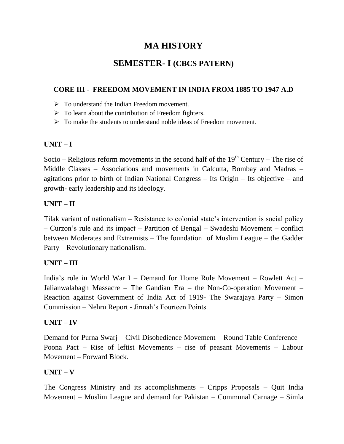# **MA HISTORY**

# **SEMESTER- I (CBCS PATERN)**

## **CORE III - FREEDOM MOVEMENT IN INDIA FROM 1885 TO 1947 A.D**

- $\triangleright$  To understand the Indian Freedom movement.
- $\triangleright$  To learn about the contribution of Freedom fighters.
- $\triangleright$  To make the students to understand noble ideas of Freedom movement.

## **UNIT – I**

Socio – Religious reform movements in the second half of the  $19<sup>th</sup>$  Century – The rise of Middle Classes – Associations and movements in Calcutta, Bombay and Madras – agitations prior to birth of Indian National Congress – Its Origin – Its objective – and growth- early leadership and its ideology.

## **UNIT – II**

Tilak variant of nationalism – Resistance to colonial state"s intervention is social policy – Curzon"s rule and its impact – Partition of Bengal – Swadeshi Movement – conflict between Moderates and Extremists – The foundation of Muslim League – the Gadder Party – Revolutionary nationalism.

## **UNIT – III**

India"s role in World War I – Demand for Home Rule Movement – Rowlett Act – Jalianwalabagh Massacre – The Gandian Era – the Non-Co-operation Movement – Reaction against Government of India Act of 1919- The Swarajaya Party – Simon Commission – Nehru Report - Jinnah"s Fourteen Points.

## **UNIT – IV**

Demand for Purna Swarj – Civil Disobedience Movement – Round Table Conference – Poona Pact – Rise of leftist Movements – rise of peasant Movements – Labour Movement – Forward Block.

## **UNIT – V**

The Congress Ministry and its accomplishments – Cripps Proposals – Quit India Movement – Muslim League and demand for Pakistan – Communal Carnage – Simla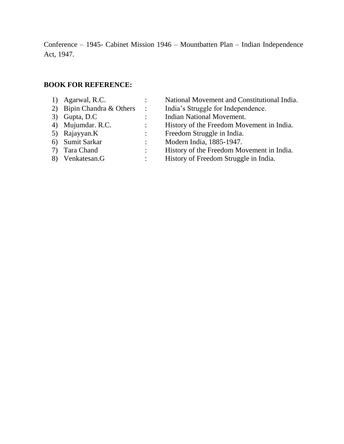Conference – 1945- Cabinet Mission 1946 – Mountbatten Plan – Indian Independence Act, 1947.

### **BOOK FOR REFERENCE:**

- 
- 
- 
- 
- 
- 
- 
- 
- 1) Agarwal, R.C. : National Movement and Constitutional India. 2) Bipin Chandra & Others : India's Struggle for Independence.
- 3) Gupta, D.C : Indian National Movement.<br>4) Mujumdar. R.C. : History of the Freedom Mov
- 4) Mujumdar. R.C. : History of the Freedom Movement in India.<br>5) Rajayyan.K : Freedom Struggle in India.
	- : Freedom Struggle in India.
- 6) Sumit Sarkar : Modern India, 1885-1947.
- 7) Tara Chand : History of the Freedom Movement in India.
- 8) Venkatesan.G : History of Freedom Struggle in India.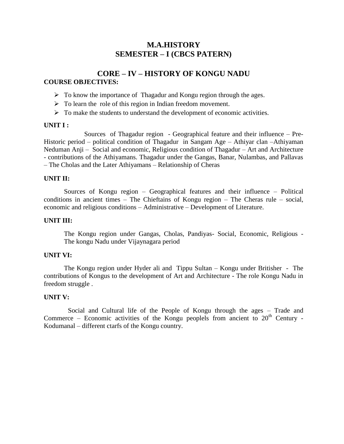## **M.A.HISTORY SEMESTER – I (CBCS PATERN)**

## **CORE – IV – HISTORY OF KONGU NADU COURSE OBJECTIVES:**

- $\triangleright$  To know the importance of Thagadur and Kongu region through the ages.
- $\triangleright$  To learn the role of this region in Indian freedom movement.
- $\triangleright$  To make the students to understand the development of economic activities.

#### **UNIT I :**

Sources of Thagadur region - Geographical feature and their influence – Pre-Historic period – political condition of Thagadur in Sangam Age – Athiyar clan –Athiyaman Neduman Anji – Social and economic, Religious condition of Thagadur – Art and Architecture - contributions of the Athiyamans. Thagadur under the Gangas, Banar, Nulambas, and Pallavas – The Cholas and the Later Athiyamans – Relationship of Cheras

#### **UNIT II:**

Sources of Kongu region – Geographical features and their influence – Political conditions in ancient times – The Chieftains of Kongu region – The Cheras rule – social, economic and religious conditions – Administrative – Development of Literature.

#### **UNIT III:**

The Kongu region under Gangas, Cholas, Pandiyas- Social, Economic, Religious - The kongu Nadu under Vijaynagara period

#### **UNIT VI:**

The Kongu region under Hyder ali and Tippu Sultan – Kongu under Britisher - The contributions of Kongus to the development of Art and Architecture - The role Kongu Nadu in freedom struggle .

#### **UNIT V:**

Social and Cultural life of the People of Kongu through the ages – Trade and Commerce – Economic activities of the Kongu peoplels from ancient to  $20<sup>th</sup>$  Century -Kodumanal – different ctarfs of the Kongu country.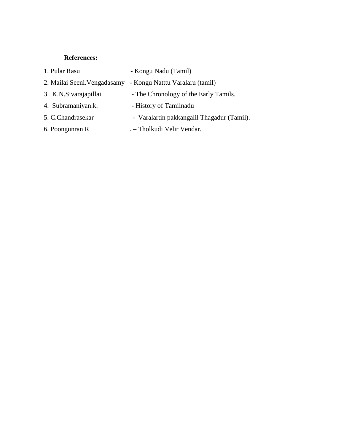## **References:**

| 1. Pular Rasu          | - Kongu Nadu (Tamil)                                         |
|------------------------|--------------------------------------------------------------|
|                        | 2. Mailai Seeni. Vengadasamy - Kongu Natttu Varalaru (tamil) |
| 3. K.N. Sivarajapillai | - The Chronology of the Early Tamils.                        |
| 4. Subramaniyan.k.     | - History of Tamilnadu                                       |
| 5. C.Chandrasekar      | - Varalartin pakkangalil Thagadur (Tamil).                   |
| 6. Poongunran R        | . - Tholkudi Velir Vendar.                                   |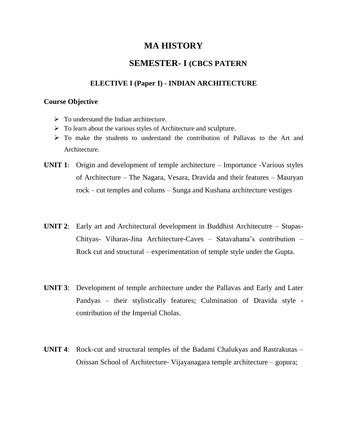## **MA HISTORY**

## **SEMESTER- I (CBCS PATERN**

## **ELECTIVE I (Paper I) - INDIAN ARCHITECTURE**

#### **Course Objective**

- $\triangleright$  To understand the Indian architecture.
- $\triangleright$  To learn about the various styles of Architecture and sculpture.
- $\triangleright$  To make the students to understand the contribution of Pallavas to the Art and Architecture.
- **UNIT 1**: Origin and development of temple architecture Importance -Various styles of Architecture – The Nagara, Vesara, Dravida and their features – Mauryan rock – cut temples and colums – Sunga and Kushana architecture vestiges
- **UNIT 2**: Early art and Architectural development in Buddhist Architecutre Stupas-Chityas- Viharas-Jina Architecture-Caves – Satavahana"s contribution – Rock cut and structural – experimentation of temple style under the Gupta.
- **UNIT 3**: Development of temple architecture under the Pallavas and Early and Later Pandyas – their stylistically features; Culmination of Dravida style contribution of the Imperial Cholas.
- **UNIT 4**: Rock-cut and structural temples of the Badami Chalukyas and Rastrakutas Orissan School of Architecture- Vijayanagara temple architecture – gopura;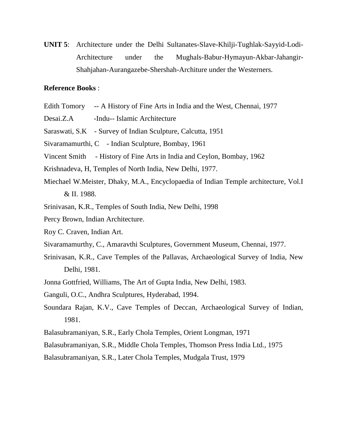**UNIT 5**: Architecture under the Delhi Sultanates-Slave-Khilji-Tughlak-Sayyid-Lodi-Architecture under the Mughals-Babur-Hymayun-Akbar-Jahangir-Shahjahan-Aurangazebe-Shershah-Architure under the Westerners.

### **Reference Books** :

- Edith Tomory -- A History of Fine Arts in India and the West, Chennai, 1977
- Desai.Z.A -Indu--Islamic Architecture
- Saraswati, S.K Survey of Indian Sculpture, Calcutta, 1951
- Sivaramamurthi, C Indian Sculpture, Bombay, 1961
- Vincent Smith History of Fine Arts in India and Ceylon, Bombay, 1962
- Krishnadeva, H, Temples of North India, New Delhi, 1977.
- Miechael W.Meister, Dhaky, M.A., Encyclopaedia of Indian Temple architecture, Vol.I & II. 1988.
- Srinivasan, K.R., Temples of South India, New Delhi, 1998
- Percy Brown, Indian Architecture.
- Roy C. Craven, Indian Art.
- Sivaramamurthy, C., Amaravthi Sculptures, Government Museum, Chennai, 1977.
- Srinivasan, K.R., Cave Temples of the Pallavas, Archaeological Survey of India, New Delhi, 1981.
- Jonna Gottfried, Williams, The Art of Gupta India, New Delhi, 1983.
- Ganguli, O.C., Andhra Sculptures, Hyderabad, 1994.
- Soundara Rajan, K.V., Cave Temples of Deccan, Archaeological Survey of Indian, 1981.
- Balasubramaniyan, S.R., Early Chola Temples, Orient Longman, 1971
- Balasubramaniyan, S.R., Middle Chola Temples, Thomson Press India Ltd., 1975
- Balasubramaniyan, S.R., Later Chola Temples, Mudgala Trust, 1979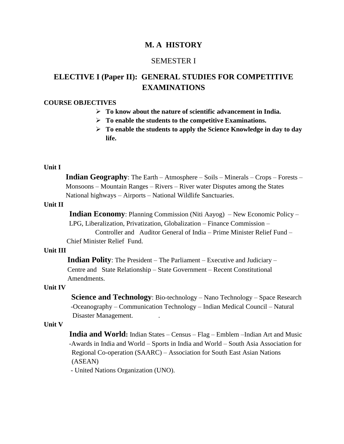## **M. A HISTORY**

## SEMESTER I

# **ELECTIVE I (Paper II): GENERAL STUDIES FOR COMPETITIVE EXAMINATIONS**

#### **COURSE OBJECTIVES**

- **To know about the nature of scientific advancement in India.**
- **To enable the students to the competitive Examinations.**
- **To enable the students to apply the Science Knowledge in day to day life.**

#### **Unit I**

 **Indian Geography**: The Earth – Atmosphere – Soils – Minerals – Crops – Forests – Monsoons – Mountain Ranges – Rivers – River water Disputes among the States National highways – Airports – National Wildlife Sanctuaries.

#### **Unit II**

 **Indian Economy**: Planning Commission (Niti Aayog) – New Economic Policy – LPG, Liberalization, Privatization, Globalization – Finance Commission –

 Controller and Auditor General of India – Prime Minister Relief Fund – Chief Minister Relief Fund.

#### **Unit III**

 **Indian Polity**: The President – The Parliament – Executive and Judiciary – Centre and State Relationship – State Government – Recent Constitutional Amendments.

#### **Unit IV**

**Science and Technology**: Bio-technology – Nano Technology – Space Research -Oceanography – Communication Technology – Indian Medical Council – Natural Disaster Management..

#### **Unit V**

 **India and World:** Indian States – Census – Flag – Emblem –Indian Art and Music -Awards in India and World – Sports in India and World – South Asia Association for Regional Co-operation (SAARC) – Association for South East Asian Nations (ASEAN)

- United Nations Organization (UNO).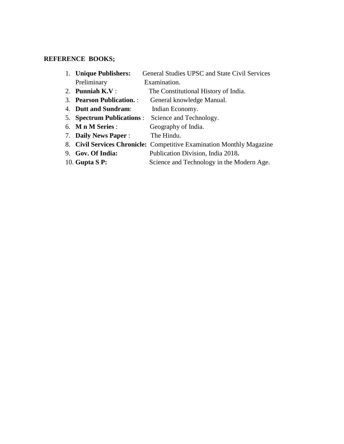## **REFERENCE BOOKS;**

| 1. Unique Publishers:      | <b>General Studies UPSC and State Civil Services</b>                  |
|----------------------------|-----------------------------------------------------------------------|
| Preliminary                | Examination.                                                          |
| 2. Punniah $K.V:$          | The Constitutional History of India.                                  |
| 3. Pearson Publication. :  | General knowledge Manual.                                             |
| 4. Dutt and Sundram:       | Indian Economy.                                                       |
| 5. Spectrum Publications : | Science and Technology.                                               |
| 6. Mn M Series :           | Geography of India.                                                   |
| 7. Daily News Paper:       | The Hindu.                                                            |
|                            | 8. Civil Services Chronicle: Competitive Examination Monthly Magazine |
| 9. Gov. Of India:          | Publication Division, India 2018.                                     |
| 10. Gupta S P:             | Science and Technology in the Modern Age.                             |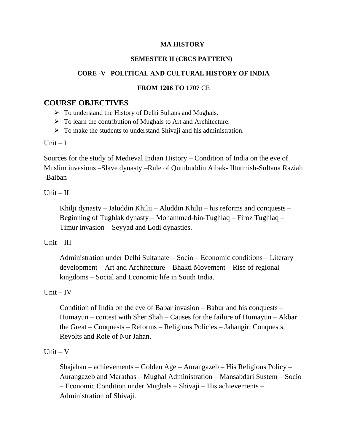## **MA HISTORY**

## **SEMESTER II (CBCS PATTERN)**

## **CORE -V POLITICAL AND CULTURAL HISTORY OF INDIA**

## **FROM 1206 TO 1707** CE

## **COURSE OBJECTIVES**

- $\triangleright$  To understand the History of Delhi Sultans and Mughals.
- $\triangleright$  To learn the contribution of Mughals to Art and Architecture.
- $\triangleright$  To make the students to understand Shivaji and his administration.

Unit  $-I$ 

Sources for the study of Medieval Indian History – Condition of India on the eve of Muslim invasions –Slave dynasty –Rule of Qutubuddin Aibak- Iltutmish-Sultana Raziah -Balban

## $Unit - II$

Khilji dynasty – Jaluddin Khilji – Aluddin Khilji – his reforms and conquests – Beginning of Tughlak dynasty – Mohammed-bin-Tughlaq – Firoz Tughlaq – Timur invasion – Seyyad and Lodi dynasties.

## $Unit - III$

Administration under Delhi Sultanate – Socio – Economic conditions – Literary development – Art and Architecture – Bhakti Movement – Rise of regional kingdoms – Social and Economic life in South India.

## $Unit - IV$

Condition of India on the eve of Babar invasion – Babur and his conquests – Humayun – contest with Sher Shah – Causes for the failure of Humayun – Akbar the Great – Conquests – Reforms – Religious Policies – Jahangir, Conquests, Revolts and Role of Nur Jahan.

## Unit  $-V$

Shajahan – achievements – Golden Age – Aurangazeb – His Religious Policy – Aurangazeb and Marathas – Mughal Administration – Mansabdari Sustem – Socio – Economic Condition under Mughals – Shivaji – His achievements – Administration of Shivaji.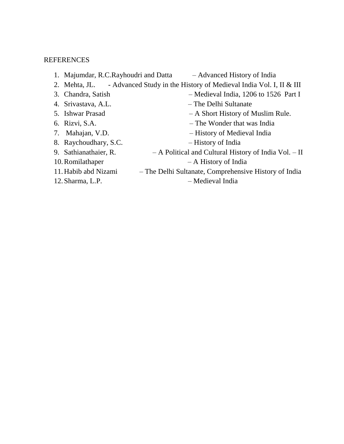### REFERENCES

- 1. Majumdar, R.C.Rayhoudri and Datta Advanced History of India 2. Mehta, JL. - Advanced Study in the History of Medieval India Vol. I, II & III 3. Chandra, Satish – Medieval India, 1206 to 1526 Part I 4. Srivastava, A.L. – The Delhi Sultanate 5. Ishwar Prasad – A Short History of Muslim Rule. 6. Rizvi, S.A. – The Wonder that was India 7. Mahajan, V.D. – History of Medieval India 8. Raychoudhary, S.C. – History of India 9. Sathianathaier, R. – A Political and Cultural History of India Vol. – II 10.Romilathaper – A History of India 11.Habib abd Nizami – The Delhi Sultanate, Comprehensive History of India
- 
- 12.Sharma, L.P. Medieval India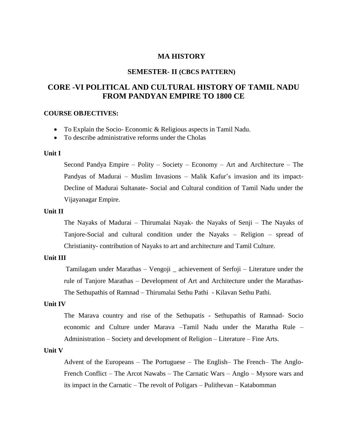### **MA HISTORY**

### **SEMESTER- II (CBCS PATTERN)**

## **CORE -VI POLITICAL AND CULTURAL HISTORY OF TAMIL NADU FROM PANDYAN EMPIRE TO 1800 CE**

#### **COURSE OBJECTIVES:**

- To Explain the Socio- Economic & Religious aspects in Tamil Nadu.
- To describe administrative reforms under the Cholas

#### **Unit I**

Second Pandya Empire – Polity – Society – Economy – Art and Architecture – The Pandyas of Madurai – Muslim Invasions – Malik Kafur"s invasion and its impact-Decline of Madurai Sultanate- Social and Cultural condition of Tamil Nadu under the Vijayanagar Empire.

#### **Unit II**

The Nayaks of Madurai – Thirumalai Nayak- the Nayaks of Senji – The Nayaks of Tanjore-Social and cultural condition under the Nayaks – Religion – spread of Christianity- contribution of Nayaks to art and architecture and Tamil Culture.

#### **Unit III**

Tamilagam under Marathas – Vengoji \_ achievement of Serfoji – Literature under the rule of Tanjore Marathas – Development of Art and Architecture under the Marathas-The Sethupathis of Ramnad – Thirumalai Sethu Pathi - Kilavan Sethu Pathi.

#### **Unit IV**

The Marava country and rise of the Sethupatis - Sethupathis of Ramnad- Socio economic and Culture under Marava –Tamil Nadu under the Maratha Rule – Administration – Society and development of Religion – Literature – Fine Arts.

#### **Unit V**

Advent of the Europeans – The Portuguese – The English– The French– The Anglo-French Conflict – The Arcot Nawabs – The Carnatic Wars – Anglo – Mysore wars and its impact in the Carnatic – The revolt of Poligars – Pulithevan – Katabomman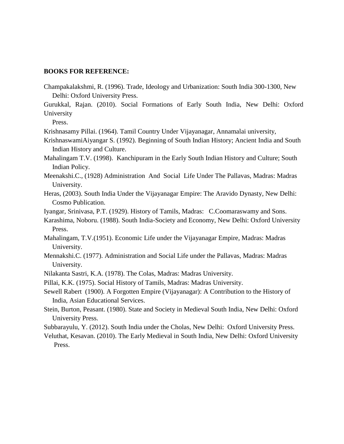#### **BOOKS FOR REFERENCE:**

Champakalakshmi, R. (1996). Trade, Ideology and Urbanization: South India 300-1300, New Delhi: Oxford University Press.

Gurukkal, Rajan. (2010). Social Formations of Early South India, New Delhi: Oxford University

Press.

Krishnasamy Pillai. (1964). Tamil Country Under Vijayanagar, Annamalai university,

- KrishnaswamiAiyangar S. (1992). Beginning of South Indian History; Ancient India and South Indian History and Culture.
- Mahalingam T.V. (1998). Kanchipuram in the Early South Indian History and Culture; South Indian Policy.
- Meenakshi.C., (1928) Administration And Social Life Under The Pallavas, Madras: Madras University.
- Heras, (2003). South India Under the Vijayanagar Empire: The Aravido Dynasty, New Delhi: Cosmo Publication.

Iyangar, Srinivasa, P.T. (1929). History of Tamils, Madras: C.Coomaraswamy and Sons.

- Karashima, Noboru. (1988). South India-Society and Economy, New Delhi: Oxford University Press.
- Mahalingam, T.V.(1951). Economic Life under the Vijayanagar Empire, Madras: Madras University.
- Mennakshi.C. (1977). Administration and Social Life under the Pallavas, Madras: Madras University.
- Nilakanta Sastri, K.A. (1978). The Colas, Madras: Madras University.
- Pillai, K.K. (1975). Social History of Tamils, Madras: Madras University.
- Sewell Rabert (1900). A Forgotten Empire (Vijayanagar): A Contribution to the History of India, Asian Educational Services.
- Stein, Burton, Peasant. (1980). State and Society in Medieval South India, New Delhi: Oxford University Press.

Subbarayulu, Y. (2012). South India under the Cholas, New Delhi: Oxford University Press.

Veluthat, Kesavan. (2010). The Early Medieval in South India, New Delhi: Oxford University Press.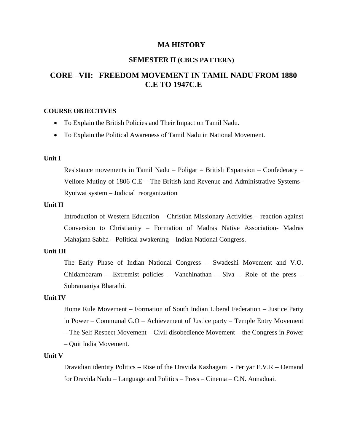#### **MA HISTORY**

## **SEMESTER II (CBCS PATTERN)**

## **CORE –VII: FREEDOM MOVEMENT IN TAMIL NADU FROM 1880 C.E TO 1947C.E**

#### **COURSE OBJECTIVES**

- To Explain the British Policies and Their Impact on Tamil Nadu.
- To Explain the Political Awareness of Tamil Nadu in National Movement.

#### **Unit I**

Resistance movements in Tamil Nadu – Poligar – British Expansion – Confederacy – Vellore Mutiny of 1806 C.E – The British land Revenue and Administrative Systems– Ryotwai system – Judicial reorganization

#### **Unit II**

Introduction of Western Education – Christian Missionary Activities – reaction against Conversion to Christianity – Formation of Madras Native Association- Madras Mahajana Sabha – Political awakening – Indian National Congress.

#### **Unit III**

The Early Phase of Indian National Congress – Swadeshi Movement and V.O. Chidambaram – Extremist policies – Vanchinathan – Siva – Role of the press – Subramaniya Bharathi.

#### **Unit IV**

Home Rule Movement – Formation of South Indian Liberal Federation – Justice Party in Power – Communal G.O – Achievement of Justice party – Temple Entry Movement – The Self Respect Movement – Civil disobedience Movement – the Congress in Power – Quit India Movement.

#### **Unit V**

Dravidian identity Politics – Rise of the Dravida Kazhagam - Periyar E.V.R – Demand for Dravida Nadu – Language and Politics – Press – Cinema – C.N. Annaduai.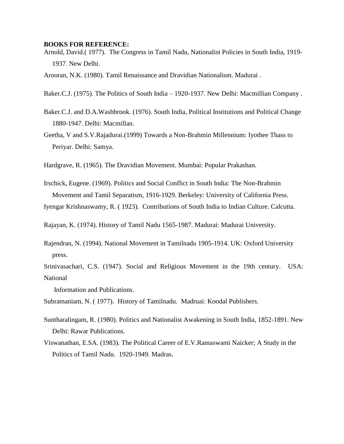#### **BOOKS FOR REFERENCE:**

Arnold, David.( 1977). The Congress in Tamil Nadu, Nationalist Policies in South India, 1919- 1937. New Delhi.

Arooran, N.K. (1980). Tamil Renaissance and Dravidian Nationalism. Madurai .

- Baker.C.J. (1975). The Politics of South India 1920-1937. New Delhi: Macmillian Company .
- Baker.C.J. and D.A.Washbrook. (1976). South India, Political Institutions and Political Change 1880-1947. Delhi: Macmillan.
- Geetha, V and S.V.Rajadurai.(1999) Towards a Non-Brahmin Millennium: Iyothee Thass to Periyar. Delhi: Samya.
- Hardgrave, R. (1965). The Dravidian Movement. Mumbai: Popular Prakashan.
- Irschick, Eugene. (1969). Politics and Social Conflict in South India: The Non-Brahmin Movement and Tamil Separatism, 1916-1929. Berkeley: University of California Press.
- Iyengar Krishnaswamy, R. ( 1923). Contributions of South India to Indian Culture. Calcutta.

Rajayan, K. (1974). History of Tamil Nadu 1565-1987. Madurai: Madurai University.

Rajendran, N. (1994). National Movement in Tamilnadu 1905-1914. UK: Oxford University press.

Srinivasachari, C.S. (1947). Social and Religious Movement in the 19th century. USA: National

Information and Publications.

Subramaniam, N. ( 1977). History of Tamilnadu. Madruai: Koodal Publishers.

- Suntharalingam, R. (1980). Politics and Nationalist Awakening in South India, 1852-1891. New Delhi: Rawar Publications.
- Viswanathan, E.SA. (1983). The Political Career of E.V.Ramaswami Naicker; A Study in the Politics of Tamil Nadu. 1920-1949. Madras.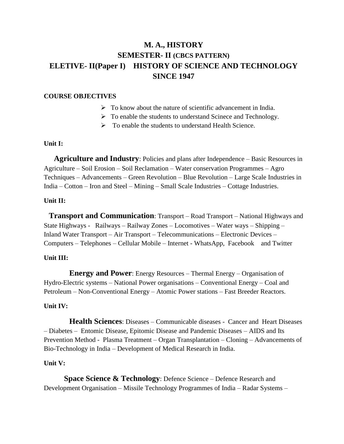# **M. A., HISTORY SEMESTER- II (CBCS PATTERN) ELETIVE- II(Paper I) HISTORY OF SCIENCE AND TECHNOLOGY SINCE 1947**

#### **COURSE OBJECTIVES**

- $\triangleright$  To know about the nature of scientific advancement in India.
- $\triangleright$  To enable the students to understand Scinece and Technology.
- $\triangleright$  To enable the students to understand Health Science.

#### **Unit I:**

 **Agriculture and Industry**: Policies and plans after Independence – Basic Resources in Agriculture – Soil Erosion – Soil Reclamation – Water conservation Programmes – Agro Techniques – Advancements – Green Revolution – Blue Revolution – Large Scale Industries in India – Cotton – Iron and Steel – Mining – Small Scale Industries – Cottage Industries.

## **Unit II:**

 **Transport and Communication**: Transport – Road Transport – National Highways and State Highways - Railways – Railway Zones – Locomotives – Water ways – Shipping – Inland Water Transport – Air Transport – Telecommunications – Electronic Devices – Computers – Telephones – Cellular Mobile – Internet - WhatsApp, Facebook and Twitter

## **Unit III:**

**Energy and Power**: Energy Resources – Thermal Energy – Organisation of Hydro-Electric systems – National Power organisations – Conventional Energy – Coal and Petroleum – Non-Conventional Energy – Atomic Power stations – Fast Breeder Reactors.

#### **Unit IV:**

 **Health Sciences**: Diseases – Communicable diseases - Cancer and Heart Diseases – Diabetes – Entomic Disease, Epitomic Disease and Pandemic Diseases – AIDS and Its Prevention Method - Plasma Treatment – Organ Transplantation – Cloning – Advancements of Bio-Technology in India – Development of Medical Research in India.

#### **Unit V:**

**Space Science & Technology**: Defence Science – Defence Research and Development Organisation – Missile Technology Programmes of India – Radar Systems –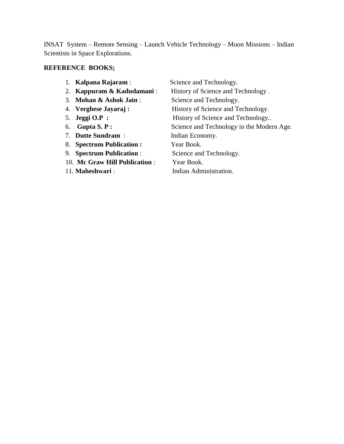INSAT System – Remote Sensing – Launch Vehicle Technology – Moon Missions – Indian Scientists in Space Explorations.

# **REFERENCE BOOKS;**

|         | Kalpana Rajaram :             | Science and Technology.                   |
|---------|-------------------------------|-------------------------------------------|
| 2.      | Kappuram & Kadudamani:        | History of Science and Technology.        |
| $3_{-}$ | Mohan & Ashok Jain:           | Science and Technology.                   |
|         | 4. Verghese Jayaraj:          | History of Science and Technology.        |
|         | 5. Jeggi $O.P$ :              | History of Science and Technology         |
| 6.      | Gupta $S.P$ :                 | Science and Technology in the Modern Age. |
|         | 7. Dutte Sundram:             | Indian Economy.                           |
| 8.      | <b>Spectrum Publication:</b>  | Year Book.                                |
| 9.      | <b>Spectrum Publication:</b>  | Science and Technology.                   |
|         | 10. Mc Graw Hill Publication: | Year Book.                                |
|         | 11. Maheshwari:               | Indian Administration.                    |
|         |                               |                                           |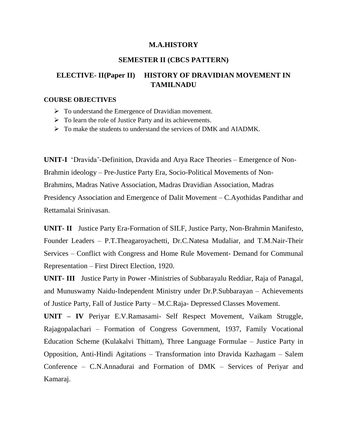## **M.A.HISTORY**

### **SEMESTER II (CBCS PATTERN)**

## **ELECTIVE- II(Paper II) HISTORY OF DRAVIDIAN MOVEMENT IN TAMILNADU**

#### **COURSE OBJECTIVES**

- $\triangleright$  To understand the Emergence of Dravidian movement.
- $\triangleright$  To learn the role of Justice Party and its achievements.
- $\triangleright$  To make the students to understand the services of DMK and AIADMK.

**UNIT-I** "Dravida"-Definition, Dravida and Arya Race Theories – Emergence of Non-Brahmin ideology – Pre-Justice Party Era, Socio-Political Movements of Non-Brahmins, Madras Native Association, Madras Dravidian Association, Madras Presidency Association and Emergence of Dalit Movement – C.Ayothidas Pandithar and Rettamalai Srinivasan.

**UNIT- II** Justice Party Era-Formation of SILF, Justice Party, Non-Brahmin Manifesto, Founder Leaders – P.T.Theagaroyachetti, Dr.C.Natesa Mudaliar, and T.M.Nair-Their Services – Conflict with Congress and Home Rule Movement- Demand for Communal Representation – First Direct Election, 1920.

**UNIT- III** Justice Party in Power -Ministries of Subbarayalu Reddiar, Raja of Panagal, and Munuswamy Naidu-Independent Ministry under Dr.P.Subbarayan – Achievements of Justice Party, Fall of Justice Party – M.C.Raja- Depressed Classes Movement.

**UNIT – IV** Periyar E.V.Ramasami- Self Respect Movement, Vaikam Struggle, Rajagopalachari – Formation of Congress Government, 1937, Family Vocational Education Scheme (Kulakalvi Thittam), Three Language Formulae – Justice Party in Opposition, Anti-Hindi Agitations – Transformation into Dravida Kazhagam – Salem Conference – C.N.Annadurai and Formation of DMK – Services of Periyar and Kamaraj.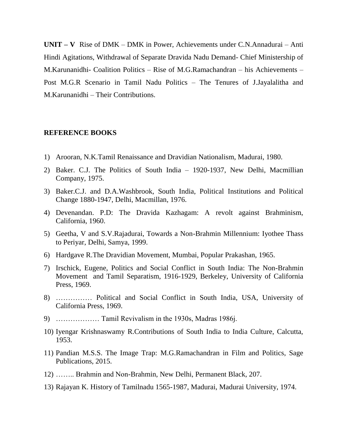**UNIT – V** Rise of DMK – DMK in Power, Achievements under C.N.Annadurai – Anti Hindi Agitations, Withdrawal of Separate Dravida Nadu Demand- Chief Ministership of M.Karunanidhi- Coalition Politics – Rise of M.G.Ramachandran – his Achievements – Post M.G.R Scenario in Tamil Nadu Politics – The Tenures of J.Jayalalitha and M.Karunanidhi – Their Contributions.

#### **REFERENCE BOOKS**

- 1) Arooran, N.K.Tamil Renaissance and Dravidian Nationalism, Madurai, 1980.
- 2) Baker. C.J. The Politics of South India 1920-1937, New Delhi, Macmillian Company, 1975.
- 3) Baker.C.J. and D.A.Washbrook, South India, Political Institutions and Political Change 1880-1947, Delhi, Macmillan, 1976.
- 4) Devenandan. P.D: The Dravida Kazhagam: A revolt against Brahminism, California, 1960.
- 5) Geetha, V and S.V.Rajadurai, Towards a Non-Brahmin Millennium: Iyothee Thass to Periyar, Delhi, Samya, 1999.
- 6) Hardgave R.The Dravidian Movement, Mumbai, Popular Prakashan, 1965.
- 7) Irschick, Eugene, Politics and Social Conflict in South India: The Non-Brahmin Movement and Tamil Separatism, 1916-1929, Berkeley, University of California Press, 1969.
- 8) …………… Political and Social Conflict in South India, USA, University of California Press, 1969.
- 9) ……………… Tamil Revivalism in the 1930s, Madras 1986j.
- 10) Iyengar Krishnaswamy R.Contributions of South India to India Culture, Calcutta, 1953.
- 11) Pandian M.S.S. The Image Trap: M.G.Ramachandran in Film and Politics, Sage Publications, 2015.
- 12) …….. Brahmin and Non-Brahmin, New Delhi, Permanent Black, 207.
- 13) Rajayan K. History of Tamilnadu 1565-1987, Madurai, Madurai University, 1974.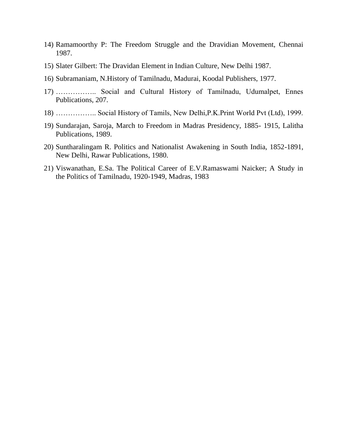- 14) Ramamoorthy P: The Freedom Struggle and the Dravidian Movement, Chennai 1987.
- 15) Slater Gilbert: The Dravidan Element in Indian Culture, New Delhi 1987.
- 16) Subramaniam, N.History of Tamilnadu, Madurai, Koodal Publishers, 1977.
- 17) …………….. Social and Cultural History of Tamilnadu, Udumalpet, Ennes Publications, 207.
- 18) …………….. Social History of Tamils, New Delhi,P.K.Print World Pvt (Ltd), 1999.
- 19) Sundarajan, Saroja, March to Freedom in Madras Presidency, 1885- 1915, Lalitha Publications, 1989.
- 20) Suntharalingam R. Politics and Nationalist Awakening in South India, 1852-1891, New Delhi, Rawar Publications, 1980.
- 21) Viswanathan, E.Sa. The Political Career of E.V.Ramaswami Naicker; A Study in the Politics of Tamilnadu, 1920-1949, Madras, 1983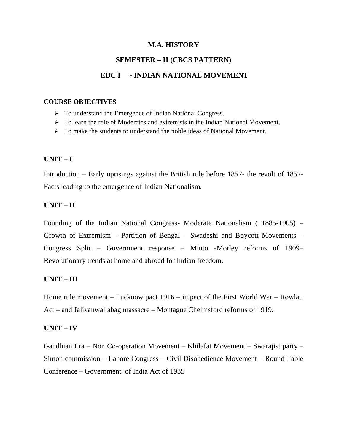## **M.A. HISTORY**

# **SEMESTER – II (CBCS PATTERN)**

## **EDC I - INDIAN NATIONAL MOVEMENT**

#### **COURSE OBJECTIVES**

- To understand the Emergence of Indian National Congress.
- $\triangleright$  To learn the role of Moderates and extremists in the Indian National Movement.
- $\triangleright$  To make the students to understand the noble ideas of National Movement.

## **UNIT – I**

Introduction – Early uprisings against the British rule before 1857- the revolt of 1857- Facts leading to the emergence of Indian Nationalism.

## **UNIT – II**

Founding of the Indian National Congress- Moderate Nationalism ( 1885-1905) – Growth of Extremism – Partition of Bengal – Swadeshi and Boycott Movements – Congress Split – Government response – Minto -Morley reforms of 1909– Revolutionary trends at home and abroad for Indian freedom.

## **UNIT – III**

Home rule movement – Lucknow pact 1916 – impact of the First World War – Rowlatt Act – and Jaliyanwallabag massacre – Montague Chelmsford reforms of 1919.

## **UNIT – IV**

Gandhian Era – Non Co-operation Movement – Khilafat Movement – Swarajist party – Simon commission – Lahore Congress – Civil Disobedience Movement – Round Table Conference – Government of India Act of 1935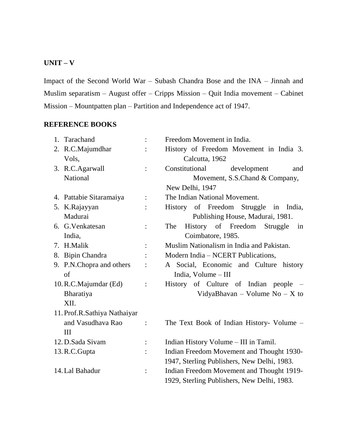## **UNIT – V**

Impact of the Second World War – Subash Chandra Bose and the INA – Jinnah and Muslim separatism – August offer – Cripps Mission – Quit India movement – Cabinet Mission – Mountpatten plan – Partition and Independence act of 1947.

## **REFERENCE BOOKS**

| 1. Tarachand                 |                | Freedom Movement in India.                  |
|------------------------------|----------------|---------------------------------------------|
| 2. R.C.Majumdhar             |                | History of Freedom Movement in India 3.     |
| Vols,                        |                | Calcutta, 1962                              |
| 3. R.C.Agarwall              |                | Constitutional<br>development<br>and        |
| National                     |                | Movement, S.S.Chand & Company,              |
|                              |                | New Delhi, 1947                             |
| 4. Pattabie Sitaramaiya      | $\ddot{\cdot}$ | The Indian National Movement.               |
| 5. K.Rajayyan                |                | History of Freedom Struggle in<br>India,    |
| Madurai                      |                | Publishing House, Madurai, 1981.            |
| 6. G. Venkatesan             |                | History of Freedom Struggle<br>The<br>in    |
| India,                       |                | Coimbatore, 1985.                           |
| 7. H.Malik                   |                | Muslim Nationalism in India and Pakistan.   |
| 8. Bipin Chandra             |                | Modern India - NCERT Publications,          |
| 9. P.N.Chopra and others     |                | A Social, Economic and Culture history      |
| of                           |                | India, Volume $-III$                        |
| 10. R.C.Majumdar (Ed)        | $\ddot{\cdot}$ | History of Culture of Indian people -       |
| Bharatiya                    |                | VidyaBhavan – Volume No – X to              |
| XII.                         |                |                                             |
| 11. Prof.R.Sathiya Nathaiyar |                |                                             |
| and Vasudhava Rao            | $\ddot{\cdot}$ | The Text Book of Indian History- Volume -   |
| III                          |                |                                             |
| 12. D.Sada Sivam             | $\ddot{\cdot}$ | Indian History Volume - III in Tamil.       |
| 13. R.C. Gupta               |                | Indian Freedom Movement and Thought 1930-   |
|                              |                | 1947, Sterling Publishers, New Delhi, 1983. |
| 14. Lal Bahadur              | $\ddot{\cdot}$ | Indian Freedom Movement and Thought 1919-   |
|                              |                | 1929, Sterling Publishers, New Delhi, 1983. |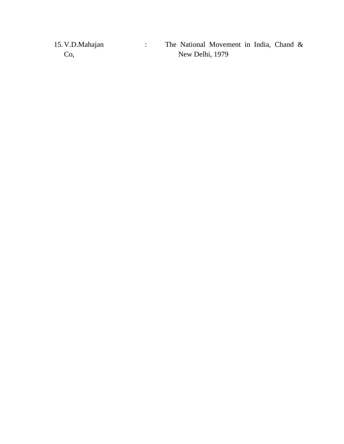| 15. V.D.Mahajan | The National Movement in India, Chand & |
|-----------------|-----------------------------------------|
| Co.             | New Delhi, 1979                         |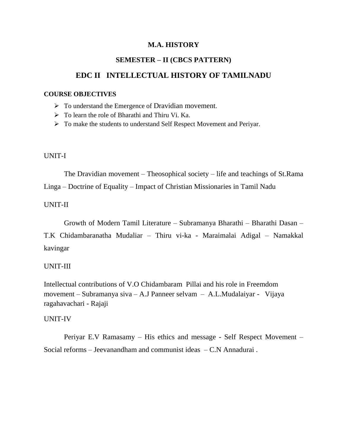## **M.A. HISTORY**

## **SEMESTER – II (CBCS PATTERN)**

## **EDC II INTELLECTUAL HISTORY OF TAMILNADU**

#### **COURSE OBJECTIVES**

- $\triangleright$  To understand the Emergence of Dravidian movement.
- $\triangleright$  To learn the role of Bharathi and Thiru Vi. Ka.
- To make the students to understand Self Respect Movement and Periyar.

#### UNIT-I

The Dravidian movement – Theosophical society – life and teachings of St.Rama Linga – Doctrine of Equality – Impact of Christian Missionaries in Tamil Nadu

## UNIT-II

Growth of Modern Tamil Literature – Subramanya Bharathi – Bharathi Dasan – T.K Chidambaranatha Mudaliar – Thiru vi-ka - Maraimalai Adigal – Namakkal kavingar

## UNIT-III

Intellectual contributions of V.O Chidambaram Pillai and his role in Freemdom movement – Subramanya siva – A.J Panneer selvam – A.L.Mudalaiyar - Vijaya ragahavachari - Rajaji

#### UNIT-IV

Periyar E.V Ramasamy – His ethics and message - Self Respect Movement – Social reforms – Jeevanandham and communist ideas – C.N Annadurai .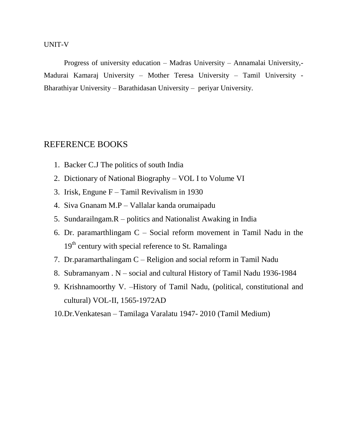### UNIT-V

Progress of university education – Madras University – Annamalai University,- Madurai Kamaraj University – Mother Teresa University – Tamil University - Bharathiyar University – Barathidasan University – periyar University.

## REFERENCE BOOKS

- 1. Backer C.J The politics of south India
- 2. Dictionary of National Biography VOL I to Volume VI
- 3. Irisk, Engune F Tamil Revivalism in 1930
- 4. Siva Gnanam M.P Vallalar kanda orumaipadu
- 5. Sundarailngam.R politics and Nationalist Awaking in India
- 6. Dr. paramarthlingam  $C Social$  reform movement in Tamil Nadu in the 19<sup>th</sup> century with special reference to St. Ramalinga
- 7. Dr.paramarthalingam C Religion and social reform in Tamil Nadu
- 8. Subramanyam . N social and cultural History of Tamil Nadu 1936-1984
- 9. Krishnamoorthy V. –History of Tamil Nadu, (political, constitutional and cultural) VOL-II, 1565-1972AD
- 10.Dr.Venkatesan Tamilaga Varalatu 1947- 2010 (Tamil Medium)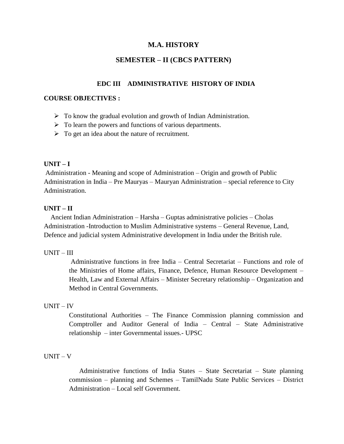## **M.A. HISTORY**

## **SEMESTER – II (CBCS PATTERN)**

## **EDC III ADMINISTRATIVE HISTORY OF INDIA**

#### **COURSE OBJECTIVES :**

- $\triangleright$  To know the gradual evolution and growth of Indian Administration.
- $\triangleright$  To learn the powers and functions of various departments.
- $\triangleright$  To get an idea about the nature of recruitment.

## **UNIT – I**

Administration - Meaning and scope of Administration – Origin and growth of Public Administration in India – Pre Mauryas – Mauryan Administration – special reference to City Administration.

## **UNIT – II**

 Ancient Indian Administration – Harsha – Guptas administrative policies – Cholas Administration -Introduction to Muslim Administrative systems – General Revenue, Land, Defence and judicial system Administrative development in India under the British rule.

#### UNIT – III

Administrative functions in free India – Central Secretariat – Functions and role of the Ministries of Home affairs, Finance, Defence, Human Resource Development – Health, Law and External Affairs – Minister Secretary relationship – Organization and Method in Central Governments.

#### UNIT – IV

Constitutional Authorities – The Finance Commission planning commission and Comptroller and Auditor General of India – Central – State Administrative relationship – inter Governmental issues.- UPSC

#### UNIT – V

 Administrative functions of India States – State Secretariat – State planning commission – planning and Schemes – TamilNadu State Public Services – District Administration – Local self Government.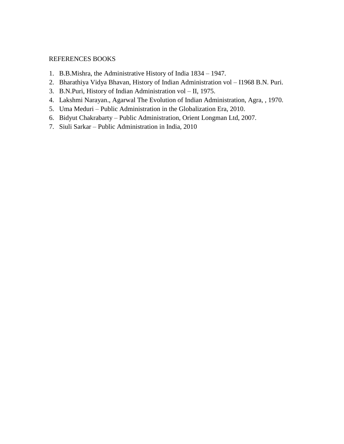# REFERENCES BOOKS

- 1. B.B.Mishra, the Administrative History of India 1834 1947.
- 2. Bharathiya Vidya Bhavan, History of Indian Administration vol I1968 B.N. Puri.
- 3. B.N.Puri, History of Indian Administration vol II, 1975.
- 4. Lakshmi Narayan., Agarwal The Evolution of Indian Administration, Agra, , 1970.
- 5. Uma Meduri Public Administration in the Globalization Era, 2010.
- 6. Bidyut Chakrabarty Public Administration, Orient Longman Ltd, 2007.
- 7. Siuli Sarkar Public Administration in India, 2010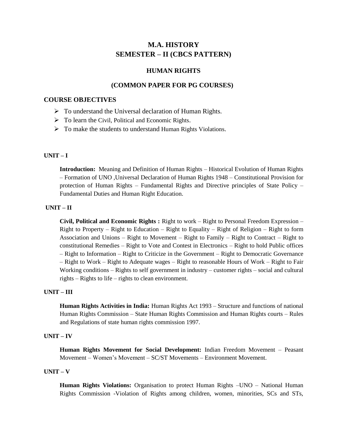# **M.A. HISTORY SEMESTER – II (CBCS PATTERN)**

#### **HUMAN RIGHTS**

#### **(COMMON PAPER FOR PG COURSES)**

#### **COURSE OBJECTIVES**

- $\triangleright$  To understand the Universal declaration of Human Rights.
- > To learn the Civil, Political and Economic Rights.
- $\triangleright$  To make the students to understand Human Rights Violations.

#### **UNIT – I**

**Introduction:** Meaning and Definition of Human Rights – Historical Evolution of Human Rights – Formation of UNO ,Universal Declaration of Human Rights 1948 – Constitutional Provision for protection of Human Rights – Fundamental Rights and Directive principles of State Policy – Fundamental Duties and Human Right Education.

#### **UNIT – II**

**Civil, Political and Economic Rights :** Right to work – Right to Personal Freedom Expression – Right to Property – Right to Education – Right to Equality – Right of Religion – Right to form Association and Unions – Right to Movement – Right to Family – Right to Contract – Right to constitutional Remedies – Right to Vote and Contest in Electronics – Right to hold Public offices – Right to Information – Right to Criticize in the Government – Right to Democratic Governance – Right to Work – Right to Adequate wages – Right to reasonable Hours of Work – Right to Fair Working conditions – Rights to self government in industry – customer rights – social and cultural rights – Rights to life – rights to clean environment.

#### **UNIT – III**

**Human Rights Activities in India:** Human Rights Act 1993 – Structure and functions of national Human Rights Commission – State Human Rights Commission and Human Rights courts – Rules and Regulations of state human rights commission 1997.

#### **UNIT – IV**

**Human Rights Movement for Social Development:** Indian Freedom Movement – Peasant Movement – Women"s Movement – SC/ST Movements – Environment Movement.

#### **UNIT – V**

**Human Rights Violations:** Organisation to protect Human Rights –UNO – National Human Rights Commission -Violation of Rights among children, women, minorities, SCs and STs,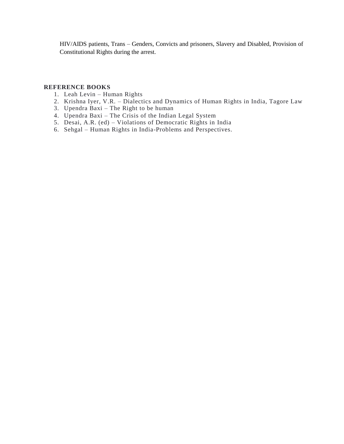HIV/AIDS patients, Trans – Genders, Convicts and prisoners, Slavery and Disabled, Provision of Constitutional Rights during the arrest.

#### **REFERENCE BOOKS**

- 1. Leah Levin Human Rights
- 2. Krishna Iyer, V.R. Dialectics and Dynamics of Human Rights in India, Tagore Law
- 3. Upendra Baxi The Right to be human
- 4. Upendra Baxi The Crisis of the Indian Legal System
- 5. Desai, A.R. (ed) Violations of Democratic Rights in India
- 6. Sehgal Human Rights in India-Problems and Perspectives.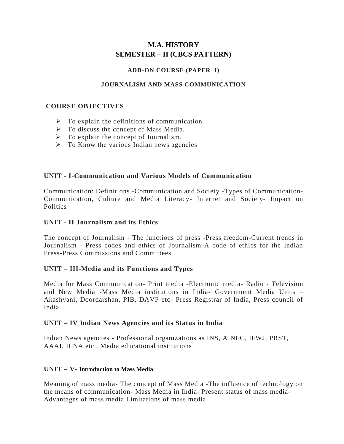# **M.A. HISTORY SEMESTER – II (CBCS PATTERN)**

#### **ADD-ON COURSE (PAPER I)**

## **JOURNALISM AND MASS COMMUNICATION**

## **COURSE OBJECTIVES**

- $\triangleright$  To explain the definitions of communication.
- $\triangleright$  To discuss the concept of Mass Media.
- $\triangleright$  To explain the concept of Journalism.
- $\triangleright$  To Know the various Indian news agencies

# **UNIT - I**-**Communication and Various Models of Communication**

Communication: Definitions -Communication and Society -Types of Communication-Communication, Culture and Media Literacy- Internet and Society- Impact on Politics

# **UNIT - II Journalism and its Ethics**

The concept of Journalism - The functions of press -Press freedom-Current trends in Journalism - Press codes and ethics of Journalism-A code of ethics for the Indian Press-Press Commissions and Committees

# **UNIT – III-Media and its Functions and Types**

Media for Mass Communication- Print media -Electronic media- Radio - Television and New Media -Mass Media institutions in India- Government Media Units – Akashvani, Doordarshan, PIB, DAVP etc- Press Registrar of India, Press council of India

## **UNIT – IV Indian News Agencies and its Status in India**

Indian News agencies - Professional organizations as INS, AINEC, IFWJ, PRST, AAAI, ILNA etc., Media educational institutions

## **UNIT – V- Introduction to Mass Media**

Meaning of mass media- The concept of Mass Media -The influence of technology on the means of communication- Mass Media in India- Present status of mass media-Advantages of mass media Limitations of mass media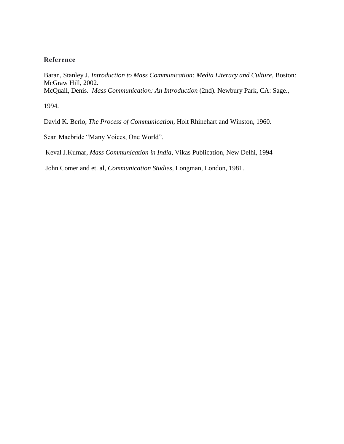# **Reference**

Baran, Stanley J. *Introduction to Mass Communication: Media Literacy and Culture*, Boston: McGraw Hill, 2002. McQuail, Denis. *Mass Communication: An Introduction* (2nd). Newbury Park, CA: Sage.,

1994.

David K. Berlo, *The Process of Communication*, Holt Rhinehart and Winston, 1960.

Sean Macbride "Many Voices, One World".

Keval J.Kumar, *Mass Communication in India*, Vikas Publication, New Delhi, 1994

John Comer and et. al, *Communication Studies,* Longman, London, 1981.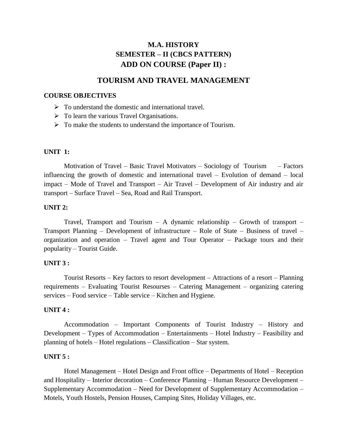# **M.A. HISTORY SEMESTER – II (CBCS PATTERN) ADD ON COURSE (Paper II) :**

# **TOURISM AND TRAVEL MANAGEMENT**

#### **COURSE OBJECTIVES**

- $\triangleright$  To understand the domestic and international travel.
- $\triangleright$  To learn the various Travel Organisations.
- $\triangleright$  To make the students to understand the importance of Tourism.

#### **UNIT 1:**

Motivation of Travel – Basic Travel Motivators – Sociology of Tourism – Factors influencing the growth of domestic and international travel – Evolution of demand – local impact – Mode of Travel and Transport – Air Travel – Development of Air industry and air transport – Surface Travel – Sea, Road and Rail Transport.

#### **UNIT 2:**

Travel, Transport and Tourism  $-$  A dynamic relationship  $-$  Growth of transport  $-$ Transport Planning – Development of infrastructure – Role of State – Business of travel – organization and operation – Travel agent and Tour Operator – Package tours and their popularity – Tourist Guide.

#### **UNIT 3 :**

Tourist Resorts – Key factors to resort development – Attractions of a resort – Planning requirements – Evaluating Tourist Resourses – Catering Management – organizing catering services – Food service – Table service – Kitchen and Hygiene.

#### **UNIT 4 :**

Accommodation – Important Components of Tourist Industry – History and Development – Types of Accommodation – Entertainments – Hotel Industry – Feasibility and planning of hotels – Hotel regulations – Classification – Star system.

#### **UNIT 5 :**

 Hotel Management – Hotel Design and Front office – Departments of Hotel – Reception and Hospitality – Interior decoration – Conference Planning – Human Resource Development – Supplementary Accommodation – Need for Development of Supplementary Accommodation – Motels, Youth Hostels, Pension Houses, Camping Sites, Holiday Villages, etc.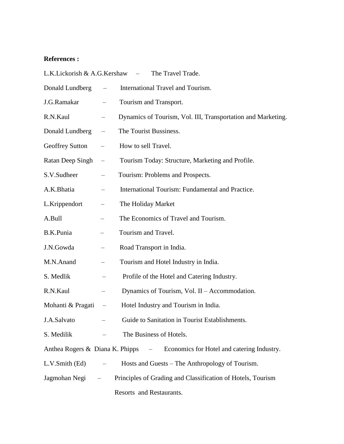# **References :**

| L.K.Lickorish & A.G.Kershaw<br>The Travel Trade.<br>$\equiv$ |                          |                                                                              |
|--------------------------------------------------------------|--------------------------|------------------------------------------------------------------------------|
| Donald Lundberg                                              |                          | International Travel and Tourism.                                            |
| J.G.Ramakar                                                  |                          | Tourism and Transport.                                                       |
| R.N.Kaul                                                     |                          | Dynamics of Tourism, Vol. III, Transportation and Marketing.                 |
| Donald Lundberg                                              |                          | The Tourist Bussiness.                                                       |
| <b>Geoffrey Sutton</b>                                       |                          | How to sell Travel.                                                          |
| Ratan Deep Singh                                             | $\overline{\phantom{m}}$ | Tourism Today: Structure, Marketing and Profile.                             |
| S.V.Sudheer                                                  |                          | Tourism: Problems and Prospects.                                             |
| A.K.Bhatia                                                   |                          | International Tourism: Fundamental and Practice.                             |
| L.Krippendort                                                |                          | The Holiday Market                                                           |
| A.Bull                                                       |                          | The Economics of Travel and Tourism.                                         |
| B.K.Punia                                                    |                          | Tourism and Travel.                                                          |
| J.N.Gowda                                                    |                          | Road Transport in India.                                                     |
| M.N.Anand                                                    |                          | Tourism and Hotel Industry in India.                                         |
| S. Medlik                                                    |                          | Profile of the Hotel and Catering Industry.                                  |
| R.N.Kaul                                                     |                          | Dynamics of Tourism, Vol. II – Accommodation.                                |
| Mohanti & Pragati                                            |                          | Hotel Industry and Tourism in India.                                         |
| J.A.Salvato                                                  |                          | Guide to Sanitation in Tourist Establishments.                               |
| S. Medilik                                                   |                          | The Business of Hotels.                                                      |
|                                                              |                          | Anthea Rogers & Diana K. Phipps – Economics for Hotel and catering Industry. |
| L.V.Smith (Ed)                                               |                          | Hosts and Guests – The Anthropology of Tourism.                              |
| Jagmohan Negi –                                              |                          | Principles of Grading and Classification of Hotels, Tourism                  |
|                                                              |                          | Resorts and Restaurants.                                                     |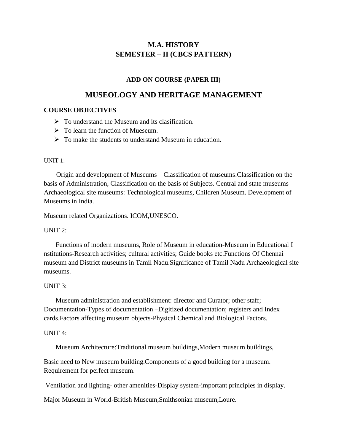# **M.A. HISTORY SEMESTER – II (CBCS PATTERN)**

# **ADD ON COURSE (PAPER III)**

# **MUSEOLOGY AND HERITAGE MANAGEMENT**

# **COURSE OBJECTIVES**

- $\triangleright$  To understand the Museum and its clasification.
- $\triangleright$  To learn the function of Mueseum.
- $\triangleright$  To make the students to understand Museum in education.

## UNIT 1:

 Origin and development of Museums – Classification of museums:Classification on the basis of Administration, Classification on the basis of Subjects. Central and state museums – Archaeological site museums: Technological museums, Children Museum. Development of Museums in India.

Museum related Organizations. ICOM,UNESCO.

## UNIT 2:

 Functions of modern museums, Role of Museum in education-Museum in Educational I nstitutions-Research activities; cultural activities; Guide books etc.Functions Of Chennai museum and District museums in Tamil Nadu.Significance of Tamil Nadu Archaeological site museums.

## UNIT 3:

 Museum administration and establishment: director and Curator; other staff; Documentation-Types of documentation –Digitized documentation; registers and Index cards.Factors affecting museum objects-Physical Chemical and Biological Factors.

## UNIT 4:

Museum Architecture:Traditional museum buildings,Modern museum buildings,

Basic need to New museum building.Components of a good building for a museum. Requirement for perfect museum.

Ventilation and lighting- other amenities-Display system-important principles in display.

Major Museum in World-British Museum,Smithsonian museum,Loure.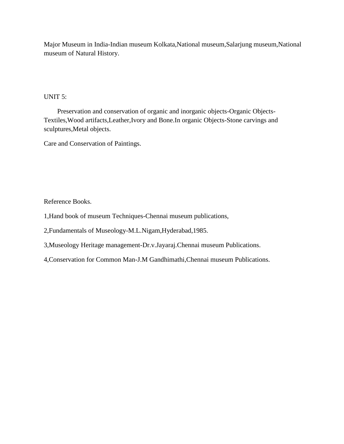Major Museum in India-Indian museum Kolkata,National museum,Salarjung museum,National museum of Natural History.

# UNIT 5:

 Preservation and conservation of organic and inorganic objects-Organic Objects-Textiles,Wood artifacts,Leather,Ivory and Bone.In organic Objects-Stone carvings and sculptures,Metal objects.

Care and Conservation of Paintings.

Reference Books.

1,Hand book of museum Techniques-Chennai museum publications,

2,Fundamentals of Museology-M.L.Nigam,Hyderabad,1985.

3,Museology Heritage management-Dr.v.Jayaraj.Chennai museum Publications.

4,Conservation for Common Man-J.M Gandhimathi,Chennai museum Publications.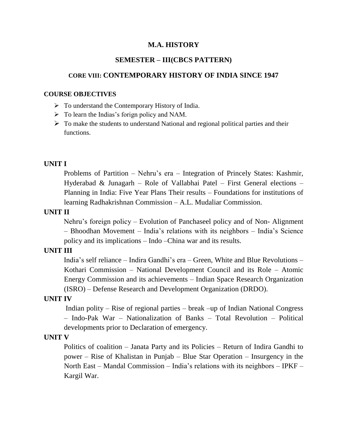# **SEMESTER – III(CBCS PATTERN)**

# **CORE VIII: CONTEMPORARY HISTORY OF INDIA SINCE 1947**

#### **COURSE OBJECTIVES**

- $\triangleright$  To understand the Contemporary History of India.
- $\triangleright$  To learn the Indias's forign policy and NAM.
- $\triangleright$  To make the students to understand National and regional political parties and their functions.

## **UNIT I**

 Problems of Partition – Nehru"s era – Integration of Princely States: Kashmir, Hyderabad & Junagarh – Role of Vallabhai Patel – First General elections – Planning in India: Five Year Plans Their results – Foundations for institutions of learning Radhakrishnan Commission – A.L. Mudaliar Commission.

## **UNIT II**

 Nehru"s foreign policy – Evolution of Panchaseel policy and of Non- Alignment – Bhoodhan Movement – India"s relations with its neighbors – India"s Science policy and its implications – Indo –China war and its results.

#### **UNIT III**

 India"s self reliance – Indira Gandhi"s era – Green, White and Blue Revolutions – Kothari Commission – National Development Council and its Role – Atomic Energy Commission and its achievements – Indian Space Research Organization (ISRO) – Defense Research and Development Organization (DRDO).

#### **UNIT IV**

 Indian polity – Rise of regional parties – break –up of Indian National Congress – Indo-Pak War – Nationalization of Banks – Total Revolution – Political developments prior to Declaration of emergency.

# **UNIT V**

 Politics of coalition – Janata Party and its Policies – Return of Indira Gandhi to power – Rise of Khalistan in Punjab – Blue Star Operation – Insurgency in the North East – Mandal Commission – India"s relations with its neighbors – IPKF – Kargil War.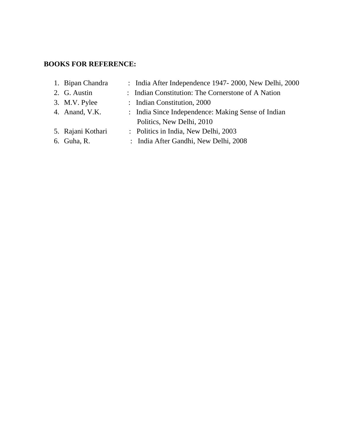# **BOOKS FOR REFERENCE:**

| 1. Bipan Chandra  | : India After Independence 1947-2000, New Delhi, 2000 |
|-------------------|-------------------------------------------------------|
| 2. G. Austin      | : Indian Constitution: The Cornerstone of A Nation    |
| 3. M.V. Pylee     | : Indian Constitution, 2000                           |
| 4. Anand, V.K.    | : India Since Independence: Making Sense of Indian    |
|                   | Politics, New Delhi, 2010                             |
| 5. Rajani Kothari | : Politics in India, New Delhi, 2003                  |
| 6. Guha, R.       | : India After Gandhi, New Delhi, 2008                 |
|                   |                                                       |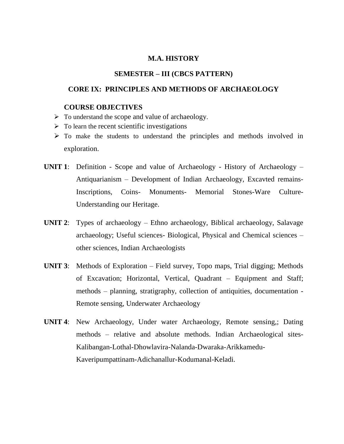# **SEMESTER – III (CBCS PATTERN)**

### **CORE IX: PRINCIPLES AND METHODS OF ARCHAEOLOGY**

#### **COURSE OBJECTIVES**

- $\triangleright$  To understand the scope and value of archaeology.
- $\triangleright$  To learn the recent scientific investigations
- $\triangleright$  To make the students to understand the principles and methods involved in exploration.
- **UNIT 1**: Definition Scope and value of Archaeology History of Archaeology Antiquarianism – Development of Indian Archaeology, Excavted remains-Inscriptions, Coins- Monuments- Memorial Stones-Ware Culture-Understanding our Heritage.
- **UNIT 2**: Types of archaeology Ethno archaeology, Biblical archaeology, Salavage archaeology; Useful sciences- Biological, Physical and Chemical sciences – other sciences, Indian Archaeologists
- **UNIT 3**: Methods of Exploration Field survey, Topo maps, Trial digging; Methods of Excavation; Horizontal, Vertical, Quadrant – Equipment and Staff; methods – planning, stratigraphy, collection of antiquities, documentation - Remote sensing, Underwater Archaeology
- **UNIT 4**: New Archaeology, Under water Archaeology, Remote sensing,; Dating methods – relative and absolute methods. Indian Archaeological sites-Kalibangan-Lothal-Dhowlavira-Nalanda-Dwaraka-Arikkamedu-Kaveripumpattinam-Adichanallur-Kodumanal-Keladi.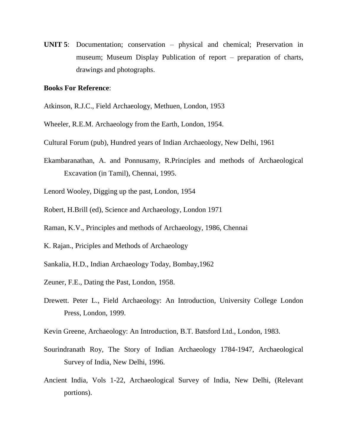**UNIT 5**: Documentation; conservation – physical and chemical; Preservation in museum; Museum Display Publication of report – preparation of charts, drawings and photographs.

#### **Books For Reference**:

- Atkinson, R.J.C., Field Archaeology, Methuen, London, 1953
- Wheeler, R.E.M. Archaeology from the Earth, London, 1954.
- Cultural Forum (pub), Hundred years of Indian Archaeology, New Delhi, 1961
- Ekambaranathan, A. and Ponnusamy, R.Principles and methods of Archaeological Excavation (in Tamil), Chennai, 1995.
- Lenord Wooley, Digging up the past, London, 1954
- Robert, H.Brill (ed), Science and Archaeology, London 1971
- Raman, K.V., Principles and methods of Archaeology, 1986, Chennai
- K. Rajan., Priciples and Methods of Archaeology
- Sankalia, H.D., Indian Archaeology Today, Bombay,1962
- Zeuner, F.E., Dating the Past, London, 1958.
- Drewett. Peter L., Field Archaeology: An Introduction, University College London Press, London, 1999.
- Kevin Greene, Archaeology: An Introduction, B.T. Batsford Ltd., London, 1983.
- Sourindranath Roy, The Story of Indian Archaeology 1784-1947, Archaeological Survey of India, New Delhi, 1996.
- Ancient India, Vols 1-22, Archaeological Survey of India, New Delhi, (Relevant portions).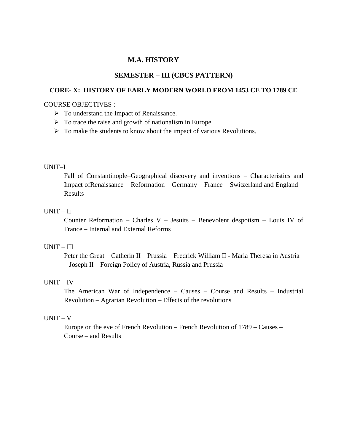## **SEMESTER – III (CBCS PATTERN)**

#### **CORE- X: HISTORY OF EARLY MODERN WORLD FROM 1453 CE TO 1789 CE**

#### COURSE OBJECTIVES :

- $\triangleright$  To understand the Impact of Renaissance.
- $\triangleright$  To trace the raise and growth of nationalism in Europe
- $\triangleright$  To make the students to know about the impact of various Revolutions.

#### UNIT–I

Fall of Constantinople–Geographical discovery and inventions – Characteristics and Impact ofRenaissance – Reformation – Germany – France – Switzerland and England – Results

## UNIT – II

Counter Reformation – Charles V – Jesuits – Benevolent despotism – Louis IV of France – Internal and External Reforms

## UNIT – III

Peter the Great – Catherin II – Prussia – Fredrick William II - Maria Theresa in Austria – Joseph II – Foreign Policy of Austria, Russia and Prussia

## UNIT – IV

The American War of Independence – Causes – Course and Results – Industrial Revolution – Agrarian Revolution – Effects of the revolutions

#### UNIT – V

Europe on the eve of French Revolution – French Revolution of 1789 – Causes – Course – and Results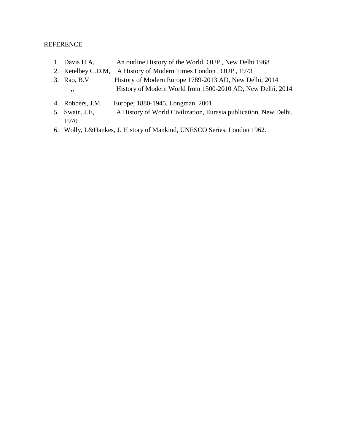## REFERENCE

- 1. Davis H.A, An outline History of the World, OUP, New Delhi 1968
- 2. Ketelbey C.D.M, A History of Modern Times London , OUP , 1973
- 3. Rao, B.V History of Modern Europe 1789-2013 AD, New Delhi, 2014 ,, History of Modern World from 1500-2010 AD, New Delhi, 2014
- 4. Robbers, J.M. Europe; 1880-1945, Longman, 2001
- 5. Swain, J.E, A History of World Civilization, Eurasia publication, New Delhi, 1970
- 6. Wolly, L&Hankes, J. History of Mankind, UNESCO Series, London 1962.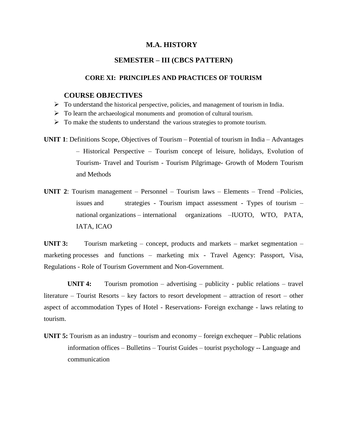# **SEMESTER – III (CBCS PATTERN)**

## **CORE XI: PRINCIPLES AND PRACTICES OF TOURISM**

#### **COURSE OBJECTIVES**

- $\triangleright$  To understand the historical perspective, policies, and management of tourism in India.
- $\triangleright$  To learn the archaeological monuments and promotion of cultural tourism.
- $\triangleright$  To make the students to understand the various strategies to promote tourism.
- **UNIT 1**: Definitions Scope, Objectives of Tourism Potential of tourism in India Advantages – Historical Perspective – Tourism concept of leisure, holidays, Evolution of Tourism- Travel and Tourism - Tourism Pilgrimage- Growth of Modern Tourism and Methods
- **UNIT 2**: Tourism management Personnel Tourism laws Elements Trend –Policies, issues and strategies - Tourism impact assessment - Types of tourism – national organizations – international organizations –IUOTO, WTO, PATA, IATA, ICAO

**UNIT 3:** Tourism marketing – concept, products and markets – market segmentation – marketing processes and functions – marketing mix - Travel Agency: Passport, Visa, Regulations - Role of Tourism Government and Non-Government.

**UNIT 4:** Tourism promotion – advertising – publicity - public relations – travel literature – Tourist Resorts – key factors to resort development – attraction of resort – other aspect of accommodation Types of Hotel - Reservations- Foreign exchange - laws relating to tourism.

**UNIT 5:** Tourism as an industry – tourism and economy – foreign exchequer – Public relations information offices – Bulletins – Tourist Guides – tourist psychology -- Language and communication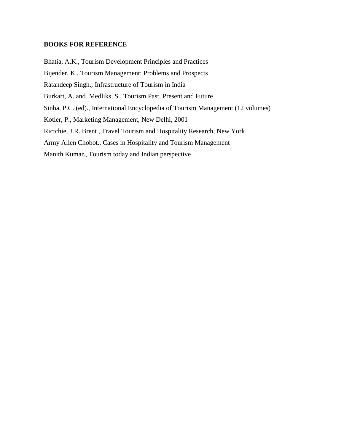## **BOOKS FOR REFERENCE**

Bhatia, A.K., Tourism Development Principles and Practices Bijender, K., Tourism Management: Problems and Prospects Ratandeep Singh., Infrastructure of Tourism in India Burkart, A. and Medliks, S., Tourism Past, Present and Future Sinha, P.C. (ed)., International Encyclopedia of Tourism Management (12 volumes) Kotler, P., Marketing Management, New Delhi, 2001 Rictchie, J.R. Brent , Travel Tourism and Hospitality Research, New York Army Allen Chobot., Cases in Hospitality and Tourism Management Manith Kumar., Tourism today and Indian perspective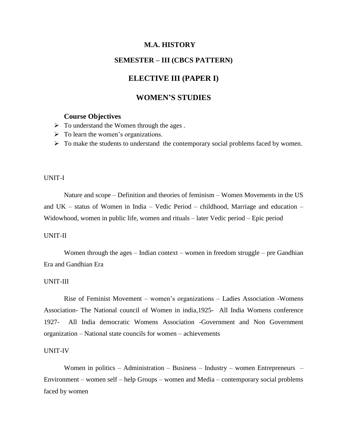# **SEMESTER – III (CBCS PATTERN)**

# **ELECTIVE III (PAPER I)**

# **WOMEN'S STUDIES**

# **Course Objectives**

- $\triangleright$  To understand the Women through the ages.
- $\triangleright$  To learn the women's organizations.
- $\triangleright$  To make the students to understand the contemporary social problems faced by women.

#### UNIT-I

Nature and scope – Definition and theories of feminism – Women Movements in the US and UK – status of Women in India – Vedic Period – childhood, Marriage and education – Widowhood, women in public life, women and rituals – later Vedic period – Epic period

#### UNIT-II

Women through the ages – Indian context – women in freedom struggle – pre Gandhian Era and Gandhian Era

#### UNIT-III

Rise of Feminist Movement – women"s organizations – Ladies Association -Womens Association- The National council of Women in india,1925- All India Womens conference 1927- All India democratic Womens Association -Government and Non Government organization – National state councils for women – achievements

#### UNIT-IV

Women in politics – Administration – Business – Industry – women Entrepreneurs – Environment – women self – help Groups – women and Media – contemporary social problems faced by women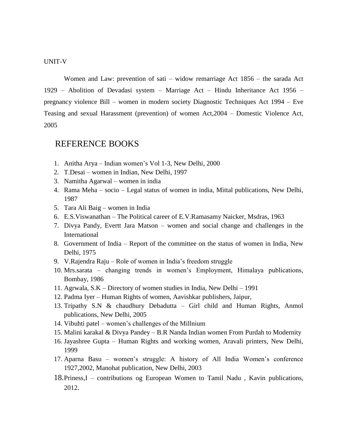UNIT-V

Women and Law: prevention of sati – widow remarriage Act 1856 – the sarada Act 1929 – Abolition of Devadasi system – Marriage Act – Hindu Inheritance Act 1956 – pregnancy violence Bill – women in modern society Diagnostic Techniques Act 1994 – Eve Teasing and sexual Harassment (prevention) of women Act,2004 – Domestic Violence Act, 2005

# REFERENCE BOOKS

- 1. Anitha Arya Indian women"s Vol 1-3, New Delhi, 2000
- 2. T.Desai women in Indian, New Delhi, 1997
- 3. Namitha Agarwal women in india
- 4. Rama Meha socio Legal status of women in india, Mittal publications, New Delhi, 1987
- 5. Tara Ali Baig women in India
- 6. E.S.Viswanathan The Political career of E.V.Ramasamy Naicker, Msdras, 1963
- 7. Divya Pandy, Evertt Jara Matson women and social change and challenges in the International
- 8. Government of India Report of the committee on the status of women in India, New Delhi, 1975
- 9. V.Rajendra Raju Role of women in India"s freedom struggle
- 10. Mrs.sarata changing trends in women"s Employment, Himalaya publications, Bombay, 1986
- 11. Agrwala, S.K Directory of women studies in India, New Delhi 1991
- 12. Padma Iyer Human Rights of women, Aavishkar publishers, Jaipur,
- 13. Tripathy S.N & chaudhury Debadutta Girl child and Human Rights, Anmol publications, New Delhi, 2005
- 14. Vibuhti patel women"s challenges of the Millnium
- 15. Malini karakal & Divya Pandey B.R Nanda Indian women From Purdah to Modernity
- 16. Jayashree Gupta Human Rights and working women, Aravali printers, New Delhi, 1999
- 17. Aparna Basu women"s struggle: A history of All India Women"s conference 1927,2002, Manohat publication, New Delhi, 2003
- 18.Priness,I contributions og European Women to Tamil Nadu , Kavin publications, 2012.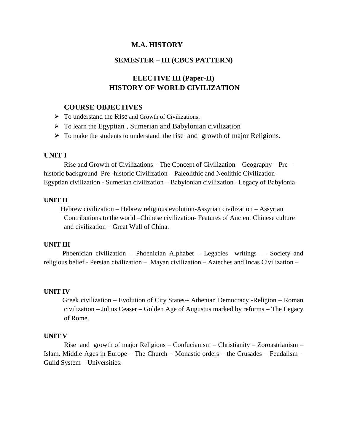# **SEMESTER – III (CBCS PATTERN)**

# **ELECTIVE III (Paper-II) HISTORY OF WORLD CIVILIZATION**

#### **COURSE OBJECTIVES**

- $\triangleright$  To understand the Rise and Growth of Civilizations.
- $\triangleright$  To learn the Egyptian, Sumerian and Babylonian civilization
- $\triangleright$  To make the students to understand the rise and growth of major Religions.

# **UNIT I**

Rise and Growth of Civilizations – The Concept of Civilization – Geography – Pre – historic background Pre -historic Civilization – Paleolithic and Neolithic Civilization – Egyptian civilization - Sumerian civilization – Babylonian civilization– Legacy of Babylonia

#### **UNIT II**

 Hebrew civilization – Hebrew religious evolution-Assyrian civilization – Assyrian Contributions to the world –Chinese civilization- Features of Ancient Chinese culture and civilization – Great Wall of China.

#### **UNIT III**

 Phoenician civilization – Phoenician Alphabet – Legacies writings –– Society and religious belief - Persian civilization –. Mayan civilization – Azteches and Incas Civilization –

#### **UNIT IV**

 Greek civilization – Evolution of City States-- Athenian Democracy -Religion – Roman civilization – Julius Ceaser – Golden Age of Augustus marked by reforms – The Legacy of Rome.

#### **UNIT V**

 Rise and growth of major Religions – Confucianism – Christianity – Zoroastrianism – Islam. Middle Ages in Europe – The Church – Monastic orders – the Crusades – Feudalism – Guild System – Universities.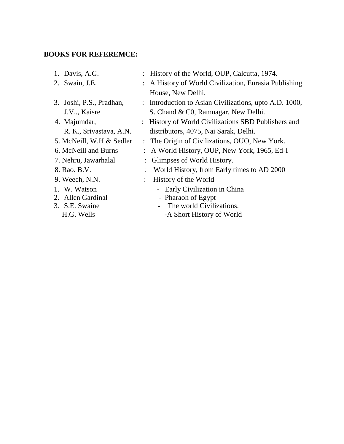# **BOOKS FOR REFEREMCE:**

| 1. Davis, A.G.           | : History of the World, OUP, Calcutta, 1974.           |
|--------------------------|--------------------------------------------------------|
| 2. Swain, J.E.           | : A History of World Civilization, Eurasia Publishing  |
|                          | House, New Delhi.                                      |
| 3. Joshi, P.S., Pradhan, | : Introduction to Asian Civilizations, upto A.D. 1000, |
| J.V., Kaisre             | S. Chand & C0, Ramnagar, New Delhi.                    |
| 4. Majumdar,             | History of World Civilizations SBD Publishers and      |
| R. K., Srivastava, A.N.  | distributors, 4075, Nai Sarak, Delhi.                  |
| 5. McNeill, W.H & Sedler | : The Origin of Civilizations, OUO, New York.          |
| 6. McNeill and Burns     | : A World History, OUP, New York, 1965, Ed-I           |
| 7. Nehru, Jawarhalal     | : Glimpses of World History.                           |
| 8. Rao. B.V.             | World History, from Early times to AD 2000             |
| 9. Weech, N.N.           | History of the World                                   |
| 1. W. Watson             | - Early Civilization in China                          |
| 2. Allen Gardinal        | - Pharaoh of Egypt                                     |
| 3. S.E. Swaine           | The world Civilizations.                               |
| H.G. Wells               | -A Short History of World                              |
|                          |                                                        |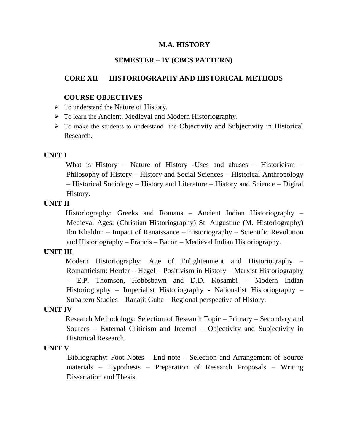# **SEMESTER – IV (CBCS PATTERN)**

## **CORE XII HISTORIOGRAPHY AND HISTORICAL METHODS**

#### **COURSE OBJECTIVES**

- $\triangleright$  To understand the Nature of History.
- $\triangleright$  To learn the Ancient, Medieval and Modern Historiography.
- $\triangleright$  To make the students to understand the Objectivity and Subjectivity in Historical Research.

# **UNIT I**

What is History – Nature of History -Uses and abuses – Historicism – Philosophy of History – History and Social Sciences – Historical Anthropology – Historical Sociology – History and Literature – History and Science – Digital History.

# **UNIT II**

 Historiography: Greeks and Romans – Ancient Indian Historiography – Medieval Ages: (Christian Historiography) St. Augustine (M. Historiography) Ibn Khaldun – Impact of Renaissance – Historiography – Scientific Revolution and Historiography – Francis – Bacon – Medieval Indian Historiography.

# **UNIT III**

 Modern Historiography: Age of Enlightenment and Historiography – Romanticism: Herder – Hegel – Positivism in History – Marxist Historiography – E.P. Thomson, Hobbsbawn and D.D. Kosambi – Modern Indian Historiography – Imperialist Historiography - Nationalist Historiography – Subaltern Studies – Ranajit Guha – Regional perspective of History.

#### **UNIT IV**

 Research Methodology: Selection of Research Topic – Primary – Secondary and Sources – External Criticism and Internal – Objectivity and Subjectivity in Historical Research.

#### **UNIT V**

 Bibliography: Foot Notes – End note – Selection and Arrangement of Source materials – Hypothesis – Preparation of Research Proposals – Writing Dissertation and Thesis.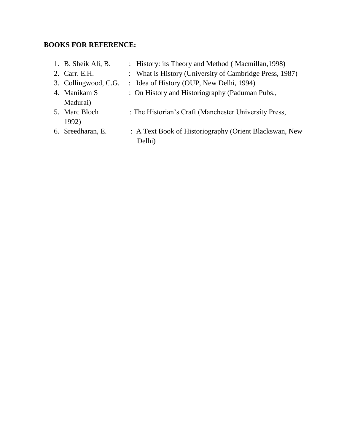# **BOOKS FOR REFERENCE:**

| 1. B. Sheik Ali, B.    | : History: its Theory and Method (Macmillan, 1998)      |
|------------------------|---------------------------------------------------------|
| 2. Carr. E.H.          | : What is History (University of Cambridge Press, 1987) |
| 3. Collingwood, C.G.   | : Idea of History (OUP, New Delhi, 1994)                |
| 4. Manikam S           | : On History and Historiography (Paduman Pubs.,         |
| Madurai)               |                                                         |
| 5. Marc Bloch<br>1992) | : The Historian's Craft (Manchester University Press,   |
| 6. Sreedharan, E.      | : A Text Book of Historiography (Orient Blackswan, New  |
|                        | Delhi)                                                  |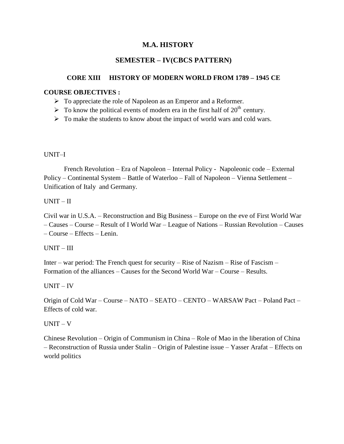# **SEMESTER – IV(CBCS PATTERN)**

# **CORE XIII HISTORY OF MODERN WORLD FROM 1789 – 1945 CE**

# **COURSE OBJECTIVES :**

- $\triangleright$  To appreciate the role of Napoleon as an Emperor and a Reformer.
- $\triangleright$  To know the political events of modern era in the first half of 20<sup>th</sup> century.
- $\triangleright$  To make the students to know about the impact of world wars and cold wars.

# UNIT–I

 French Revolution – Era of Napoleon – Internal Policy - Napoleonic code – External Policy – Continental System – Battle of Waterloo – Fall of Napoleon – Vienna Settlement – Unification of Italy and Germany.

# UNIT – II

Civil war in U.S.A. – Reconstruction and Big Business – Europe on the eve of First World War – Causes – Course – Result of I World War – League of Nations – Russian Revolution – Causes – Course – Effects – Lenin.

# UNIT – III

Inter – war period: The French quest for security – Rise of Nazism – Rise of Fascism – Formation of the alliances – Causes for the Second World War – Course – Results.

# UNIT – IV

Origin of Cold War – Course – NATO – SEATO – CENTO – WARSAW Pact – Poland Pact – Effects of cold war.

# UNIT – V

Chinese Revolution – Origin of Communism in China – Role of Mao in the liberation of China – Reconstruction of Russia under Stalin – Origin of Palestine issue – Yasser Arafat – Effects on world politics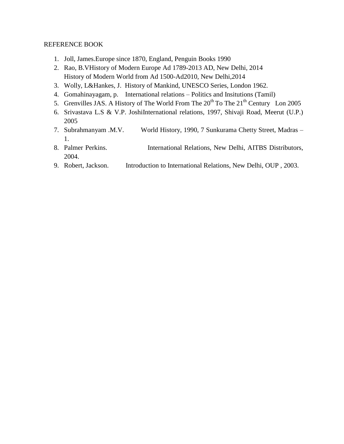#### REFERENCE BOOK

- 1. Joll, James.Europe since 1870, England, Penguin Books 1990
- 2. Rao, B.VHistory of Modern Europe Ad 1789-2013 AD, New Delhi, 2014 History of Modern World from Ad 1500-Ad2010, New Delhi,2014
- 3. Wolly, L&Hankes, J. History of Mankind, UNESCO Series, London 1962.
- 4. Gomahinayagam, p. International relations Politics and Insitutions (Tamil)
- 5. Grenvilles JAS. A History of The World From The  $20^{th}$  To The  $21^{th}$  Century Lon 2005
- 6. Srivastava L.S & V.P. JoshiInternational relations, 1997, Shivaji Road, Meerut (U.P.) 2005
- 7. Subrahmanyam .M.V. World History, 1990, 7 Sunkurama Chetty Street, Madras 1.
- 8. Palmer Perkins. International Relations, New Delhi, AITBS Distributors, 2004.
- 9. Robert, Jackson. Introduction to International Relations, New Delhi, OUP , 2003.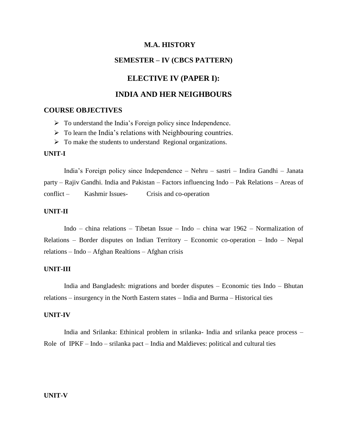# **SEMESTER – IV (CBCS PATTERN)**

## **ELECTIVE IV (PAPER I):**

# **INDIA AND HER NEIGHBOURS**

# **COURSE OBJECTIVES**

- $\triangleright$  To understand the India's Foreign policy since Independence.
- $\triangleright$  To learn the India's relations with Neighbouring countries.
- $\triangleright$  To make the students to understand Regional organizations.

#### **UNIT-I**

India"s Foreign policy since Independence – Nehru – sastri – Indira Gandhi – Janata party – Rajiv Gandhi. India and Pakistan – Factors influencing Indo – Pak Relations – Areas of conflict – Kashmir Issues- Crisis and co-operation

## **UNIT-II**

Indo – china relations – Tibetan Issue – Indo – china war 1962 – Normalization of Relations – Border disputes on Indian Territory – Economic co-operation – Indo – Nepal relations – Indo – Afghan Realtions – Afghan crisis

#### **UNIT-III**

India and Bangladesh: migrations and border disputes – Economic ties Indo – Bhutan relations – insurgency in the North Eastern states – India and Burma – Historical ties

#### **UNIT-IV**

India and Srilanka: Ethinical problem in srilanka- India and srilanka peace process – Role of IPKF – Indo – srilanka pact – India and Maldieves: political and cultural ties

#### **UNIT-V**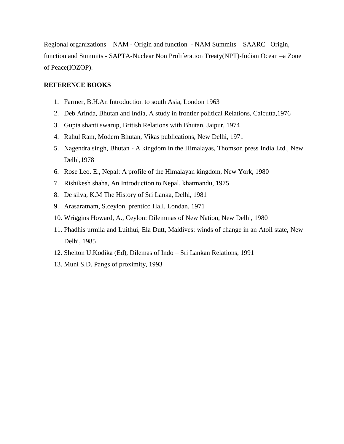Regional organizations – NAM - Origin and function - NAM Summits – SAARC –Origin, function and Summits - SAPTA-Nuclear Non Proliferation Treaty(NPT)-Indian Ocean –a Zone of Peace(IOZOP).

#### **REFERENCE BOOKS**

- 1. Farmer, B.H.An Introduction to south Asia, London 1963
- 2. Deb Arinda, Bhutan and India, A study in frontier political Relations, Calcutta,1976
- 3. Gupta shanti swarup, British Relations with Bhutan, Jaipur, 1974
- 4. Rahul Ram, Modern Bhutan, Vikas publications, New Delhi, 1971
- 5. Nagendra singh, Bhutan A kingdom in the Himalayas, Thomson press India Ltd., New Delhi,1978
- 6. Rose Leo. E., Nepal: A profile of the Himalayan kingdom, New York, 1980
- 7. Rishikesh shaha, An Introduction to Nepal, khatmandu, 1975
- 8. De silva, K.M The History of Sri Lanka, Delhi, 1981
- 9. Arasaratnam, S.ceylon, prentico Hall, Londan, 1971
- 10. Wriggins Howard, A., Ceylon: Dilemmas of New Nation, New Delhi, 1980
- 11. Phadhis urmila and Luithui, Ela Dutt, Maldives: winds of change in an Atoil state, New Delhi, 1985
- 12. Shelton U.Kodika (Ed), Dilemas of Indo Sri Lankan Relations, 1991
- 13. Muni S.D. Pangs of proximity, 1993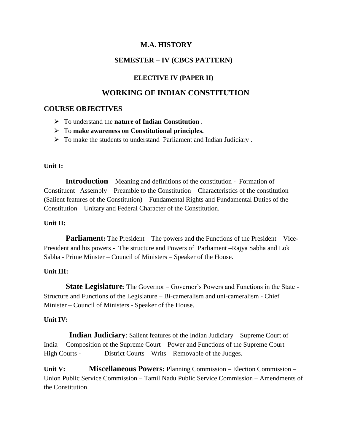# **SEMESTER – IV (CBCS PATTERN)**

# **ELECTIVE IV (PAPER II)**

# **WORKING OF INDIAN CONSTITUTION**

# **COURSE OBJECTIVES**

- To understand the **nature of Indian Constitution** .
- To **make awareness on Constitutional principles.**
- $\triangleright$  To make the students to understand Parliament and Indian Judiciary.

# **Unit I:**

 **Introduction** – Meaning and definitions of the constitution - Formation of Constituent Assembly – Preamble to the Constitution – Characteristics of the constitution (Salient features of the Constitution) – Fundamental Rights and Fundamental Duties of the Constitution – Unitary and Federal Character of the Constitution.

# **Unit II:**

**Parliament:** The President – The powers and the Functions of the President – Vice-President and his powers - The structure and Powers of Parliament –Rajya Sabha and Lok Sabha - Prime Minster – Council of Ministers – Speaker of the House.

# **Unit III:**

**State Legislature**: The Governor – Governor's Powers and Functions in the State -Structure and Functions of the Legislature – Bi-cameralism and uni-cameralism - Chief Minister – Council of Ministers - Speaker of the House.

# **Unit IV:**

 **Indian Judiciary**: Salient features of the Indian Judiciary – Supreme Court of India – Composition of the Supreme Court – Power and Functions of the Supreme Court – High Courts - District Courts – Writs – Removable of the Judges.

**Unit V: Miscellaneous Powers:** Planning Commission – Election Commission – Union Public Service Commission – Tamil Nadu Public Service Commission – Amendments of the Constitution.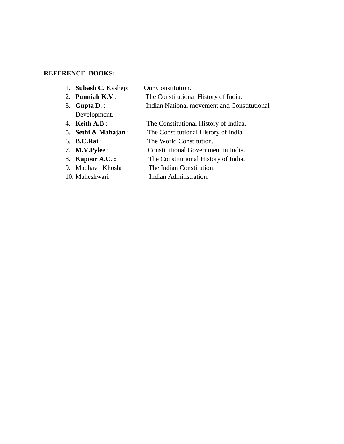# **REFERENCE BOOKS;**

- 1. **Subash C**. Kyshep: Our Constitution.
- 2. **Punniah K.V** : The Constitutional History of India. 3. **Gupta D.** : Indian National movement and Constitutional
- Development.
- 4. **Keith A.B** : The Constitutional History of Indiaa.
- 5. **Sethi & Mahajan** : The Constitutional History of India.
- 6. **B.C.Rai** : The World Constitution.
	-
- 7. **M.V.Pylee** : Constitutional Government in India.
- 8. **Kapoor A.C. :** The Constitutional History of India.
- 9. Madhav Khosla The Indian Constitution.
- 
- 10. Maheshwari Indian Adminstration.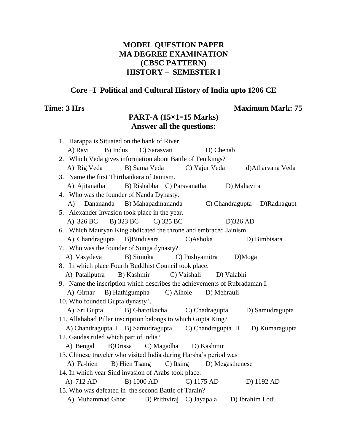# **MODEL QUESTION PAPER MA DEGREE EXAMINATION (CBSC PATTERN) HISTORY – SEMESTER I**

# **Core –I Political and Cultural History of India upto 1206 CE**

# **Time: 3 Hrs** Maximum Mark: 75

# **PART-A (15×1=15 Marks) Answer all the questions:**

| 1. Harappa is Situated on the bank of River                                                                                |
|----------------------------------------------------------------------------------------------------------------------------|
| A) Ravi<br>B) Indus<br>C) Sarasvati<br>D) Chenab                                                                           |
| 2. Which Veda gives information about Battle of Ten kings?                                                                 |
| A) Rig Veda B) Sama Veda<br>C) Yajur Veda d) Atharvana Veda                                                                |
| 3. Name the first Thirthankara of Jainism.                                                                                 |
| A) Ajitanatha B) Rishabha C) Parsvanatha<br>D) Mahavira                                                                    |
| 4. Who was the founder of Nanda Dynasty.                                                                                   |
| A) Danananda B) Mahapadmananda<br>C) Chandragupta D)Radhagupt                                                              |
| 5. Alexander Invasion took place in the year.                                                                              |
| A) 326 BC B) 323 BC C) 325 BC<br>$D$ )326 AD                                                                               |
| 6. Which Mauryan King abdicated the throne and embraced Jainism.                                                           |
| A) Chandragupta B)Bindusara<br>C)Ashoka<br>D) Bimbisara                                                                    |
| 7. Who was the founder of Sunga dynasty?                                                                                   |
| B) Simuka C) Pushyamitra D)Moga<br>A) Vasydeva                                                                             |
| 8. In which place Fourth Buddhist Council took place.                                                                      |
| A) Pataliputra B) Kashmir<br>C) Vaishali<br>D) Valabhi                                                                     |
|                                                                                                                            |
|                                                                                                                            |
| 9. Name the inscription which describes the achievements of Rubradaman I.                                                  |
| A) Girnar B) Hathigumpha C) Aihole D) Mehrauli                                                                             |
| 10. Who founded Gupta dynasty?.<br>D) Samudragupta                                                                         |
| A) Sri Gupta B) Ghatotkacha C) Chadragupta<br>11. Allahabad Pillar inscription belongs to which Gupta King?                |
|                                                                                                                            |
| A) Chandragupta I B) Samudragupta C) Chandragupta II<br>D) Kumaragupta                                                     |
| 12. Gaudas ruled which part of india?<br>B)Orissa C) Magadha D) Kashmir<br>A) Bengal                                       |
|                                                                                                                            |
| 13. Chinese traveler who visited India during Harsha's period was<br>B) Hien Tsang C) Itsing D) Megasthenese<br>A) Fa-hien |
| 14. In which year Sind invasion of Arabs took place.                                                                       |
| B) 1000 AD<br>A) 712 AD<br>C) 1175 AD<br>D) 1192 AD                                                                        |
| 15. Who was defeated in the second Battle of Tarain?                                                                       |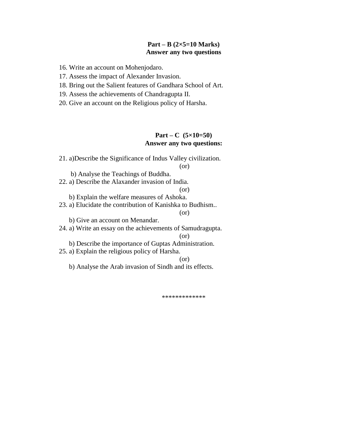## **Part – B (2×5=10 Marks) Answer any two questions**

16. Write an account on Mohenjodaro.

17. Assess the impact of Alexander Invasion.

18. Bring out the Salient features of Gandhara School of Art.

19. Assess the achievements of Chandragupta II.

20. Give an account on the Religious policy of Harsha.

# **Part – C (5×10=50) Answer any two questions:**

21. a)Describe the Significance of Indus Valley civilization.

(or)

 b) Analyse the Teachings of Buddha. 22. a) Describe the Alaxander invasion of India.

(or)

b) Explain the welfare measures of Ashoka.

23. a) Elucidate the contribution of Kanishka to Budhism..

(or)

b) Give an account on Menandar.

24. a) Write an essay on the achievements of Samudragupta.

(or)

b) Describe the importance of Guptas Administration.

25. a) Explain the religious policy of Harsha.

(or)

b) Analyse the Arab invasion of Sindh and its effects.

\*\*\*\*\*\*\*\*\*\*\*\*\*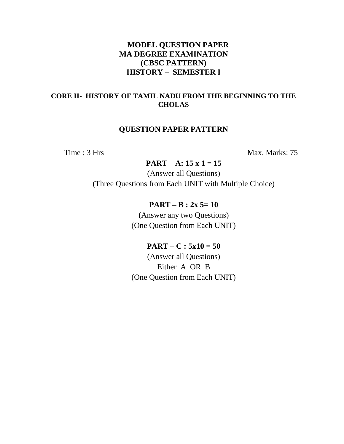# **MODEL QUESTION PAPER MA DEGREE EXAMINATION (CBSC PATTERN) HISTORY – SEMESTER I**

# **CORE II- HISTORY OF TAMIL NADU FROM THE BEGINNING TO THE CHOLAS**

# **QUESTION PAPER PATTERN**

Time : 3 Hrs Max. Marks: 75

**PART – A: 15 x 1 = 15**

(Answer all Questions) (Three Questions from Each UNIT with Multiple Choice)

# **PART – B : 2x 5= 10**

(Answer any two Questions) (One Question from Each UNIT)

# $PART - C : 5x10 = 50$

(Answer all Questions) Either A OR B (One Question from Each UNIT)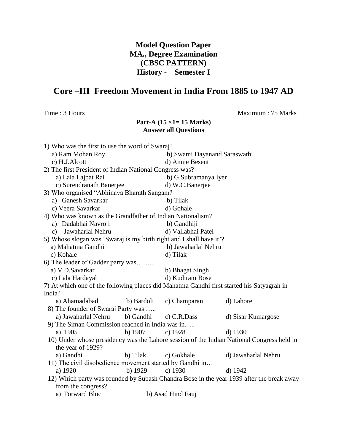# **Model Question Paper MA., Degree Examination (CBSC PATTERN) History - Semester I**

# **Core –III Freedom Movement in India From 1885 to 1947 AD**

Time : 3 Hours Maximum : 75 Marks

# **Part-A (15 ×1= 15 Marks) Answer all Questions**

| 1) Who was the first to use the word of Swaraj?                                           |                                                          |                              |                                                                                          |  |  |
|-------------------------------------------------------------------------------------------|----------------------------------------------------------|------------------------------|------------------------------------------------------------------------------------------|--|--|
| a) Ram Mohan Roy                                                                          |                                                          | b) Swami Dayanand Saraswathi |                                                                                          |  |  |
| c) H.J.Alcott                                                                             |                                                          | d) Annie Besent              |                                                                                          |  |  |
| 2) The first President of Indian National Congress was?                                   |                                                          |                              |                                                                                          |  |  |
| a) Lala Lajpat Rai                                                                        |                                                          | b) G.Subramanya Iyer         |                                                                                          |  |  |
| c) Surendranath Banerjee                                                                  |                                                          | d) W.C.Banerjee              |                                                                                          |  |  |
| 3) Who organised "Abhinava Bharath Sangam?                                                |                                                          |                              |                                                                                          |  |  |
| a) Ganesh Savarkar                                                                        |                                                          | b) Tilak                     |                                                                                          |  |  |
| c) Veera Savarkar                                                                         |                                                          | d) Gohale                    |                                                                                          |  |  |
| 4) Who was known as the Grandfather of Indian Nationalism?                                |                                                          |                              |                                                                                          |  |  |
| a) Dadabhai Navroji                                                                       |                                                          | b) Gandhiji                  |                                                                                          |  |  |
| c) Jawaharlal Nehru                                                                       |                                                          | d) Vallabhai Patel           |                                                                                          |  |  |
| 5) Whose slogan was 'Swaraj is my birth right and I shall have it'?                       |                                                          |                              |                                                                                          |  |  |
| a) Mahatma Gandhi                                                                         |                                                          | b) Jawaharlal Nehru          |                                                                                          |  |  |
| c) Kohale                                                                                 |                                                          | d) Tilak                     |                                                                                          |  |  |
| 6) The leader of Gadder party was                                                         |                                                          |                              |                                                                                          |  |  |
| a) V.D.Savarkar                                                                           |                                                          | b) Bhagat Singh              |                                                                                          |  |  |
| c) Lala Hardayal                                                                          |                                                          | d) Kudiram Bose              |                                                                                          |  |  |
| 7) At which one of the following places did Mahatma Gandhi first started his Satyagrah in |                                                          |                              |                                                                                          |  |  |
| India?                                                                                    |                                                          |                              |                                                                                          |  |  |
| a) Ahamadabad                                                                             | b) Bardoli                                               | c) Champaran                 | d) Lahore                                                                                |  |  |
| 8) The founder of Swaraj Party was                                                        |                                                          |                              |                                                                                          |  |  |
| a) Jawaharlal Nehru b) Gandhi                                                             |                                                          | c) C.R.Dass                  | d) Sisar Kumargose                                                                       |  |  |
| 9) The Siman Commission reached in India was in                                           |                                                          |                              |                                                                                          |  |  |
| a) 1905                                                                                   | b) $1907$                                                | c) $1928$                    | $d)$ 1930                                                                                |  |  |
| 10) Under whose presidency was the Lahore session of the Indian National Congress held in |                                                          |                              |                                                                                          |  |  |
| the year of 1929?                                                                         |                                                          |                              |                                                                                          |  |  |
| a) Gandhi                                                                                 | b) Tilak                                                 | c) Gokhale                   | d) Jawaharlal Nehru                                                                      |  |  |
|                                                                                           | 11) The civil disobedience movement started by Gandhi in |                              |                                                                                          |  |  |
| a) 1920                                                                                   | b) $1929$                                                | c) $1930$                    | d) $1942$                                                                                |  |  |
|                                                                                           |                                                          |                              | 12) Which party was founded by Subash Chandra Bose in the year 1939 after the break away |  |  |
| from the congress?                                                                        |                                                          |                              |                                                                                          |  |  |
| a) Forward Bloc                                                                           |                                                          | b) Asad Hind Fauj            |                                                                                          |  |  |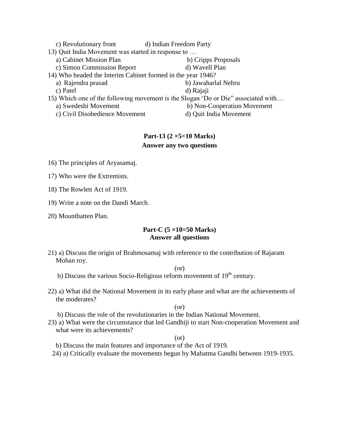| c) Revolutionary front                                      | d) Indian Freedom Party                                                           |
|-------------------------------------------------------------|-----------------------------------------------------------------------------------|
| 13) Quit India Movement was started in response to          |                                                                                   |
| a) Cabinet Mission Plan                                     | b) Cripps Proposals                                                               |
| c) Simon Commission Report                                  | d) Wavell Plan                                                                    |
| 14) Who headed the Interim Cabinet formed in the year 1946? |                                                                                   |
| a) Rajendra prasad                                          | b) Jawaharlal Nehru                                                               |
| c) Patel                                                    | d) Rajaji                                                                         |
|                                                             | 15) Which one of the following movement is the Slogan 'Do or Die" associated with |
| a) Swedeshi Movement                                        | b) Non-Cooperation Movement                                                       |
| c) Civil Disobedience Movement                              | d) Quit India Movement                                                            |

# **Part-13 (2 ×5=10 Marks) Answer any two questions**

- 16) The principles of Aryasamaj.
- 17) Who were the Extremists.
- 18) The Rowlett Act of 1919.
- 19) Write a note on the Dandi March.
- 20) Mountbatten Plan.

#### **Part-C (5 ×10=50 Marks) Answer all questions**

21) a) Discuss the origin of Brahmosamaj with reference to the contribution of Rajaram Mohan roy.

# (or)

- b) Discuss the various Socio-Religious reform movement of  $19<sup>th</sup>$  century.
- 22) a) What did the National Movement in its early phase and what are the achievements of the moderates?

(or)

- b) Discuss the role of the revolutionaries in the Indian National Movement.
- 23) a) What were the circumstance that led Gandhiji to start Non-cooperation Movement and what were its achievements?

#### (or)

- b) Discuss the main features and importance of the Act of 1919.
- 24) a) Critically evaluate the movements begun by Mahatma Gandhi between 1919-1935.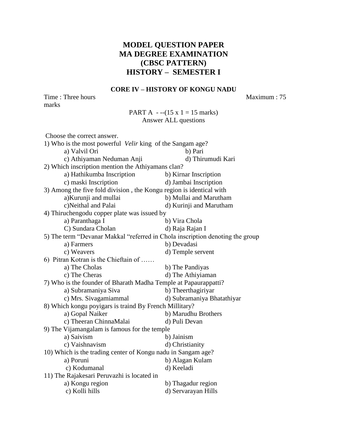# **MODEL QUESTION PAPER MA DEGREE EXAMINATION (CBSC PATTERN) HISTORY – SEMESTER I**

#### **CORE IV – HISTORY OF KONGU NADU**

Time : Three hours Maximum : 75 marks

PART A  $--(15 \times 1) = 15$  marks) Answer ALL questions

| Choose the correct answer.                                                    |                            |
|-------------------------------------------------------------------------------|----------------------------|
| 1) Who is the most powerful <i>Velir</i> king of the Sangam age?              |                            |
| a) Valvil Ori                                                                 | b) Pari                    |
| c) Athiyaman Neduman Anji                                                     | d) Thirumudi Kari          |
| 2) Which inscription mention the Athiyamans clan?                             |                            |
| a) Hathikumba Inscription                                                     | b) Kirnar Inscription      |
| c) maski Inscription                                                          | d) Jambai Inscription      |
| 3) Among the five fold division, the Kongu region is identical with           |                            |
| a) Kurunji and mullai                                                         | b) Mullai and Marutham     |
| c)Neithal and Palai                                                           | d) Kurinji and Marutham    |
| 4) Thiruchengodu copper plate was issued by                                   |                            |
| a) Paranthaga I                                                               | b) Vira Chola              |
| C) Sundara Cholan                                                             | d) Raja Rajan I            |
| 5) The term "Devanar Makkal "referred in Chola inscription denoting the group |                            |
| a) Farmers                                                                    | b) Devadasi                |
| c) Weavers                                                                    | d) Temple servent          |
| 6) Pitran Kotran is the Chieftain of                                          |                            |
| a) The Cholas                                                                 | b) The Pandiyas            |
| c) The Cheras                                                                 | d) The Athiyiaman          |
| 7) Who is the founder of Bharath Madha Temple at Papaurappatti?               |                            |
| a) Subramaniya Siva                                                           | b) Theerthagiriyar         |
| c) Mrs. Sivagamiammal                                                         | d) Subramaniya Bhatathiyar |
| 8) Which kongu poyigars is traind By French Millitary?                        |                            |
| a) Gopal Naiker                                                               | b) Marudhu Brothers        |
| c) Theeran ChinnaMalai                                                        | d) Puli Devan              |
| 9) The Vijamangalam is famous for the temple                                  |                            |
| a) Saivism                                                                    | b) Jainism                 |
| c) Vaishnavism                                                                | d) Christianity            |
| 10) Which is the trading center of Kongu nadu in Sangam age?                  |                            |
| a) Poruni                                                                     | b) Alagan Kulam            |
| c) Kodumanal                                                                  | d) Keeladi                 |
| 11) The Rajakesari Peruvazhi is located in                                    |                            |
| a) Kongu region                                                               | b) Thagadur region         |
| c) Kolli hills                                                                | d) Servarayan Hills        |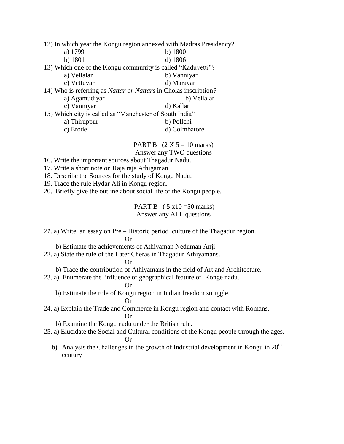|                                                             | 12) In which year the Kongu region annexed with Madras Presidency?      |
|-------------------------------------------------------------|-------------------------------------------------------------------------|
| a) 1799                                                     | b) $1800$                                                               |
| b) 1801                                                     | d) 1806                                                                 |
| 13) Which one of the Kongu community is called "Kaduvetti"? |                                                                         |
| a) Vellalar                                                 | b) Vanniyar                                                             |
| c) Vettuvar                                                 | d) Maravar                                                              |
|                                                             | 14) Who is referring as <i>Nattar or Nattars</i> in Cholas inscription? |
| a) Agamudiyar                                               | b) Vellalar                                                             |
| c) Vanniyar                                                 | d) Kallar                                                               |
| 15) Which city is called as "Manchester of South India"     |                                                                         |
| a) Thiruppur                                                | b) Pollchi                                                              |
| c) Erode                                                    | d) Coimbatore                                                           |

PART B –(2 X 5 = 10 marks) Answer any TWO questions

- 16. Write the important sources about Thagadur Nadu.
- 17. Write a short note on Raja raja Athigaman.
- 18. Describe the Sources for the study of Kongu Nadu.
- 19. Trace the rule Hydar Ali in Kongu region.

20. Briefly give the outline about social life of the Kongu people.

PART B –( $5 \times 10 = 50$  marks) Answer any ALL questions

- *21.* a) Write an essay on Pre Historic period culture of the Thagadur region. Or
- b) Estimate the achievements of Athiyaman Neduman Anji.
- 22. a) State the rule of the Later Cheras in Thagadur Athiyamans.

Or

b) Trace the contribution of Athiyamans in the field of Art and Architecture.

- 23. a) Enumerate the influence of geographical feature of Konge nadu.
	- Or

b) Estimate the role of Kongu region in Indian freedom struggle.

$$
\operatorname{Or}
$$

24. a) Explain the Trade and Commerce in Kongu region and contact with Romans. Or

b) Examine the Kongu nadu under the British rule.

- 25. a) Elucidate the Social and Cultural conditions of the Kongu people through the ages. Or
	- b) Analysis the Challenges in the growth of Industrial development in Kongu in  $20<sup>th</sup>$ century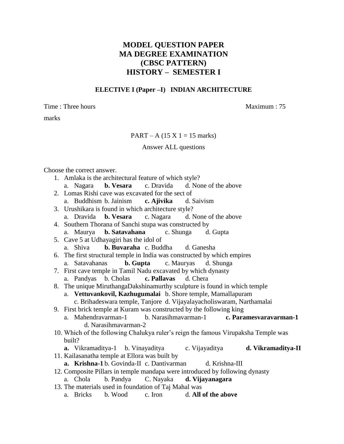# **MODEL QUESTION PAPER MA DEGREE EXAMINATION (CBSC PATTERN) HISTORY – SEMESTER I**

#### **ELECTIVE I (Paper –I) INDIAN ARCHITECTURE**

Time : Three hours and the matter of the matter of the Maximum : 75

marks

#### $PART - A (15 X 1 = 15 marks)$

#### Answer ALL questions

Choose the correct answer.

- 1. Amlaka is the architectural feature of which style?
	- a. Nagara **b. Vesara** c. Dravida d. None of the above
- 2. Lomas Rishi cave was excavated for the sect of
- a. Buddhism b. Jainism **c. Ajivika** d. Saivism
- 3. Urushikara is found in which architecture style?
	- a. Dravida **b. Vesara** c. Nagara d. None of the above
- 4. Southern Thorana of Sanchi stupa was constructed by a. Maurya **b. Satavahana** c. Shunga d. Gupta
- 5. Cave 5 at Udhayagiri has the idol of a. Shiva **b. Buvaraha** c. Buddha d. Ganesha
- 6. The first structural temple in India was constructed by which empires a. Satavahanas **b. Gupta** c. Mauryas d. Shunga
- 7. First cave temple in Tamil Nadu excavated by which dynasty a. Pandyas b. Cholas **c. Pallavas** d. Chera
- 8. The unique MiruthangaDakshinamurthy sculpture is found in which temple a. **Vettuvankovil, Kazhugumalai** b. Shore temple, Mamallapuram c. Brihadeswara temple, Tanjore d. Vijayalayacholiswaram, Narthamalai
	-
- 9. First brick temple at Kuram was constructed by the following king
	- a. Mahendravarman-1 b. Narasihmavarman-1 **c. Paramesvaravarman-1** d. Narasihmavarman-2
- 10. Which of the following Chalukya ruler"s reign the famous Virupaksha Temple was built?
- **a.** Vikramaditya-1 b. Vinayaditya c. Vijayaditya **d. Vikramaditya-II** 11. Kailasanatha temple at Ellora was built by
	- a. **Krishna-1** b. Govinda-II c. Dantivarman d. Krishna-III
- 12. Composite Pillars in temple mandapa were introduced by following dynasty
- a. Chola b. Pandya C. Nayaka **d. Vijayanagara**
- 13. The materials used in foundation of Taj Mahal was
	- a. Bricks b. Wood c. Iron d. **All of the above**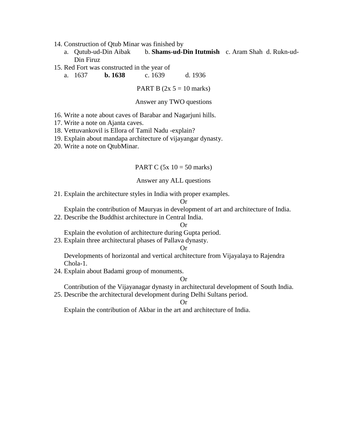- 14. Construction of Qtub Minar was finished by
	- a. Qutub-ud-Din Aibak b. **Shams-ud-Din Itutmish** c. Aram Shah d. Rukn-ud-Din Firuz
- 15. Red Fort was constructed in the year of

a. 1637 **b. 1638** c. 1639 d. 1936

PART B  $(2x 5 = 10 \text{ marks})$ 

#### Answer any TWO questions

- 16. Write a note about caves of Barabar and Nagarjuni hills.
- 17. Write a note on Ajanta caves.
- 18. Vettuvankovil is Ellora of Tamil Nadu -explain?
- 19. Explain about mandapa architecture of vijayangar dynasty.
- 20. Write a note on QtubMinar.

#### PART C  $(5x \ 10 = 50 \text{ marks})$

#### Answer any ALL questions

21. Explain the architecture styles in India with proper examples.

#### Or

Explain the contribution of Mauryas in development of art and architecture of India.

22. Describe the Buddhist architecture in Central India.

#### Or

Explain the evolution of architecture during Gupta period.

23. Explain three architectural phases of Pallava dynasty.

#### Or

Developments of horizontal and vertical architecture from Vijayalaya to Rajendra Chola-1.

24. Explain about Badami group of monuments.

#### Or

Contribution of the Vijayanagar dynasty in architectural development of South India.

25. Describe the architectural development during Delhi Sultans period.

Or

Explain the contribution of Akbar in the art and architecture of India.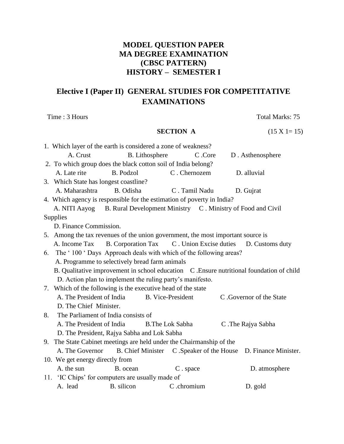# **MODEL QUESTION PAPER MA DEGREE EXAMINATION (CBSC PATTERN) HISTORY – SEMESTER I**

# **Elective I (Paper II) GENERAL STUDIES FOR COMPETITATIVE EXAMINATIONS**

Time : 3 Hours Total Marks: 75

# **SECTION A** (15 X 1= 15)

|    | 1. Which layer of the earth is considered a zone of weakness?                   |                  |                          |                                           |                                                                                          |
|----|---------------------------------------------------------------------------------|------------------|--------------------------|-------------------------------------------|------------------------------------------------------------------------------------------|
|    | A. Crust                                                                        |                  | <b>B.</b> Lithosphere    | C .Core                                   | D. Asthenosphere                                                                         |
|    | 2. To which group does the black cotton soil of India belong?                   |                  |                          |                                           |                                                                                          |
|    | A. Late rite                                                                    | <b>B.</b> Podzol |                          | C. Chernozem                              | D. alluvial                                                                              |
|    | 3. Which State has longest coastline?                                           |                  |                          |                                           |                                                                                          |
|    | A. Maharashtra                                                                  | B. Odisha        |                          | C. Tamil Nadu                             | D. Gujrat                                                                                |
|    | 4. Which agency is responsible for the estimation of poverty in India?          |                  |                          |                                           |                                                                                          |
|    | A. NITI Aayog B. Rural Development Ministry C. Ministry of Food and Civil       |                  |                          |                                           |                                                                                          |
|    | Supplies                                                                        |                  |                          |                                           |                                                                                          |
|    | D. Finance Commission.                                                          |                  |                          |                                           |                                                                                          |
|    | 5. Among the tax revenues of the union government, the most important source is |                  |                          |                                           |                                                                                          |
|    | A. Income Tax                                                                   |                  |                          | B. Corporation Tax C. Union Excise duties | D. Customs duty                                                                          |
| 6. | The '100 'Days Approach deals with which of the following areas?                |                  |                          |                                           |                                                                                          |
|    | A. Programme to selectively bread farm animals                                  |                  |                          |                                           |                                                                                          |
|    |                                                                                 |                  |                          |                                           | B. Qualitative improvement in school education C. Ensure nutritional foundation of child |
|    | D. Action plan to implement the ruling party's manifesto.                       |                  |                          |                                           |                                                                                          |
|    | 7. Which of the following is the executive head of the state                    |                  |                          |                                           |                                                                                          |
|    | A. The President of India                                                       |                  | <b>B.</b> Vice-President |                                           | C .Governor of the State                                                                 |
|    | D. The Chief Minister.                                                          |                  |                          |                                           |                                                                                          |
| 8. | The Parliament of India consists of                                             |                  |                          |                                           |                                                                                          |
|    | A. The President of India                                                       |                  | <b>B.The Lok Sabha</b>   |                                           | C. The Rajya Sabha                                                                       |
|    | D. The President, Rajya Sabha and Lok Sabha                                     |                  |                          |                                           |                                                                                          |
|    | 9. The State Cabinet meetings are held under the Chairmanship of the            |                  |                          |                                           |                                                                                          |
|    | A. The Governor B. Chief Minister C. Speaker of the House                       |                  |                          |                                           | D. Finance Minister.                                                                     |
|    | 10. We get energy directly from                                                 |                  |                          |                                           |                                                                                          |
|    | A. the sun                                                                      | B. ocean         |                          | C. space                                  | D. atmosphere                                                                            |
|    | 11. 'IC Chips' for computers are usually made of                                |                  |                          |                                           |                                                                                          |
|    | A. lead                                                                         | B. silicon       |                          | C .chromium                               | D. gold                                                                                  |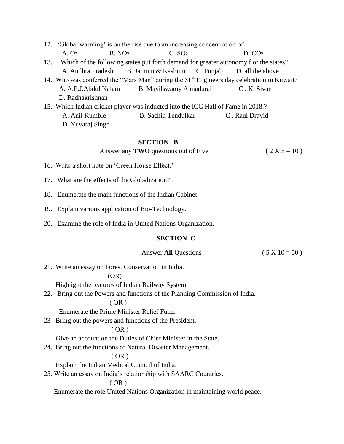| 12. 'Global warming' is on the rise due to an increasing concentration of                             |                     |                    |  |
|-------------------------------------------------------------------------------------------------------|---------------------|--------------------|--|
| B. NO <sub>2</sub><br>A. O <sub>3</sub>                                                               | C.SO <sub>2</sub>   | D. CO <sub>2</sub> |  |
| 13. Which of the following states put forth demand for greater autonomy f or the states?              |                     |                    |  |
| A. Andhra Pradesh B. Jammu & Kashmir C. Punjab D. all the above                                       |                     |                    |  |
| 14. Who was conferred the "Mars Man" during the 51 <sup>st</sup> Engineers day celebration in Kuwait? |                     |                    |  |
| A. A.P.J. Abdul Kalam B. Mayilswamy Annadurai                                                         |                     | C.K. Sivan         |  |
| D. Radhakrishnan                                                                                      |                     |                    |  |
| 15. Which Indian cricket player was inducted into the ICC Hall of Fame in 2018.?                      |                     |                    |  |
| A. Anil Kumble                                                                                        | B. Sachin Tendulkar | C. Raul Dravid     |  |
| D. Yuvaraj Singh                                                                                      |                     |                    |  |

#### **SECTION B**

Answer any **TWO** questions out of Five  $(2 X 5 = 10)$ 

- 16. Writs a short note on 'Green House Effect.'
- 17. What are the effects of the Globalization?
- 18. Enumerate the main functions of the Indian Cabinet.
- 19. Explain various application of Bio-Technology.
- 20. Examine the role of India in United Nations Organization.

#### **SECTION C**

#### Answer **All** Questions (  $5 \times 10 = 50$  )

21. Write an essay on Forest Conservation in India.

#### (OR)

Highlight the features of Indian Railway System.

22. Bring out the Powers and functions of the Planning Commission of India.

### ( OR )

Enumerate the Prime Minister Relief Fund.

23 Bring out the powers and functions of the President.

#### $(OR)$

Give an account on the Duties of Chief Minister in the State.

24. Bring out the functions of Natural Disaster Management.

#### ( OR )

Explain the Indian Medical Council of India.

25. Write an essay on India"s relationship with SAARC Countries.

#### ( OR )

Enumerate the role United Nations Organization in maintaining world peace.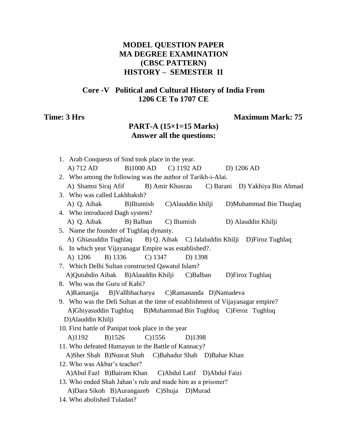# **MODEL QUESTION PAPER MA DEGREE EXAMINATION (CBSC PATTERN) HISTORY – SEMESTER II**

# **Core -V Political and Cultural History of India From 1206 CE To 1707 CE**

# **Time: 3 Hrs** Maximum Mark: 75

# **PART-A (15×1=15 Marks) Answer all the questions:**

| 1. Arab Conquests of Sind took place in the year.                              |           |        |                                 |                                |
|--------------------------------------------------------------------------------|-----------|--------|---------------------------------|--------------------------------|
| A) 712 AD                                                                      |           |        | B)1000 AD C) 1192 AD D) 1206 AD |                                |
| 2. Who among the following was the author of Tarikh-i-Alai.                    |           |        |                                 |                                |
| A) Shamsi Siraj Afif B) Amir Khusrau                                           |           |        |                                 | C) Barani D) Yakhiya Bin Ahmad |
| 3. Who was called Lakhbaksh?                                                   |           |        |                                 |                                |
| A) Q. Aibak B)Iltumish C)Alauddin khilji D)Muhammad Bin Thuqlaq                |           |        |                                 |                                |
| 4. Who introduced Dagh system?                                                 |           |        |                                 |                                |
| A) Q. Aibak B) Balban C) Iltumish                                              |           |        |                                 | D) Alauddin Khilji             |
| 5. Name the founder of Tughlaq dynasty.                                        |           |        |                                 |                                |
| A) Ghiasuddin Tughlaq B) Q. Aibak C) Jalaluddin Khilji D)Firoz Tughlaq         |           |        |                                 |                                |
| 6. In which year Vijayanagar Empire was established?.                          |           |        |                                 |                                |
| A) 1206 B) 1336 C) 1347 D) 1398                                                |           |        |                                 |                                |
| 7. Which Delhi Sultan constructed Qawatul Islam?                               |           |        |                                 |                                |
| A)Qutubdin Aibak B)Alauddin Khilji C)Balban D)Firoz Tughlaq                    |           |        |                                 |                                |
| 8. Who was the Guru of Kabi?                                                   |           |        |                                 |                                |
| A)Ramanjia B)Vallbhacharya C)Ramananda D)Namadeva                              |           |        |                                 |                                |
| 9. Who was the Deli Sultan at the time of establishment of Vijayanagar empire? |           |        |                                 |                                |
| A)Ghiyasuddin Tughluq B)Muhammad Bin Tughluq C)Feroz Tughluq                   |           |        |                                 |                                |
| D)Alauddin Khilji                                                              |           |        |                                 |                                |
| 10. First battle of Panipat took place in the year                             |           |        |                                 |                                |
| A)1192<br>B)1526                                                               | $C$ )1556 | D)1398 |                                 |                                |
| 11. Who defeated Humayun in the Battle of Kannacy?                             |           |        |                                 |                                |
| A)Sher Shah B)Nusrat Shah C)Bahadur Shah D)Bahar Khan                          |           |        |                                 |                                |
| 12. Who was Akbar's teacher?                                                   |           |        |                                 |                                |
| A)Abul Fazl B)Bairam Khan C)Abdul Latif D)Abdul Faizi                          |           |        |                                 |                                |
| 13. Who ended Shah Jahan's rule and made him as a prisoner?                    |           |        |                                 |                                |
| A)Dara Sikoh B)Aurangazeb C)Shuja D)Murad                                      |           |        |                                 |                                |
| 14. Who abolished Tuladan?                                                     |           |        |                                 |                                |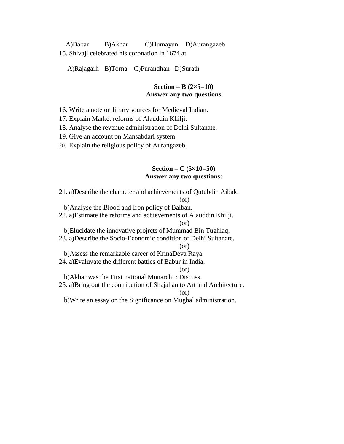A)Babar B)Akbar C)Humayun D)Aurangazeb 15. Shivaji celebrated his coronation in 1674 at

A)Rajagarh B)Torna C)Purandhan D)Surath

#### **Section – B**  $(2 \times 5 = 10)$ **Answer any two questions**

16. Write a note on litrary sources for Medieval Indian.

17. Explain Market reforms of Alauddin Khilji.

18. Analyse the revenue administration of Delhi Sultanate.

19. Give an account on Mansabdari system.

20. Explain the religious policy of Aurangazeb.

#### **Section – C (5×10=50) Answer any two questions:**

21. a)Describe the character and achievements of Qutubdin Aibak. (or) b)Analyse the Blood and Iron policy of Balban. 22. a)Estimate the reforms and achievements of Alauddin Khilji. (or) b)Elucidate the innovative projrcts of Mummad Bin Tughlaq. 23. a)Describe the Socio-Economic condition of Delhi Sultanate. (or) b)Assess the remarkable career of KrinaDeva Raya. 24. a)Evaluvate the different battles of Babur in India. (or) b)Akbar was the First national Monarchi : Discuss. 25. a)Bring out the contribution of Shajahan to Art and Architecture. (or) b)Write an essay on the Significance on Mughal administration.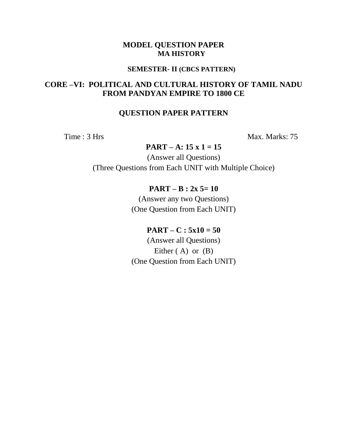#### **SEMESTER- II (CBCS PATTERN)**

# **CORE –VI: POLITICAL AND CULTURAL HISTORY OF TAMIL NADU FROM PANDYAN EMPIRE TO 1800 CE**

# **QUESTION PAPER PATTERN**

Time : 3 Hrs Max. Marks: 75

# **PART – A: 15 x 1 = 15**

(Answer all Questions) (Three Questions from Each UNIT with Multiple Choice)

# **PART – B : 2x 5= 10**

(Answer any two Questions) (One Question from Each UNIT)

# **PART** – **C** :  $5x10 = 50$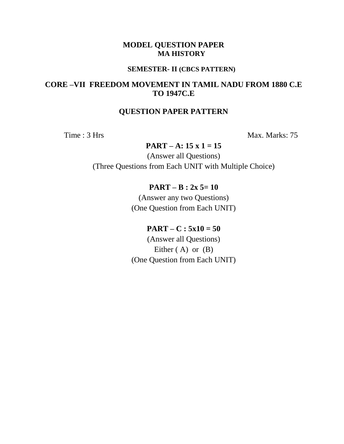#### **SEMESTER- II (CBCS PATTERN)**

# **CORE –VII FREEDOM MOVEMENT IN TAMIL NADU FROM 1880 C.E TO 1947C.E**

# **QUESTION PAPER PATTERN**

Time : 3 Hrs Max. Marks: 75

# **PART – A: 15 x 1 = 15**

(Answer all Questions) (Three Questions from Each UNIT with Multiple Choice)

## **PART – B : 2x 5= 10**

(Answer any two Questions) (One Question from Each UNIT)

# $PART - C : 5x10 = 50$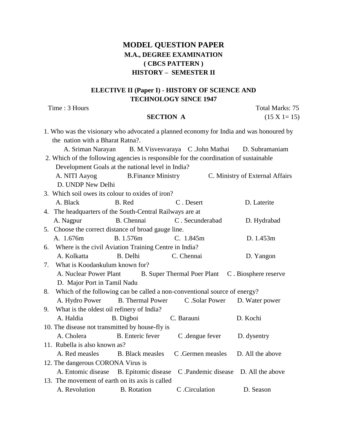# **MODEL QUESTION PAPER M.A., DEGREE EXAMINATION ( CBCS PATTERN ) HISTORY – SEMESTER II**

# **ELECTIVE II (Paper I) - HISTORY OF SCIENCE AND TECHNOLOGY SINCE 1947**

Time : 3 Hours Total Marks: 75

**SECTION A** (15 X 1= 15)

|    |                                           |                                                          | 1. Who was the visionary who advocated a planned economy for India and was honoured by |                                 |
|----|-------------------------------------------|----------------------------------------------------------|----------------------------------------------------------------------------------------|---------------------------------|
|    | the nation with a Bharat Ratna?.          |                                                          |                                                                                        |                                 |
|    |                                           |                                                          | A. Sriman Narayan B. M. Visvesvaraya C. John Mathai D. Subramaniam                     |                                 |
|    |                                           |                                                          | 2. Which of the following agencies is responsible for the coordination of sustainable  |                                 |
|    |                                           | Development Goals at the national level in India?        |                                                                                        |                                 |
|    |                                           | A. NITI Aayog B. Finance Ministry                        |                                                                                        | C. Ministry of External Affairs |
|    | D. UNDP New Delhi                         |                                                          |                                                                                        |                                 |
|    |                                           | 3. Which soil owes its colour to oxides of iron?         |                                                                                        |                                 |
|    | A. Black                                  | B. Red                                                   | C. Desert                                                                              | D. Laterite                     |
|    |                                           | 4. The headquarters of the South-Central Railways are at |                                                                                        |                                 |
|    | A. Nagpur                                 | B. Chennai                                               | C. Secunderabad                                                                        | D. Hydrabad                     |
|    |                                           | 5. Choose the correct distance of broad gauge line.      |                                                                                        |                                 |
|    | A. 1.676m                                 | B. 1.576m                                                | C. 1.845m                                                                              | D. 1.453m                       |
|    |                                           | 6. Where is the civil Aviation Training Centre in India? |                                                                                        |                                 |
|    | A. Kolkatta                               | B. Delhi                                                 | C. Chennai                                                                             | D. Yangon                       |
| 7. | What is Koodankulum known for?            |                                                          |                                                                                        |                                 |
|    |                                           |                                                          | A. Nuclear Power Plant B. Super Thermal Poer Plant C. Biosphere reserve                |                                 |
|    | D. Major Port in Tamil Nadu               |                                                          |                                                                                        |                                 |
| 8. |                                           |                                                          | Which of the following can be called a non-conventional source of energy?              |                                 |
|    |                                           | A. Hydro Power B. Thermal Power                          | C .Solar Power                                                                         | D. Water power                  |
| 9. | What is the oldest oil refinery of India? |                                                          |                                                                                        |                                 |
|    | A. Haldia                                 | B. Digboi                                                | C. Barauni                                                                             | D. Kochi                        |
|    |                                           | 10. The disease not transmitted by house-fly is          |                                                                                        |                                 |
|    | A. Cholera                                | B. Enteric fever                                         | C .dengue fever                                                                        | D. dysentry                     |
|    | 11. Rubella is also known as?             |                                                          |                                                                                        |                                 |
|    |                                           | A. Red measles B. Black measles                          | C .Germen measles                                                                      | D. All the above                |
|    | 12. The dangerous CORONA Virus is         |                                                          |                                                                                        |                                 |
|    |                                           | A. Entomic disease B. Epitomic disease                   | C. Pandemic disease D. All the above                                                   |                                 |
|    |                                           | 13. The movement of earth on its axis is called          |                                                                                        |                                 |
|    | A. Revolution B. Rotation                 |                                                          | C .Circulation                                                                         | D. Season                       |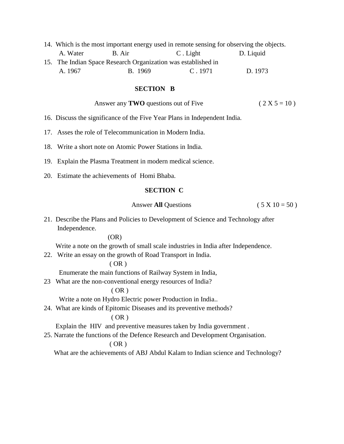|          |                                                               | 14. Which is the most important energy used in remote sensing for observing the objects. |           |  |
|----------|---------------------------------------------------------------|------------------------------------------------------------------------------------------|-----------|--|
| A. Water | B. Air                                                        | C. Light                                                                                 | D. Liquid |  |
|          | 15. The Indian Space Research Organization was established in |                                                                                          |           |  |
| A. 1967  | B. 1969                                                       | C.1971                                                                                   | D. 1973   |  |

#### **SECTION B**

| Answer any <b>TWO</b> questions out of Five | $(2 X 5 = 10)$ |
|---------------------------------------------|----------------|
|---------------------------------------------|----------------|

- 16. Discuss the significance of the Five Year Plans in Independent India.
- 17. Asses the role of Telecommunication in Modern India.
- 18. Write a short note on Atomic Power Stations in India.
- 19. Explain the Plasma Treatment in modern medical science.
- 20. Estimate the achievements of Homi Bhaba.

#### **SECTION C**

Answer **All** Questions (  $5 \times 10 = 50$  )

21. Describe the Plans and Policies to Development of Science and Technology after Independence.

#### (OR)

Write a note on the growth of small scale industries in India after Independence.

22. Write an essay on the growth of Road Transport in India.

#### ( OR )

Enumerate the main functions of Railway System in India,

23 What are the non-conventional energy resources of India?

#### $(OR)$

Write a note on Hydro Electric power Production in India..

24. What are kinds of Epitomic Diseases and its preventive methods?

## ( OR )

Explain the HIV and preventive measures taken by India government .

25. Narrate the functions of the Defence Research and Development Organisation.

#### ( OR )

What are the achievements of ABJ Abdul Kalam to Indian science and Technology?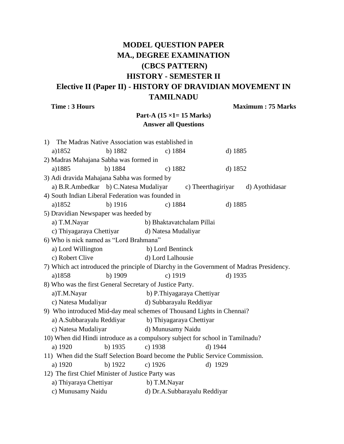# **MODEL QUESTION PAPER MA., DEGREE EXAMINATION (CBCS PATTERN) HISTORY - SEMESTER II Elective II (Paper II) - HISTORY OF DRAVIDIAN MOVEMENT IN TAMILNADU**

**Time : 3 Hours** Maximum : 75 Marks

# **Part-A (15 ×1= 15 Marks) Answer all Questions**

| 1) | The Madras Native Association was established in                                         |           |                            |                              |         |                |
|----|------------------------------------------------------------------------------------------|-----------|----------------------------|------------------------------|---------|----------------|
|    | a)1852                                                                                   | b) 1882   | c) $1884$                  |                              | d) 1885 |                |
|    | 2) Madras Mahajana Sabha was formed in                                                   |           |                            |                              |         |                |
|    | a)1885                                                                                   | b) 1884   | c) $1882$                  |                              | d) 1852 |                |
|    | 3) Adi dravida Mahajana Sabha was formed by                                              |           |                            |                              |         |                |
|    | a) B.R.Ambedkar b) C.Natesa Mudaliyar c) Theerthagiriyar                                 |           |                            |                              |         | d) Ayothidasar |
|    | 4) South Indian Liberal Federation was founded in                                        |           |                            |                              |         |                |
|    | a)1852                                                                                   | $b)$ 1916 | c) $1884$                  |                              | d) 1885 |                |
|    | 5) Dravidian Newspaper was heeded by                                                     |           |                            |                              |         |                |
|    | a) T.M.Nayar                                                                             |           | b) Bhaktavatchalam Pillai  |                              |         |                |
|    | c) Thiyagaraya Chettiyar                                                                 |           | d) Natesa Mudaliyar        |                              |         |                |
|    | 6) Who is nick named as "Lord Brahmana"                                                  |           |                            |                              |         |                |
|    | a) Lord Willington                                                                       |           | b) Lord Bentinck           |                              |         |                |
|    | c) Robert Clive                                                                          |           | d) Lord Lalhousie          |                              |         |                |
|    | 7) Which act introduced the principle of Diarchy in the Government of Madras Presidency. |           |                            |                              |         |                |
|    | a)1858                                                                                   | b) 1909   | c) 1919                    |                              | d) 1935 |                |
|    | 8) Who was the first General Secretary of Justice Party.                                 |           |                            |                              |         |                |
|    | a)T.M.Nayar                                                                              |           | b) P.Thiyagaraya Chettiyar |                              |         |                |
|    | c) Natesa Mudaliyar                                                                      |           | d) Subbarayalu Reddiyar    |                              |         |                |
|    | 9) Who introduced Mid-day meal schemes of Thousand Lights in Chennai?                    |           |                            |                              |         |                |
|    | a) A.Subbarayalu Reddiyar                                                                |           | b) Thiyagaraya Chettiyar   |                              |         |                |
|    | c) Natesa Mudaliyar                                                                      |           | d) Munusamy Naidu          |                              |         |                |
|    | 10) When did Hindi introduce as a compulsory subject for school in Tamilnadu?            |           |                            |                              |         |                |
|    | a) 1920                                                                                  | b) 1935   | c) $1938$                  | d) 1944                      |         |                |
|    | 11) When did the Staff Selection Board become the Public Service Commission.             |           |                            |                              |         |                |
|    | a) 1920                                                                                  | b) 1922   | c) $1926$                  | d) 1929                      |         |                |
|    | 12) The first Chief Minister of Justice Party was                                        |           |                            |                              |         |                |
|    | a) Thiyaraya Chettiyar                                                                   |           | b) T.M.Nayar               |                              |         |                |
|    | c) Munusamy Naidu                                                                        |           |                            | d) Dr.A.Subbarayalu Reddiyar |         |                |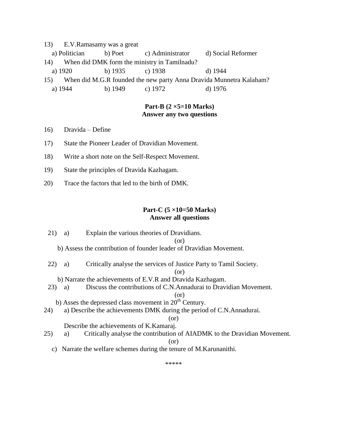- 13) E.V.Ramasamy was a great
- a) Politician b) Poet c) Administrator d) Social Reformer
- 14) When did DMK form the ministry in Tamilnadu?
- a) 1920 b) 1935 c) 1938 d) 1944
- 15) When did M.G.R founded the new party Anna Dravida Munnetra Kalaham?
- a) 1944 b) 1949 c) 1972 d) 1976

#### **Part-B (2 ×5=10 Marks) Answer any two questions**

- 16) Dravida Define
- 17) State the Pioneer Leader of Dravidian Movement.
- 18) Write a short note on the Self-Respect Movement.
- 19) State the principles of Dravida Kazhagam.
- 20) Trace the factors that led to the birth of DMK.

#### **Part-C (5 ×10=50 Marks) Answer all questions**

21) a) Explain the various theories of Dravidians.

(or)

- b) Assess the contribution of founder leader of Dravidian Movement.
- 22) a) Critically analyse the services of Justice Party to Tamil Society.

(or)

- b) Narrate the achievements of E.V.R and Dravida Kazhagam.
- 23) a) Discuss the contributions of C.N.Annadurai to Dravidian Movement.

```
(or)
```
- b) Asses the depressed class movement in  $20<sup>th</sup>$  Century.
- 24) a) Describe the achievements DMK during the period of C.N.Annadurai.

(or)

Describe the achievements of K.Kamaraj.

25) a) Critically analyse the contribution of AIADMK to the Dravidian Movement.

#### (or)

c) Narrate the welfare schemes during the tenure of M.Karunanithi.

\*\*\*\*\*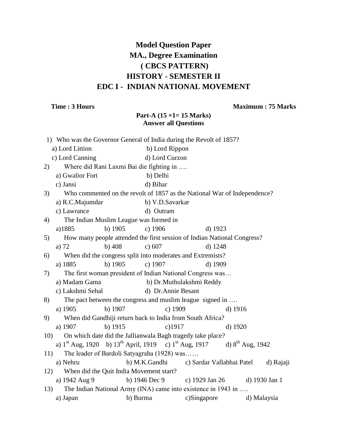# **Model Question Paper MA., Degree Examination ( CBCS PATTERN) HISTORY - SEMESTER II EDC I - INDIAN NATIONAL MOVEMENT**

## **Time : 3 Hours Maximum : 75 Marks**

# **Part-A (15 ×1= 15 Marks) Answer all Questions**

|     | 1) Who was the Governor General of India during the Revolt of 1857?                        |         |                                             |                                                                          |         |             |
|-----|--------------------------------------------------------------------------------------------|---------|---------------------------------------------|--------------------------------------------------------------------------|---------|-------------|
|     | a) Lord Littion                                                                            |         | b) Lord Rippon                              |                                                                          |         |             |
|     | c) Lord Canning                                                                            |         | d) Lord Curzon                              |                                                                          |         |             |
| 2)  |                                                                                            |         | Where did Rani Laxmi Bai die fighting in    |                                                                          |         |             |
|     | a) Gwalior Fort                                                                            |         | b) Delhi                                    |                                                                          |         |             |
|     | c) Jansi                                                                                   |         | d) Bihar                                    |                                                                          |         |             |
| 3)  |                                                                                            |         |                                             | Who commented on the revolt of 1857 as the National War of Independence? |         |             |
|     | a) R.C.Majumdar                                                                            |         | b) V.D.Savarkar                             |                                                                          |         |             |
|     | c) Lawrance                                                                                |         | d) Outram                                   |                                                                          |         |             |
| 4)  |                                                                                            |         | The Indian Muslim League was formed in      |                                                                          |         |             |
|     | a)1885                                                                                     | b) 1905 | c) 1906                                     | $d)$ 1923                                                                |         |             |
| 5)  |                                                                                            |         |                                             | How many people attended the first session of Indian National Congress?  |         |             |
|     | a) $72$                                                                                    | b) 408  | c) 607                                      | d) 1248                                                                  |         |             |
| 6)  |                                                                                            |         |                                             | When did the congress split into moderates and Extremists?               |         |             |
|     | a) 1885                                                                                    | b) 1905 | c) 1907                                     | d) 1909                                                                  |         |             |
| 7)  |                                                                                            |         |                                             | The first woman president of Indian National Congress was                |         |             |
|     | a) Madam Gama                                                                              |         |                                             | b) Dr.Muthulakshmi Reddy                                                 |         |             |
|     | c) Lakshmi Sehal                                                                           |         | d) Dr. Annie Besant                         |                                                                          |         |             |
| 8)  |                                                                                            |         |                                             | The pact between the congress and muslim league signed in                |         |             |
|     | a) 1905                                                                                    | b) 1907 | c) 1909                                     |                                                                          | d) 1916 |             |
| 9)  |                                                                                            |         |                                             | When did Gandhiji return back to India from South Africa?                |         |             |
|     | a) 1907                                                                                    | b) 1915 | $c)$ 1917                                   |                                                                          | d) 1920 |             |
| 10) |                                                                                            |         |                                             | On which date did the Jallianwala Bagh tragedy take place?               |         |             |
|     | a) $1^{st}$ Aug, 1920 b) $13^{th}$ April, 1919 c) $1^{st}$ Aug, 1917 d) $8^{th}$ Aug, 1942 |         |                                             |                                                                          |         |             |
| 11) |                                                                                            |         | The leader of Bardoli Satyagraha (1928) was |                                                                          |         |             |
|     | a) Nehru                                                                                   |         | b) M.K.Gandhi                               | c) Sardar Vallabhai Patel                                                |         | d) Rajaji   |
| 12) |                                                                                            |         | When did the Quit India Movement start?     |                                                                          |         |             |
|     | a) 1942 Aug 9                                                                              |         | b) 1946 Dec 9                               | c) 1929 Jan 26 d) 1930 Jan 1                                             |         |             |
| 13) |                                                                                            |         |                                             | The Indian National Army (INA) came into existence in 1943 in            |         |             |
|     | a) Japan                                                                                   |         | b) Burma                                    | c)Singapore                                                              |         | d) Malaysia |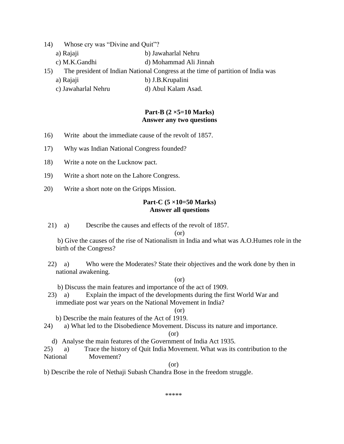- 14) Whose cry was "Divine and Quit"?
	- a) Rajaji b) Jawaharlal Nehru
	- c) M.K.Gandhi d) Mohammad Ali Jinnah
- 15) The president of Indian National Congress at the time of partition of India was
	- a) Rajaji b) J.B.Krupalini
	- c) Jawaharlal Nehru d) Abul Kalam Asad.

#### **Part-B (2 ×5=10 Marks) Answer any two questions**

- 16) Write about the immediate cause of the revolt of 1857.
- 17) Why was Indian National Congress founded?
- 18) Write a note on the Lucknow pact.
- 19) Write a short note on the Lahore Congress.
- 20) Write a short note on the Gripps Mission.

#### **Part-C (5 ×10=50 Marks) Answer all questions**

21) a) Describe the causes and effects of the revolt of 1857.

 $(\alpha r)$ 

b) Give the causes of the rise of Nationalism in India and what was A.O.Humes role in the birth of the Congress?

22) a) Who were the Moderates? State their objectives and the work done by then in national awakening.

#### (or)

b) Discuss the main features and importance of the act of 1909.

23) a) Explain the impact of the developments during the first World War and immediate post war years on the National Movement in India?

#### $(or)$

- b) Describe the main features of the Act of 1919.
- 24) a) What led to the Disobedience Movement. Discuss its nature and importance.

#### (or)

- d) Analyse the main features of the Government of India Act 1935.
- 25) a) Trace the history of Quit India Movement. What was its contribution to the National Movement?

#### (or)

b) Describe the role of Nethaji Subash Chandra Bose in the freedom struggle.

\*\*\*\*\*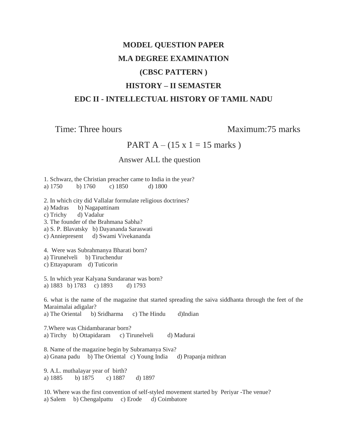# **MODEL QUESTION PAPER M.A DEGREE EXAMINATION (CBSC PATTERN ) HISTORY – II SEMASTER EDC II - INTELLECTUAL HISTORY OF TAMIL NADU**

Time: Three hours Maximum: 75 marks

PART A –  $(15 \times 1 = 15 \text{ marks})$ 

# Answer ALL the question

1. Schwarz, the Christian preacher came to India in the year? a) 1750 b) 1760 c) 1850 d) 1800

2. In which city did Vallalar formulate religious doctrines? a) Madras b) Nagapattinam c) Trichy d) Vadalur 3. The founder of the Brahmana Sabha? a) S. P. Blavatsky b) Dayananda Saraswati c) Anniepresent d) Swami Vivekananda 4. Were was Subrahmanya Bharati born? a) Tirunelveli b) Tiruchendur c) Ettayapuram d) Tuticorin 5. In which year Kalyana Sundaranar was born? a) 1883 b) 1783 c) 1893 d) 1793 6. what is the name of the magazine that started spreading the saiva siddhanta through the feet of the Maraimalai adigalar? a) The Oriental b) Sridharma c) The Hindu d)Indian 7.Where was Chidambaranar born? a) Tirchy b) Ottapidaram c) Tirunelveli d) Madurai 8. Name of the magazine begin by Subramanya Siva? a) Gnana padu b) The Oriental c) Young India d) Prapanja mithran 9. A.L. muthalayar year of birth? a) 1885 b) 1875 c) 1887 d) 1897 10. Where was the first convention of self-styled movement started by Periyar -The venue? a) Salem b) Chengalpattu c) Erode d) Coimbatore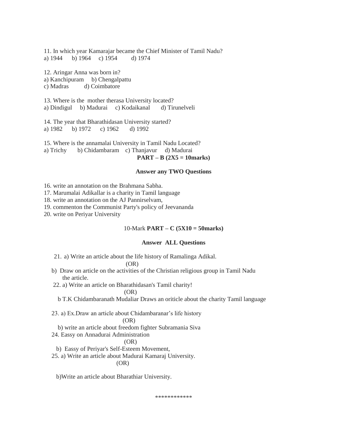11. In which year Kamarajar became the Chief Minister of Tamil Nadu? a) 1944 b) 1964 c) 1954 d) 1974

12. Aringar Anna was born in? a) Kanchipuram b) Chengalpattu c) Madras d) Coimbatore

13. Where is the mother therasa University located? a) Dindigul b) Madurai c) Kodaikanal d) Tirunelveli

14. The year that Bharathidasan University started? a) 1982 b) 1972 c) 1962 d) 1992

15. Where is the annamalai University in Tamil Nadu Located? a) Trichy b) Chidambaram c) Thanjavur d) Madurai **PART – B (2X5 = 10marks)**

#### **Answer any TWO Questions**

16. write an annotation on the Brahmana Sabha.

17. Marumalai Adikallar is a charity in Tamil language

18. write an annotation on the AJ Pannirselvam,

19. commenton the Communist Party's policy of Jeevananda

20. write on Periyar University

#### 10-Mark **PART – C (5X10 = 50marks)**

#### **Answer ALL Questions**

21. a) Write an article about the life history of Ramalinga Adikal.

(OR)

- b) Draw on article on the activities of the Christian religious group in Tamil Nadu the article.
- 22. a) Write an article on Bharathidasan's Tamil charity!

(OR)

b T.K Chidambaranath Mudaliar Draws an oriticle about the charity Tamil language

23. a) Ex.Draw an article about Chidambaranar"s life history

#### (OR)

- b) write an article about freedom fighter Subramania Siva
- 24. Eassy on Annadurai Administration

#### (OR)

- b) Eassy of Periyar's Self-Esteem Movement,
- 25. a) Write an article about Madurai Kamaraj University.

#### (OR)

b)Write an article about Bharathiar University.

\*\*\*\*\*\*\*\*\*\*\*\*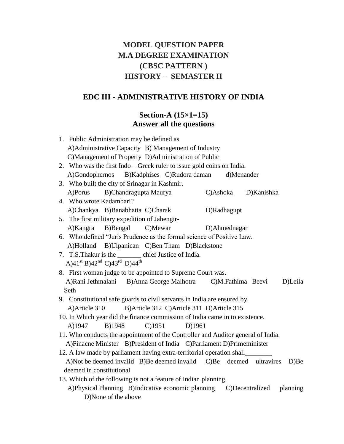# **MODEL QUESTION PAPER M.A DEGREE EXAMINATION (CBSC PATTERN ) HISTORY – SEMASTER II**

# **EDC III - ADMINISTRATIVE HISTORY OF INDIA**

# **Section-A (15×1=15) Answer all the questions**

| 1. Public Administration may be defined as                                        |
|-----------------------------------------------------------------------------------|
| A) Administrative Capacity B) Management of Industry                              |
| C)Management of Property D)Administration of Public                               |
| 2. Who was the first $Indo - Greek$ ruler to issue gold coins on India.           |
| B)Kadphises C)Rudora daman<br>A)Gondophernos<br>d)Menander                        |
| 3. Who built the city of Srinagar in Kashmir.                                     |
| B)Chandragupta Maurya<br>C)Ashoka<br>D)Kanishka<br>A)Porus                        |
| 4. Who wrote Kadambari?                                                           |
| A)Chankya B)Banabhatta C)Charak<br>D)Radhagupt                                    |
| 5. The first military expedition of Jahengir-                                     |
| A)Kangra<br>B)Bengal<br>C)Mewar<br>D)Ahmednagar                                   |
| 6. Who defined "Juris Prudence as the formal science of Positive Law.             |
| A)Holland B)Ulpanican C)Ben Tham D)Blackstone                                     |
| 7. T.S. Thakur is the __________ chief Justice of India.                          |
| A) $41^{st}$ B) $42^{nd}$ C) $43^{rd}$ D) $44^{th}$                               |
| 8. First woman judge to be appointed to Supreme Court was.                        |
| A)Rani Jethmalani B)Anna George Malhotra<br>D)Leila<br>C)M.Fathima Beevi          |
| Seth                                                                              |
| 9. Constitutional safe guards to civil servants in India are ensured by.          |
| B)Article 312 C)Article 311 D)Article 315<br>A) Article 310                       |
| 10. In Which year did the finance commission of India came in to existence.       |
| $C$ )1951<br>A)1947<br>B)1948<br>D)1961                                           |
| 11. Who conducts the appointment of the Controller and Auditor general of India.  |
| A)Finacne Minister B)President of India C)Parliament D)Primeminister              |
|                                                                                   |
| A)Not be deemed invalid B)Be deemed invalid C)Be deemed ultravires<br>D)Be        |
| deemed in constitutional                                                          |
| 13. Which of the following is not a feature of Indian planning.                   |
| A)Physical Planning B)Indicative economic planning<br>C)Decentralized<br>planning |
| D)None of the above                                                               |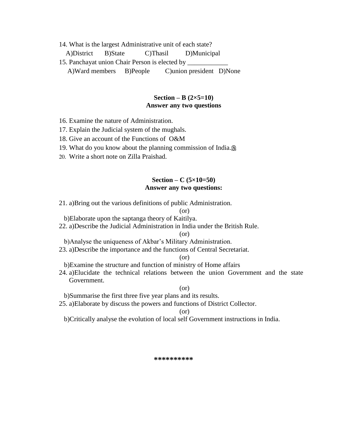14. What is the largest Administrative unit of each state?

A)District B)State C)Thasil D)Municipal

15. Panchayat union Chair Person is elected by A)Ward members B)People C)union president D)None

#### **Section – B (2×5=10) Answer any two questions**

- 16. Examine the nature of Administration.
- 17. Explain the Judicial system of the mughals.
- 18. Give an account of the Functions of O&M
- 19. What do you know about the planning commission of India.
- 20. Write a short note on Zilla Praishad.

## **Section – C (5×10=50) Answer any two questions:**

21. a)Bring out the various definitions of public Administration.

#### (or)

- b)Elaborate upon the saptanga theory of Kaitilya.
- 22. a)Describe the Judicial Administration in India under the British Rule.

(or)

- b)Analyse the uniqueness of Akbar"s Military Administration.
- 23. a)Describe the importance and the functions of Central Secretariat.

(or)

- b)Examine the structure and function of ministry of Home affairs
- 24. a)Elucidate the technical relations between the union Government and the state Government.

(or)

b)Summarise the first three five year plans and its results.

25. a)Elaborate by discuss the powers and functions of District Collector.

(or)

b)Critically analyse the evolution of local self Government instructions in India.

**\*\*\*\*\*\*\*\*\*\***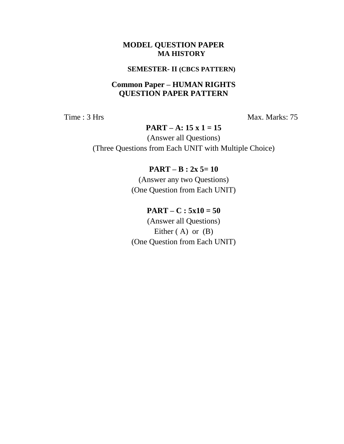# **SEMESTER- II (CBCS PATTERN)**

# **Common Paper – HUMAN RIGHTS QUESTION PAPER PATTERN**

Time : 3 Hrs Max. Marks: 75

# **PART – A: 15 x 1 = 15**

(Answer all Questions) (Three Questions from Each UNIT with Multiple Choice)

# **PART – B : 2x 5= 10**

(Answer any two Questions) (One Question from Each UNIT)

# $PART - C : 5x10 = 50$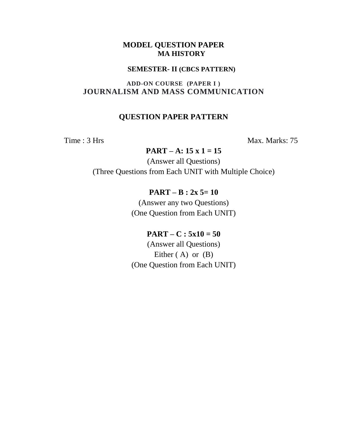#### **SEMESTER- II (CBCS PATTERN)**

# **ADD-ON COURSE (PAPER I ) JOURNALISM AND MASS COMMUNICATION**

# **QUESTION PAPER PATTERN**

Time : 3 Hrs Max. Marks: 75

## **PART – A: 15 x 1 = 15**

(Answer all Questions) (Three Questions from Each UNIT with Multiple Choice)

# **PART – B : 2x 5= 10**

(Answer any two Questions) (One Question from Each UNIT)

# **PART** – **C** :  $5x10 = 50$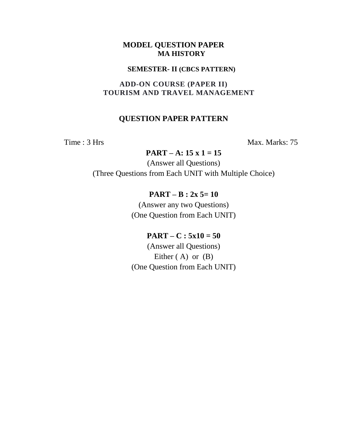#### **SEMESTER- II (CBCS PATTERN)**

# **ADD-ON COURSE (PAPER II) TOURISM AND TRAVEL MANAGEMENT**

# **QUESTION PAPER PATTERN**

Time : 3 Hrs Max. Marks: 75

## **PART – A: 15 x 1 = 15**

(Answer all Questions) (Three Questions from Each UNIT with Multiple Choice)

# **PART – B : 2x 5= 10**

(Answer any two Questions) (One Question from Each UNIT)

# $PART - C : 5x10 = 50$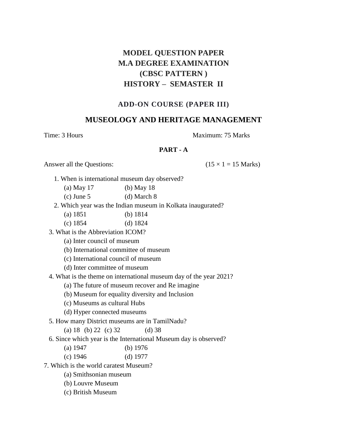# **MODEL QUESTION PAPER M.A DEGREE EXAMINATION (CBSC PATTERN ) HISTORY – SEMASTER II**

#### **ADD-ON COURSE (PAPER III)**

# **MUSEOLOGY AND HERITAGE MANAGEMENT**

#### Time: 3 Hours **Maximum: 75 Marks** Maximum: 75 Marks

#### **PART - A**

Answer all the Questions: ( $15 \times 1 = 15$  Marks)

1. When is international museum day observed?

| (a) May $17$ | $(b)$ May 18 |
|--------------|--------------|
|--------------|--------------|

- (c) June 5 (d) March 8
- 2. Which year was the Indian museum in Kolkata inaugurated?
	- (a) 1851 (b) 1814
	- (c) 1854 (d) 1824
- 3. What is the Abbreviation ICOM?
	- (a) Inter council of museum
	- (b) International committee of museum
	- (c) International council of museum
	- (d) Inter committee of museum
- 4. What is the theme on international museum day of the year 2021?
	- (a) The future of museum recover and Re imagine
	- (b) Museum for equality diversity and Inclusion
	- (c) Museums as cultural Hubs
	- (d) Hyper connected museums
- 5. How many District museums are in TamilNadu?
	- (a)  $18$  (b)  $22$  (c)  $32$  (d)  $38$
- 6. Since which year is the International Museum day is observed?
	- (a) 1947 (b) 1976
	- (c) 1946 (d) 1977
- 7. Which is the world caratest Museum?
	- (a) Smithsonian museum
	- (b) Louvre Museum
	- (c) British Museum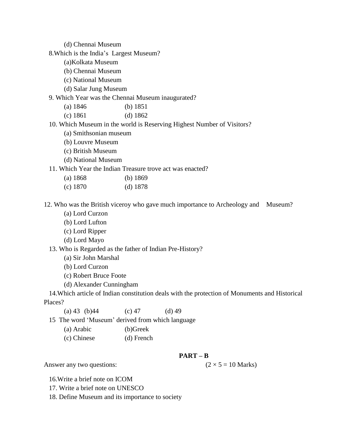(d) Chennai Museum

8.Which is the India"s Largest Museum?

- (a)Kolkata Museum
- (b) Chennai Museum
- (c) National Museum
- (d) Salar Jung Museum

9. Which Year was the Chennai Museum inaugurated?

- (a) 1846 (b) 1851
- (c) 1861 (d) 1862
- 10. Which Museum in the world is Reserving Highest Number of Visitors?
	- (a) Smithsonian museum
	- (b) Louvre Museum
	- (c) British Museum
	- (d) National Museum

11. Which Year the Indian Treasure trove act was enacted?

| (a) 1868 | (b) $1869$ |
|----------|------------|
|          |            |

(c) 1870 (d) 1878

12. Who was the British viceroy who gave much importance to Archeology and Museum?

- (a) Lord Curzon
- (b) Lord Lufton
- (c) Lord Ripper
- (d) Lord Mayo
- 13. Who is Regarded as the father of Indian Pre-History?
	- (a) Sir John Marshal
	- (b) Lord Curzon
	- (c) Robert Bruce Foote
	- (d) Alexander Cunningham

 14.Which article of Indian constitution deals with the protection of Monuments and Historical Places?

(a) 43 (b) 44 (c) 47 (d) 49

15 The word "Museum" derived from which language

| (b)Greek<br>(a) Arabic |
|------------------------|
|------------------------|

- (c) Chinese (d) French
- **PART – B**

Answer any two questions:  $(2 \times 5 = 10 \text{ Marks})$ 

16.Write a brief note on ICOM

- 17. Write a brief note on UNESCO
- 18. Define Museum and its importance to society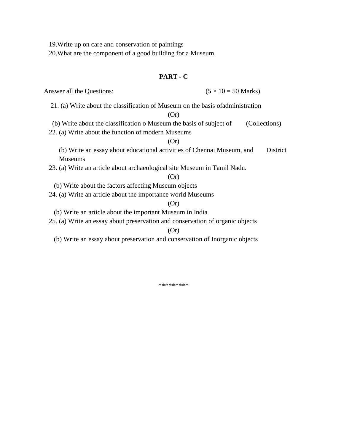19.Write up on care and conservation of paintings

20.What are the component of a good building for a Museum

#### **PART - C**

Answer all the Questions:  $(5 \times 10 = 50 \text{ Marks})$ 

21. (a) Write about the classification of Museum on the basis ofadministration

#### (Or)

(b) Write about the classification o Museum the basis of subject of (Collections)

22. (a) Write about the function of modern Museums

#### $(Or)$

 (b) Write an essay about educational activities of Chennai Museum, and District Museums

23. (a) Write an article about archaeological site Museum in Tamil Nadu.

(Or)

(b) Write about the factors affecting Museum objects

24. (a) Write an article about the importance world Museums

(Or)

(b) Write an article about the important Museum in India

25. (a) Write an essay about preservation and conservation of organic objects

#### (Or)

(b) Write an essay about preservation and conservation of Inorganic objects

\*\*\*\*\*\*\*\*\*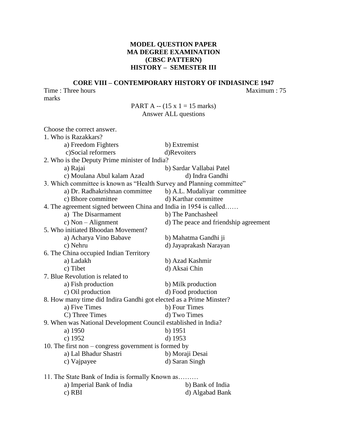## **MODEL QUESTION PAPER MA DEGREE EXAMINATION (CBSC PATTERN) HISTORY – SEMESTER III**

#### **CORE VIII – CONTEMPORARY HISTORY OF INDIASINCE 1947** Time : Three hours Maximum : 75

marks

## PART A  $-$  (15 x 1 = 15 marks) Answer ALL questions

| Choose the correct answer.                                            |                                       |  |
|-----------------------------------------------------------------------|---------------------------------------|--|
| 1. Who is Razakkars?                                                  |                                       |  |
| a) Freedom Fighters                                                   | b) Extremist                          |  |
| c)Social reformers                                                    | d)Revoiters                           |  |
| 2. Who is the Deputy Prime minister of India?                         |                                       |  |
| a) Rajai                                                              | b) Sardar Vallabai Patel              |  |
| c) Moulana Abul kalam Azad                                            | d) Indra Gandhi                       |  |
| 3. Which committee is known as "Health Survey and Planning committee" |                                       |  |
| a) Dr. Radhakrishnan committee                                        | b) A.L. Mudaliyar committee           |  |
| c) Bhore committee                                                    | d) Karthar committee                  |  |
| 4. The agreement signed between China and India in 1954 is called     |                                       |  |
| a) The Disarmament                                                    | b) The Panchasheel                    |  |
| c) Non $-$ Alignment                                                  | d) The peace and friendship agreement |  |
| 5. Who initiated Bhoodan Movement?                                    |                                       |  |
| a) Acharya Vino Babave                                                | b) Mahatma Gandhi ji                  |  |
| c) Nehru                                                              | d) Jayaprakash Narayan                |  |
| 6. The China occupied Indian Territory                                |                                       |  |
| a) Ladakh                                                             | b) Azad Kashmir                       |  |
| c) Tibet                                                              | d) Aksai Chin                         |  |
| 7. Blue Revolution is related to                                      |                                       |  |
| a) Fish production                                                    | b) Milk production                    |  |
| c) Oil production                                                     | d) Food production                    |  |
| 8. How many time did Indira Gandhi got elected as a Prime Minster?    |                                       |  |
| a) Five Times                                                         | b) Four Times                         |  |
| C) Three Times                                                        | d) Two Times                          |  |
| 9. When was National Development Council established in India?        |                                       |  |
| a) 1950                                                               | b) $1951$                             |  |
| c) 1952                                                               | d) 1953                               |  |
| 10. The first non $-$ congress government is formed by                |                                       |  |
| a) Lal Bhadur Shastri                                                 | b) Moraji Desai                       |  |
| c) Vajpayee                                                           | d) Saran Singh                        |  |
|                                                                       |                                       |  |
| 11. The State Bank of India is formally Known as                      |                                       |  |
| a) Imperial Bank of India                                             | b) Bank of India                      |  |
| c) RBI                                                                | d) Algabad Bank                       |  |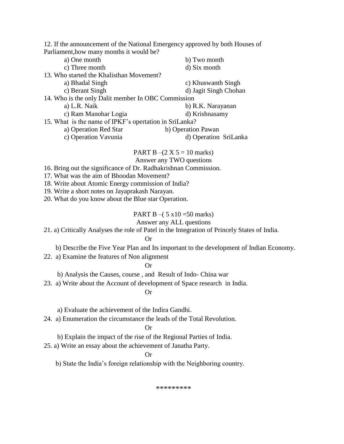12. If the announcement of the National Emergency approved by both Houses of Parliament,how many months it would be?

| a) One month                                           | b) Two month          |
|--------------------------------------------------------|-----------------------|
| c) Three month                                         | d) Six month          |
| 13. Who started the Khalisthan Movement?               |                       |
| a) Bhadal Singh                                        | c) Khuswanth Singh    |
| c) Berant Singh                                        | d) Jagit Singh Chohan |
| 14. Who is the only Dalit member In OBC Commission     |                       |
| a) L.R. Naik                                           | b) R.K. Narayanan     |
| c) Ram Manohar Logia                                   | d) Krishnasamy        |
| 15. What is the name of IPKF's opertation in SriLanka? |                       |
| a) Operation Red Star                                  | b) Operation Pawan    |
| c) Operation Vavunia                                   | d) Operation SriLanka |

PART B –(2 X 5 = 10 marks)

Answer any TWO questions

- 16. Bring out the significance of Dr. Radhakrishnan Commission.
- 17. What was the aim of Bhoodan Movement?
- 18. Write about Atomic Energy commission of India?
- 19. Write a short notes on Jayaprakash Narayan.
- 20. What do you know about the Blue star Operation.

#### PART B –( $5 \times 10 = 50$  marks)

#### Answer any ALL questions

21. a) Critically Analyses the role of Patel in the Integration of Princely States of India.

#### Or

b) Describe the Five Year Plan and Its important to the development of Indian Economy.

22. a) Examine the features of Non alignment

Or

b) Analysis the Causes, course , and Result of Indo- China war

23. a) Write about the Account of development of Space research in India.

#### Or

- a) Evaluate the achievement of the Indira Gandhi.
- 24. a) Enumeration the circumstance the leads of the Total Revolution.

#### Or

b) Explain the impact of the rise of the Regional Parties of India.

25. a) Write an essay about the achievement of Janatha Party.

#### Or

b) State the India"s foreign relationship with the Neighboring country.

\*\*\*\*\*\*\*\*\*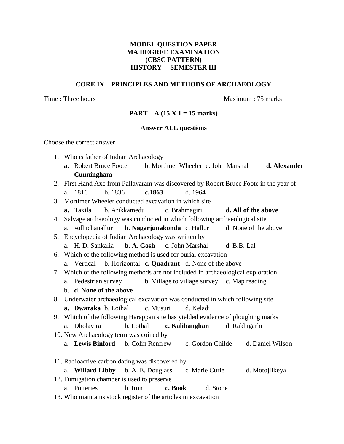#### **MODEL QUESTION PAPER MA DEGREE EXAMINATION (CBSC PATTERN) HISTORY – SEMESTER III**

#### **CORE IX – PRINCIPLES AND METHODS OF ARCHAEOLOGY**

Time : Three hours and the matter of the Maximum : 75 marks

#### **PART – A (15 X 1 = 15 marks)**

#### **Answer ALL questions**

Choose the correct answer.

- 1. Who is father of Indian Archaeology
	- **a.** Robert Bruce Foote b. Mortimer Wheeler c. John Marshal **d. Alexander Cunningham**
- 2. First Hand Axe from Pallavaram was discovered by Robert Bruce Foote in the year of a. 1816 b. 1836 **c.1863** d. 1964
- 3. Mortimer Wheeler conducted excavation in which site
	- **a.** Taxila b. Arikkamedu c. Brahmagiri **d. All of the above**

4. Salvage archaeology was conducted in which following archaeological site

a. Adhichanallur **b. Nagarjunakonda** c. Hallur d. None of the above

5. Encyclopedia of Indian Archaeology was written by

- a. H. D. Sankalia **b. A. Gosh** c. John Marshal d. B.B. Lal
- 6. Which of the following method is used for burial excavation
	- a. Vertical b. Horizontal **c. Quadrant** d. None of the above
- 7. Which of the following methods are not included in archaeological exploration
	- a. Pedestrian survey b. Village to village survey c. Map reading
	- b. **d**. **None of the above**
- 8. Underwater archaeological excavation was conducted in which following site
	- **a. Dwaraka** b. Lothal c. Musuri d. Keladi
- 9. Which of the following Harappan site has yielded evidence of ploughing marks
- a. Dholavira b. Lothal **c. Kalibanghan** d. Rakhigarhi 10. New Archaeology term was coined by
	- a. **Lewis Binford** b. Colin Renfrew c. Gordon Childe d. Daniel Wilson
- 11. Radioactive carbon dating was discovered by a. **Willard Libby** b. A. E. Douglass c. Marie Curie d. MotojiIkeya 12. Fumigation chamber is used to preserve a. Potteries b. Iron **c. Book** d. Stone
- 13. Who maintains stock register of the articles in excavation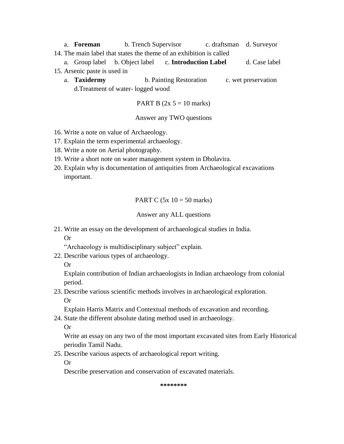- a. **Foreman** b. Trench Supervisor c. draftsman d. Surveyor 14. The main label that states the theme of an exhibition is called
- a. Group label b. Object label c. **Introduction Label** d. Case label 15. Arsenic paste is used in
	- a. **Taxidermy** b. Painting Restoration c. wet preservation d.Treatment of water- logged wood

PART B 
$$
(2x 5 = 10 \text{ marks})
$$

#### Answer any TWO questions

- 16. Write a note on value of Archaeology.
- 17. Explain the term experimental archaeology.
- 18. Write a note on Aerial photography.
- 19. Write a short note on water management system in Dholavira.
- 20. Explain why is documentation of antiquities from Archaeological excavations important.

PART C  $(5x \ 10 = 50 \text{ marks})$ 

#### Answer any ALL questions

21. Write an essay on the development of archaeological studies in India. Or

"Archaeology is multidisciplinary subject" explain.

- 22. Describe various types of archaeology.
	- Or

Explain contribution of Indian archaeologists in Indian archaeology from colonial period.

23. Describe various scientific methods involves in archaeological exploration.

Or

Explain Harris Matrix and Contextual methods of excavation and recording.

24. State the different absolute dating method used in archaeology.

Or

Write an essay on any two of the most important excavated sites from Early Historical periodin Tamil Nadu.

25. Describe various aspects of archaeological report writing.

Or

Describe preservation and conservation of excavated materials.

**\*\*\*\*\*\*\*\***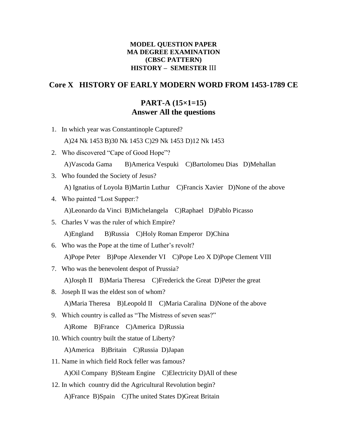## **MODEL QUESTION PAPER MA DEGREE EXAMINATION (CBSC PATTERN) HISTORY – SEMESTER** III

# **Core X HISTORY OF EARLY MODERN WORD FROM 1453-1789 CE**

# **PART-A (15×1=15) Answer All the questions**

- 1. In which year was Constantinople Captured? A)24 Nk 1453 B)30 Nk 1453 C)29 Nk 1453 D)12 Nk 1453
- 2. Who discovered "Cape of Good Hope"? A)Vascoda Gama B)America Vespuki C)Bartolomeu Dias D)Mehallan
- 3. Who founded the Society of Jesus? A) Ignatius of Loyola B)Martin Luthur C)Francis Xavier D)None of the above
- 4. Who painted "Lost Supper:? A)Leonardo da Vinci B)Michelangela C)Raphael D)Pablo Picasso
- 5. Charles V was the ruler of which Empire? A)England B)Russia C)Holy Roman Emperor D)China
- 6. Who was the Pope at the time of Luther"s revolt? A)Pope Peter B)Pope Alexender VI C)Pope Leo X D)Pope Clement VIII
- 7. Who was the benevolent despot of Prussia? A)Josph II B)Maria Theresa C)Frederick the Great D)Peter the great
- 8. Joseph II was the eldest son of whom? A)Maria Theresa B)Leopold II C)Maria Caralina D)None of the above
- 9. Which country is called as "The Mistress of seven seas?" A)Rome B)France C)America D)Russia
- 10. Which country built the statue of Liberty?

A)America B)Britain C)Russia D)Japan

- 11. Name in which field Rock feller was famous? A)Oil Company B)Steam Engine C)Electricity D)All of these
- 12. In which country did the Agricultural Revolution begin? A)France B)Spain C)The united States D)Great Britain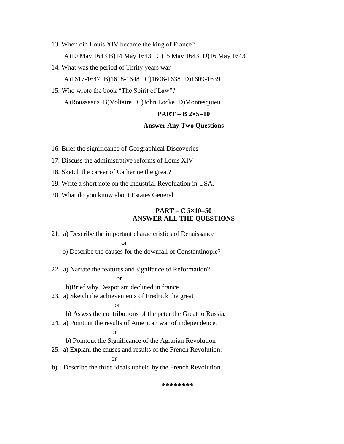- 13. When did Louis XIV became the king of France? A)10 May 1643 B)14 May 1643 C)15 May 1643 D)16 May 1643
- 14. What was the period of Thrity years war A)1617-1647 B)1618-1648 C)1608-1638 D)1609-1639
- 15. Who wrote the book "The Spirit of Law"?

A)Rousseaus B)Voltaire C)John Locke D)Montesquieu

#### **PART – B 2×5=10**

#### **Answer Any Two Questions**

16. Brief the significance of Geographical Discoveries

17. Discuss the administrative reforms of Louis XIV

18. Sketch the career of Catherine the great?

19. Write a short note on the Industrial Revoluation in USA.

20. What do you know about Estates General

#### **PART – C 5×10=50 ANSWER ALL THE QUESTIONS**

21. a) Describe the important characteristics of Renaissance or

b) Describe the causes for the downfall of Constantinople?

22. a) Narrate the features and signifance of Reformation?

#### or

b)Brief why Despotism declined in france

23. a) Sketch the achievements of Fredrick the great

#### or

b) Assess the contributions of the peter the Great to Russia.

24. a) Pointout the results of American war of independence.

#### or

b) Pointout the Significance of the Agrarian Revolution

25. a) Explani the causes and results of the French Revolution.

or

b) Describe the three ideals upheld by the French Revolution.

**\*\*\*\*\*\*\*\***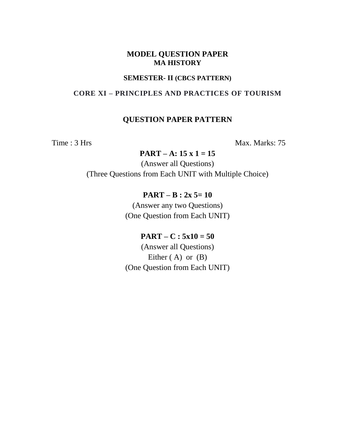## **SEMESTER- II (CBCS PATTERN)**

# **CORE XI – PRINCIPLES AND PRACTICES OF TOURISM**

# **QUESTION PAPER PATTERN**

Time : 3 Hrs Max. Marks: 75

# **PART – A: 15 x 1 = 15**

(Answer all Questions) (Three Questions from Each UNIT with Multiple Choice)

# **PART – B : 2x 5= 10**

(Answer any two Questions) (One Question from Each UNIT)

# $PART - C : 5x10 = 50$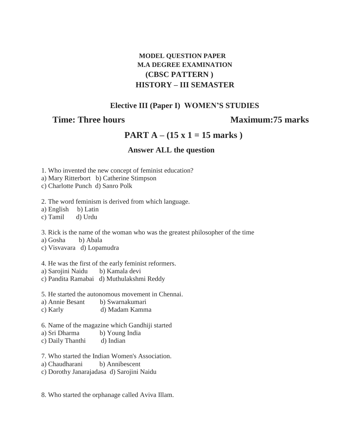# **MODEL QUESTION PAPER M.A DEGREE EXAMINATION (CBSC PATTERN ) HISTORY – III SEMASTER**

# **Elective III (Paper I) WOMEN'S STUDIES**

# **Time: Three hours Maximum: 75 marks**

# **PART A – (15 x 1 = 15 marks )**

# **Answer ALL the question**

1. Who invented the new concept of feminist education?

a) Mary Ritterbort b) Catherine Stimpson

c) Charlotte Punch d) Sanro Polk

2. The word feminism is derived from which language.

a) English b) Latin

c) Tamil d) Urdu

3. Rick is the name of the woman who was the greatest philosopher of the time

a) Gosha b) Abala

c) Visvavara d) Lopamudra

4. He was the first of the early feminist reformers.

a) Sarojini Naidu b) Kamala devi

c) Pandita Ramabai d) Muthulakshmi Reddy

5. He started the autonomous movement in Chennai.

- a) Annie Besant b) Swarnakumari
- c) Karly d) Madam Kamma

6. Name of the magazine which Gandhiji started

a) Sri Dharma b) Young India

c) Daily Thanthi d) Indian

7. Who started the Indian Women's Association.

- a) Chaudharani b) Annibescent
- c) Dorothy Janarajadasa d) Sarojini Naidu

8. Who started the orphanage called Aviva Illam.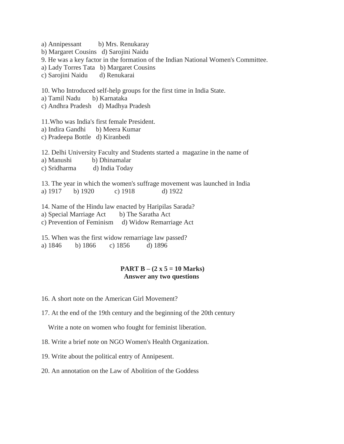a) Annipessant b) Mrs. Renukaray b) Margaret Cousins d) Sarojini Naidu 9. He was a key factor in the formation of the Indian National Women's Committee. a) Lady Torres Tata b) Margaret Cousins c) Sarojini Naidu d) Renukarai 10. Who Introduced self-help groups for the first time in India State. a) Tamil Nadu b) Karnataka c) Andhra Pradesh d) Madhya Pradesh 11.Who was India's first female President. a) Indira Gandhi b) Meera Kumar c) Pradeepa Bottle d) Kiranbedi 12. Delhi University Faculty and Students started a magazine in the name of a) Manushi b) Dhinamalar c) Sridharma d) India Today 13. The year in which the women's suffrage movement was launched in India a) 1917 b) 1920 c) 1918 d) 1922 14. Name of the Hindu law enacted by Haripilas Sarada? a) Special Marriage Act b) The Saratha Act c) Prevention of Feminism d) Widow Remarriage Act 15. When was the first widow remarriage law passed? a) 1846 b) 1866 c) 1856 d) 1896

#### **PART B – (2 x 5 = 10 Marks) Answer any two questions**

16. A short note on the American Girl Movement?

17. At the end of the 19th century and the beginning of the 20th century

Write a note on women who fought for feminist liberation.

18. Write a brief note on NGO Women's Health Organization.

19. Write about the political entry of Annipesent.

20. An annotation on the Law of Abolition of the Goddess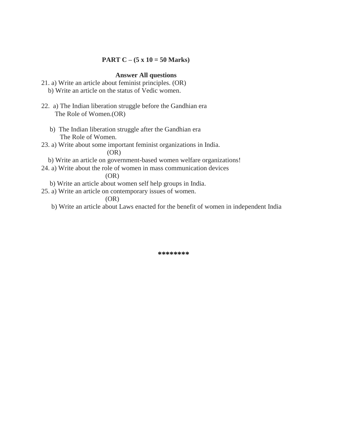### **PART C – (5 x 10 = 50 Marks)**

#### **Answer All questions**

- 21. a) Write an article about feminist principles. (OR) b) Write an article on the status of Vedic women.
- 22. a) The Indian liberation struggle before the Gandhian era The Role of Women.(OR)
	- b) The Indian liberation struggle after the Gandhian era The Role of Women.
- 23. a) Write about some important feminist organizations in India.

(OR)

- b) Write an article on government-based women welfare organizations!
- 24. a) Write about the role of women in mass communication devices

(OR)

- b) Write an article about women self help groups in India.
- 25. a) Write an article on contemporary issues of women.

(OR)

b) Write an article about Laws enacted for the benefit of women in independent India

**\*\*\*\*\*\*\*\***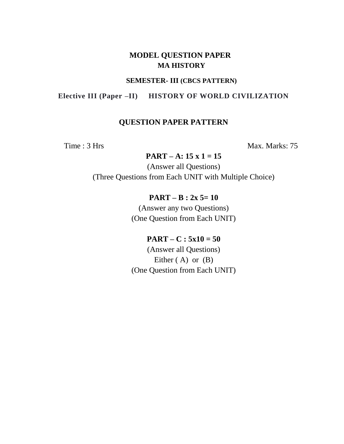#### **SEMESTER- III (CBCS PATTERN)**

# **Elective III (Paper –II) HISTORY OF WORLD CIVILIZATION**

# **QUESTION PAPER PATTERN**

Time : 3 Hrs Max. Marks: 75

**PART – A: 15 x 1 = 15**

(Answer all Questions) (Three Questions from Each UNIT with Multiple Choice)

# **PART – B : 2x 5= 10**

(Answer any two Questions) (One Question from Each UNIT)

# **PART – C : 5x10 = 50**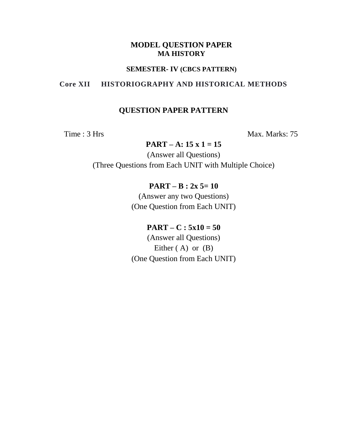#### **SEMESTER- IV (CBCS PATTERN)**

# **Core XII HISTORIOGRAPHY AND HISTORICAL METHODS**

# **QUESTION PAPER PATTERN**

Time : 3 Hrs Max. Marks: 75

**PART – A: 15 x 1 = 15**

(Answer all Questions) (Three Questions from Each UNIT with Multiple Choice)

# **PART – B : 2x 5= 10**

(Answer any two Questions) (One Question from Each UNIT)

# $PART - C : 5x10 = 50$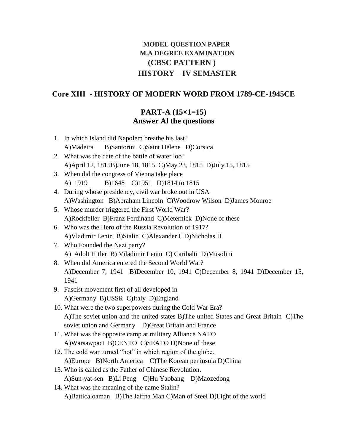# **MODEL QUESTION PAPER M.A DEGREE EXAMINATION (CBSC PATTERN ) HISTORY – IV SEMASTER**

#### **Core XIII - HISTORY OF MODERN WORD FROM 1789-CE-1945CE**

# **PART-A (15×1=15) Answer Al the questions**

- 1. In which Island did Napolem breathe his last? A)Madeira B)Santorini C)Saint Helene D)Corsica 2. What was the date of the battle of water loo? A)April 12, 1815B)June 18, 1815 C)May 23, 1815 D)July 15, 1815 3. When did the congress of Vienna take place A) 1919 B)1648 C)1951 D)1814 to 1815 4. During whose presidency, civil war broke out in USA A)Washington B)Abraham Lincoln C)Woodrow Wilson D)James Monroe 5. Whose murder triggered the First World War? A)Rockfeller B)Franz Ferdinand C)Meternick D)None of these 6. Who was the Hero of the Russia Revolution of 1917? A)Vladimir Lenin B)Stalin C)Alexander I D)Nicholas II 7. Who Founded the Nazi party? A) Adolt Hitler B) Viladimir Lenin C) Caribalti D)Musolini 8. When did America entered the Second World War? A)December 7, 1941 B)December 10, 1941 C)December 8, 1941 D)December 15, 1941 9. Fascist movement first of all developed in A)Germany B)USSR C)Italy D)England 10. What were the two superpowers during the Cold War Era? A)The soviet union and the united states B)The united States and Great Britain C)The soviet union and Germany D)Great Britain and France 11. What was the opposite camp at military Alliance NATO A)Warsawpact B)CENTO C)SEATO D)None of these 12. The cold war turned "hot" in which region of the globe. A)Europe B)North America C)The Korean peninsula D)China
- 13. Who is called as the Father of Chinese Revolution. A)Sun-yat-sen B)Li Peng C)Hu Yaobang D)Maozedong
- 14. What was the meaning of the name Stalin? A)Batticaloaman B)The Jaffna Man C)Man of Steel D)Light of the world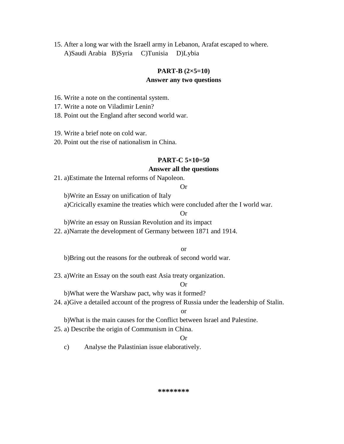15. After a long war with the Israell army in Lebanon, Arafat escaped to where. A)Saudi Arabia B)Syria C)Tunisia D)Lybia

#### **PART-B (2×5=10)**

#### **Answer any two questions**

16. Write a note on the continental system.

17. Write a note on Viladimir Lenin?

18. Point out the England after second world war.

19. Write a brief note on cold war.

20. Point out the rise of nationalism in China.

#### **PART-C 5×10=50**

#### **Answer all the questions**

21. a)Estimate the Internal reforms of Napoleon.

Or

b)Write an Essay on unification of Italy

a)Cricically examine the treaties which were concluded after the I world war.

Or

b)Write an essay on Russian Revolution and its impact

22. a)Narrate the development of Germany between 1871 and 1914.

or

b)Bring out the reasons for the outbreak of second world war.

23. a)Write an Essay on the south east Asia treaty organization.

Or

b)What were the Warshaw pact, why was it formed?

24. a)Give a detailed account of the progress of Russia under the leadership of Stalin.

or

b)What is the main causes for the Conflict between Israel and Palestine.

25. a) Describe the origin of Communism in China.

#### Or

c) Analyse the Palastinian issue elaboratively.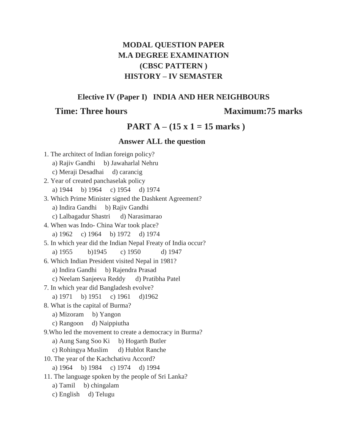# **MODAL QUESTION PAPER M.A DEGREE EXAMINATION (CBSC PATTERN ) HISTORY – IV SEMASTER**

**Elective IV (Paper I) INDIA AND HER NEIGHBOURS**

# **Time: Three hours Maximum: 75 marks**

# **PART A – (15 x 1 = 15 marks )**

# **Answer ALL the question**

| 1. The architect of Indian foreign policy?                   |  |  |  |  |  |  |
|--------------------------------------------------------------|--|--|--|--|--|--|
| a) Rajiv Gandhi b) Jawaharlal Nehru                          |  |  |  |  |  |  |
| c) Meraji Desadhai d) carancig                               |  |  |  |  |  |  |
| 2. Year of created panchaselak policy                        |  |  |  |  |  |  |
| a) 1944 b) 1964 c) 1954 d) 1974                              |  |  |  |  |  |  |
| 3. Which Prime Minister signed the Dashkent Agreement?       |  |  |  |  |  |  |
| a) Indira Gandhi b) Rajiv Gandhi                             |  |  |  |  |  |  |
| c) Lalbagadur Shastri d) Narasimarao                         |  |  |  |  |  |  |
| 4. When was Indo- China War took place?                      |  |  |  |  |  |  |
| a) 1962 c) 1964 b) 1972 d) 1974                              |  |  |  |  |  |  |
| 5. In which year did the Indian Nepal Freaty of India occur? |  |  |  |  |  |  |
| b)1945<br>c) $1950$<br>a) 1955<br>d) 1947                    |  |  |  |  |  |  |
| 6. Which Indian President visited Nepal in 1981?             |  |  |  |  |  |  |
| a) Indira Gandhi b) Rajendra Prasad                          |  |  |  |  |  |  |
| c) Neelam Sanjeeva Reddy d) Pratibha Patel                   |  |  |  |  |  |  |
| 7. In which year did Bangladesh evolve?                      |  |  |  |  |  |  |
| a) 1971 b) 1951 c) 1961 d) 1962                              |  |  |  |  |  |  |
| 8. What is the capital of Burma?                             |  |  |  |  |  |  |
| a) Mizoram b) Yangon                                         |  |  |  |  |  |  |
| c) Rangoon d) Naippiutha                                     |  |  |  |  |  |  |
| 9. Who led the movement to create a democracy in Burma?      |  |  |  |  |  |  |
| a) Aung Sang Soo Ki b) Hogarth Butler                        |  |  |  |  |  |  |
| c) Rohingya Muslim d) Hublot Ranche                          |  |  |  |  |  |  |
| 10. The year of the Kachchativu Accord?                      |  |  |  |  |  |  |
| a) 1964 b) 1984 c) 1974 d) 1994                              |  |  |  |  |  |  |
| 11. The language spoken by the people of Sri Lanka?          |  |  |  |  |  |  |
| a) Tamil b) chingalam                                        |  |  |  |  |  |  |
| c) English d) Telugu                                         |  |  |  |  |  |  |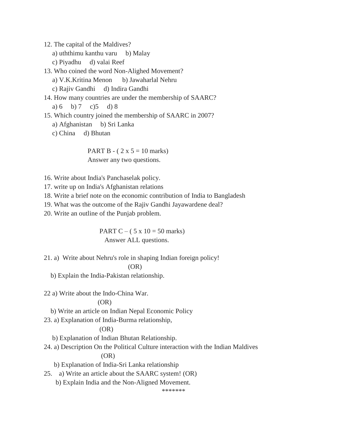12. The capital of the Maldives?

- a) uththimu kanthu varu b) Malay
- c) Piyadhu d) valai Reef

13. Who coined the word Non-Alighed Movement?

a) V.K.Kritina Menon b) Jawaharlal Nehru

c) Rajiv Gandhi d) Indira Gandhi

14. How many countries are under the membership of SAARC?

a) 6 b) 7 c)5 d) 8

15. Which country joined the membership of SAARC in 2007?

- a) Afghanistan b) Sri Lanka
- c) China d) Bhutan

PART B -  $(2 x 5 = 10 \text{ marks})$ Answer any two questions.

- 16. Write about India's Panchaselak policy.
- 17. write up on India's Afghanistan relations

18. Write a brief note on the economic contribution of India to Bangladesh

19. What was the outcome of the Rajiv Gandhi Jayawardene deal?

20. Write an outline of the Punjab problem.

PART C – ( $5 \times 10 = 50$  marks) Answer ALL questions.

21. a) Write about Nehru's role in shaping Indian foreign policy!

(OR)

b) Explain the India-Pakistan relationship.

22 a) Write about the Indo-China War.

#### (OR)

b) Write an article on Indian Nepal Economic Policy

23. a) Explanation of India-Burma relationship,

#### $(OR)$

b) Explanation of Indian Bhutan Relationship.

24. a) Description On the Political Culture interaction with the Indian Maldives  $(OR)$ 

b) Explanation of India-Sri Lanka relationship

25. a) Write an article about the SAARC system! (OR)

b) Explain India and the Non-Aligned Movement.

\*\*\*\*\*\*\*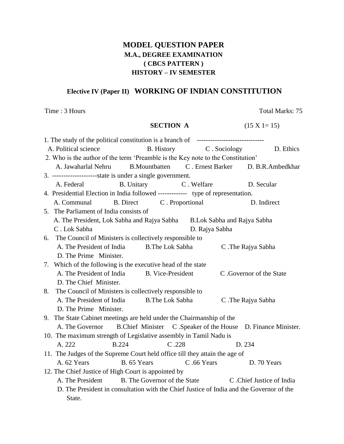# **MODEL QUESTION PAPER M.A., DEGREE EXAMINATION ( CBCS PATTERN ) HISTORY – IV SEMESTER**

# **Elective IV (Paper II) WORKING OF INDIAN CONSTITUTION**

Time : 3 Hours Total Marks: 75

### **SECTION A** (15 X 1= 15)

| A. Political science                                                             |                                                                                          |                           | B. History C. Sociology |                    | D. Ethics                |                                                              |  |
|----------------------------------------------------------------------------------|------------------------------------------------------------------------------------------|---------------------------|-------------------------|--------------------|--------------------------|--------------------------------------------------------------|--|
| 2. Who is the author of the term 'Preamble is the Key note to the Constitution'  |                                                                                          |                           |                         |                    |                          |                                                              |  |
|                                                                                  | A. Jawaharlal Nehru                                                                      |                           |                         |                    |                          | B. Mountbatten C. Ernest Barker D. B.R. Ambedkhar            |  |
|                                                                                  | 3. --------------------state is under a single government.                               |                           |                         |                    |                          |                                                              |  |
|                                                                                  | A. Federal                                                                               | B. Unitary                |                         | C. Welfare         |                          | D. Secular                                                   |  |
| 4. Presidential Election in India followed ------------- type of representation. |                                                                                          |                           |                         |                    |                          |                                                              |  |
|                                                                                  | A. Communal                                                                              | B. Direct C. Proportional |                         |                    |                          | D. Indirect                                                  |  |
|                                                                                  | 5. The Parliament of India consists of                                                   |                           |                         |                    |                          |                                                              |  |
|                                                                                  | A. The President, Lok Sabha and Rajya Sabha B.Lok Sabha and Rajya Sabha                  |                           |                         |                    |                          |                                                              |  |
|                                                                                  | C. Lok Sabha<br>D. Rajya Sabha                                                           |                           |                         |                    |                          |                                                              |  |
|                                                                                  | 6. The Council of Ministers is collectively responsible to                               |                           |                         |                    |                          |                                                              |  |
|                                                                                  | A. The President of India                                                                | <b>B.The Lok Sabha</b>    |                         | C. The Rajya Sabha |                          |                                                              |  |
|                                                                                  | D. The Prime Minister.                                                                   |                           |                         |                    |                          |                                                              |  |
|                                                                                  | 7. Which of the following is the executive head of the state                             |                           |                         |                    |                          |                                                              |  |
|                                                                                  | A. The President of India B. Vice-President                                              |                           |                         |                    | C. Governor of the State |                                                              |  |
|                                                                                  | D. The Chief Minister.                                                                   |                           |                         |                    |                          |                                                              |  |
| 8.                                                                               | The Council of Ministers is collectively responsible to                                  |                           |                         |                    |                          |                                                              |  |
|                                                                                  | A. The President of India<br><b>B.The Lok Sabha</b>                                      |                           |                         |                    | C. The Rajya Sabha       |                                                              |  |
|                                                                                  | D. The Prime Minister.                                                                   |                           |                         |                    |                          |                                                              |  |
|                                                                                  | 9. The State Cabinet meetings are held under the Chairmanship of the                     |                           |                         |                    |                          |                                                              |  |
|                                                                                  | A. The Governor                                                                          |                           |                         |                    |                          | B.Chief Minister C.Speaker of the House D. Finance Minister. |  |
|                                                                                  | 10. The maximum strength of Legislative assembly in Tamil Nadu is                        |                           |                         |                    |                          |                                                              |  |
|                                                                                  | A. 222                                                                                   | <b>B.224</b>              | C.228                   |                    |                          | D. 234                                                       |  |
| 11. The Judges of the Supreme Court held office till they attain the age of      |                                                                                          |                           |                         |                    |                          |                                                              |  |
|                                                                                  | A. 62 Years                                                                              | B. 65 Years               |                         | C.66 Years         |                          | D. 70 Years                                                  |  |
| 12. The Chief Justice of High Court is appointed by                              |                                                                                          |                           |                         |                    |                          |                                                              |  |
|                                                                                  | A. The President                                                                         |                           |                         |                    |                          | B. The Governor of the State C. Chief Justice of India       |  |
|                                                                                  | D. The President in consultation with the Chief Justice of India and the Governor of the |                           |                         |                    |                          |                                                              |  |
|                                                                                  | State.                                                                                   |                           |                         |                    |                          |                                                              |  |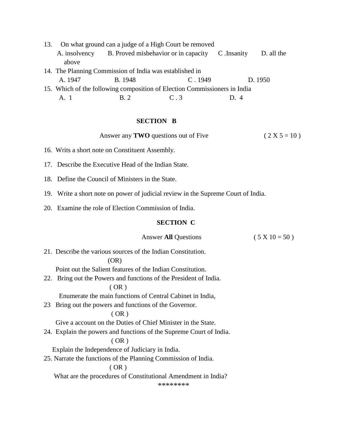- 13. On what ground can a judge of a High Court be removed A. insolvency B. Proved misbehavior or in capacity C .Insanity D. all the above 14. The Planning Commission of India was established in A. 1947 B. 1948 C . 1949 D. 1950 15. Which of the following composition of Election Commissioners in India
	- A. 1 B. 2 C. 3 D. 4

#### **SECTION B**

Answer any **TWO** questions out of Five  $(2 X 5 = 10)$ 

- 16. Writs a short note on Constituent Assembly.
- 17. Describe the Executive Head of the Indian State.
- 18. Define the Council of Ministers in the State.
- 19. Write a short note on power of judicial review in the Supreme Court of India.
- 20. Examine the role of Election Commission of India.

#### **SECTION C**

#### Answer **All** Questions (  $5 \times 10 = 50$  )

21. Describe the various sources of the Indian Constitution. (OR)

Point out the Salient features of the Indian Constitution.

22. Bring out the Powers and functions of the President of India.

#### $(OR)$

Enumerate the main functions of Central Cabinet in India,

23 Bring out the powers and functions of the Governor.

#### $(OR)$

Give a account on the Duties of Chief Minister in the State.

24. Explain the powers and functions of the Supreme Court of India.

#### $(OR)$

Explain the Independence of Judiciary in India.

25. Narrate the functions of the Planning Commission of India.

#### ( OR )

What are the procedures of Constitutional Amendment in India?

\*\*\*\*\*\*\*\*